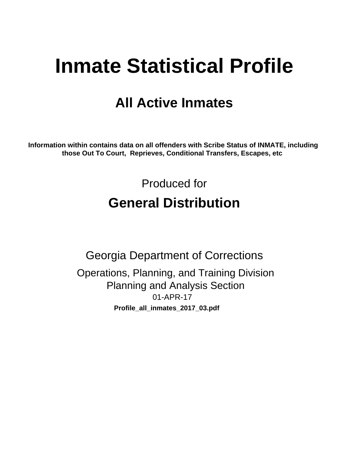# **Inmate Statistical Profile**

## **All Active Inmates**

Information within contains data on all offenders with Scribe Status of INMATE, including those Out To Court, Reprieves, Conditional Transfers, Escapes, etc

> Produced for **General Distribution**

**Georgia Department of Corrections** Operations, Planning, and Training Division **Planning and Analysis Section** 01-APR-17 Profile\_all\_inmates\_2017\_03.pdf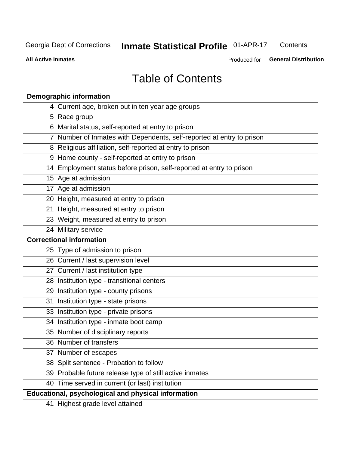#### **Inmate Statistical Profile 01-APR-17** Contents

**All Active Inmates** 

Produced for General Distribution

## **Table of Contents**

|    | <b>Demographic information</b>                                        |
|----|-----------------------------------------------------------------------|
|    | 4 Current age, broken out in ten year age groups                      |
|    | 5 Race group                                                          |
|    | 6 Marital status, self-reported at entry to prison                    |
|    | 7 Number of Inmates with Dependents, self-reported at entry to prison |
|    | 8 Religious affiliation, self-reported at entry to prison             |
|    | 9 Home county - self-reported at entry to prison                      |
|    | 14 Employment status before prison, self-reported at entry to prison  |
|    | 15 Age at admission                                                   |
|    | 17 Age at admission                                                   |
|    | 20 Height, measured at entry to prison                                |
|    | 21 Height, measured at entry to prison                                |
|    | 23 Weight, measured at entry to prison                                |
|    | 24 Military service                                                   |
|    | <b>Correctional information</b>                                       |
|    | 25 Type of admission to prison                                        |
|    | 26 Current / last supervision level                                   |
|    | 27 Current / last institution type                                    |
|    | 28 Institution type - transitional centers                            |
|    | 29 Institution type - county prisons                                  |
| 31 | Institution type - state prisons                                      |
|    | 33 Institution type - private prisons                                 |
|    | 34 Institution type - inmate boot camp                                |
|    | 35 Number of disciplinary reports                                     |
|    | 36 Number of transfers                                                |
|    | 37 Number of escapes                                                  |
|    | 38 Split sentence - Probation to follow                               |
|    | 39 Probable future release type of still active inmates               |
|    | 40 Time served in current (or last) institution                       |
|    | Educational, psychological and physical information                   |
|    | 41 Highest grade level attained                                       |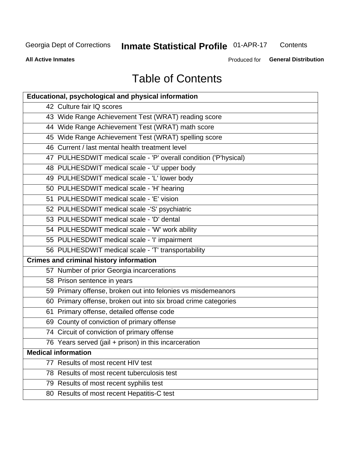## Inmate Statistical Profile 01-APR-17

Contents

**All Active Inmates** 

Produced for General Distribution

## **Table of Contents**

| <b>Educational, psychological and physical information</b>       |
|------------------------------------------------------------------|
| 42 Culture fair IQ scores                                        |
| 43 Wide Range Achievement Test (WRAT) reading score              |
| 44 Wide Range Achievement Test (WRAT) math score                 |
| 45 Wide Range Achievement Test (WRAT) spelling score             |
| 46 Current / last mental health treatment level                  |
| 47 PULHESDWIT medical scale - 'P' overall condition ('P'hysical) |
| 48 PULHESDWIT medical scale - 'U' upper body                     |
| 49 PULHESDWIT medical scale - 'L' lower body                     |
| 50 PULHESDWIT medical scale - 'H' hearing                        |
| 51 PULHESDWIT medical scale - 'E' vision                         |
| 52 PULHESDWIT medical scale -'S' psychiatric                     |
| 53 PULHESDWIT medical scale - 'D' dental                         |
| 54 PULHESDWIT medical scale - 'W' work ability                   |
| 55 PULHESDWIT medical scale - 'I' impairment                     |
| 56 PULHESDWIT medical scale - 'T' transportability               |
| <b>Crimes and criminal history information</b>                   |
| 57 Number of prior Georgia incarcerations                        |
| 58 Prison sentence in years                                      |
| 59 Primary offense, broken out into felonies vs misdemeanors     |
| 60 Primary offense, broken out into six broad crime categories   |
| 61 Primary offense, detailed offense code                        |
| 69 County of conviction of primary offense                       |
| 74 Circuit of conviction of primary offense                      |
| 76 Years served (jail + prison) in this incarceration            |
| <b>Medical information</b>                                       |
| 77 Results of most recent HIV test                               |
| 78 Results of most recent tuberculosis test                      |
| 79 Results of most recent syphilis test                          |
| 80 Results of most recent Hepatitis-C test                       |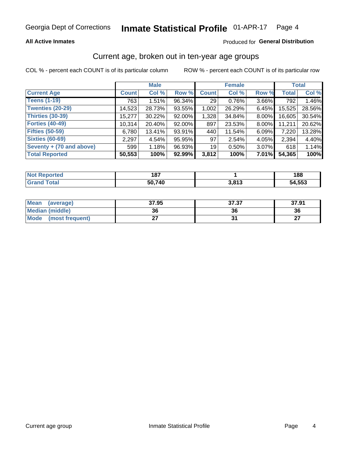#### **All Active Inmates**

#### Produced for General Distribution

### Current age, broken out in ten-year age groups

COL % - percent each COUNT is of its particular column

|                          | <b>Male</b>        |        |        |                 | <b>Female</b> | <b>Total</b> |              |        |
|--------------------------|--------------------|--------|--------|-----------------|---------------|--------------|--------------|--------|
| <b>Current Age</b>       | Count <sup>1</sup> | Col %  | Row %  | <b>Count</b>    | Col %         | Row %        | <b>Total</b> | Col %  |
| <b>Teens (1-19)</b>      | 763                | 1.51%  | 96.34% | 29              | 0.76%         | 3.66%        | 792          | 1.46%  |
| <b>Twenties (20-29)</b>  | 14,523             | 28.73% | 93.55% | 1,002           | 26.29%        | 6.45%        | 15,525       | 28.56% |
| <b>Thirties (30-39)</b>  | 15,277             | 30.22% | 92.00% | 1,328           | 34.84%        | 8.00%        | 16,605       | 30.54% |
| <b>Forties (40-49)</b>   | 10,314             | 20.40% | 92.00% | 897             | 23.53%        | 8.00%        | 11,211       | 20.62% |
| <b>Fifties (50-59)</b>   | 6,780              | 13.41% | 93.91% | 440             | 11.54%        | 6.09%        | 7,220        | 13.28% |
| <b>Sixties (60-69)</b>   | 2,297              | 4.54%  | 95.95% | 97              | 2.54%         | 4.05%        | 2,394        | 4.40%  |
| Seventy + (70 and above) | 599                | 1.18%  | 96.93% | 19 <sup>1</sup> | 0.50%         | 3.07%        | 618          | 1.14%  |
| <b>Total Reported</b>    | 50,553             | 100%   | 92.99% | 3,812           | 100%          | 7.01%        | 54,365       | 100%   |

| <b>Not Reported</b> | 407<br>107 |       | 188    |
|---------------------|------------|-------|--------|
| Total               | 50,740     | 3,813 | 54,553 |

| <b>Mean</b><br>(average)       | 37.95 | 37.37 | 37.91         |
|--------------------------------|-------|-------|---------------|
| Median (middle)                | 36    | 36    | 36            |
| <b>Mode</b><br>(most frequent) |       |       | $\sim$<br>. . |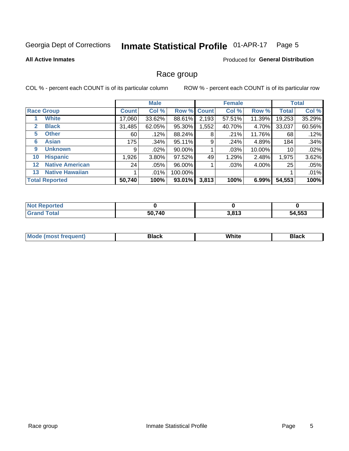#### Inmate Statistical Profile 01-APR-17 Page 5

#### **All Active Inmates**

#### Produced for General Distribution

#### Race group

COL % - percent each COUNT is of its particular column

|                   |                        | <b>Male</b>  |          |           | <b>Female</b> |        |        | <b>Total</b> |        |
|-------------------|------------------------|--------------|----------|-----------|---------------|--------|--------|--------------|--------|
|                   | <b>Race Group</b>      | <b>Count</b> | Col %    |           | Row % Count   | Col %  | Row %  | <b>Total</b> | Col %  |
|                   | <b>White</b>           | 17,060       | 33.62%   | 88.61%    | 2,193         | 57.51% | 11.39% | 19,253       | 35.29% |
| $\mathbf{2}$      | <b>Black</b>           | 31,485       | 62.05%   | 95.30%    | 1,552         | 40.70% | 4.70%  | 33,037       | 60.56% |
| 5.                | <b>Other</b>           | 60           | .12%     | 88.24%    | 8             | .21%   | 11.76% | 68           | .12%   |
| 6                 | <b>Asian</b>           | 175          | $.34\%$  | 95.11%    | 9             | .24%   | 4.89%  | 184          | .34%   |
| 9                 | <b>Unknown</b>         | 9            | $.02\%$  | 90.00%    |               | .03%   | 10.00% | 10           | .02%   |
| 10                | <b>Hispanic</b>        | 1,926        | $3.80\%$ | 97.52%    | 49            | 1.29%  | 2.48%  | 1,975        | 3.62%  |
| $12 \overline{ }$ | <b>Native American</b> | 24           | $.05\%$  | 96.00%    |               | .03%   | 4.00%  | 25           | .05%   |
| 13                | <b>Native Hawaiian</b> |              | .01%     | 100.00%   |               |        |        |              | .01%   |
|                   | <b>Total Reported</b>  | 50,740       | 100%     | $93.01\%$ | 3,813         | 100%   | 6.99%  | 54,553       | 100%   |

| <b>Not Reported</b> |        |                 |        |
|---------------------|--------|-----------------|--------|
| <b>Grand Total</b>  | 50,740 | 2012<br>J.O I J | 54,553 |

| <b>Mode</b><br>---<br>most frequent) | Black | White | <b>Black</b> |
|--------------------------------------|-------|-------|--------------|
|                                      |       |       |              |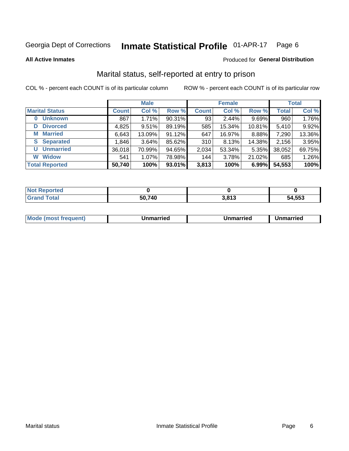#### Inmate Statistical Profile 01-APR-17 Page 6

**All Active Inmates** 

#### Produced for General Distribution

### Marital status, self-reported at entry to prison

COL % - percent each COUNT is of its particular column

|                            | <b>Male</b>  |        |        | <b>Female</b> |        |        | <b>Total</b> |        |
|----------------------------|--------------|--------|--------|---------------|--------|--------|--------------|--------|
| <b>Marital Status</b>      | <b>Count</b> | Col %  | Row %  | <b>Count</b>  | Col %  | Row %  | <b>Total</b> | Col %  |
| <b>Unknown</b><br>$\bf{0}$ | 867          | 1.71%  | 90.31% | 93            | 2.44%  | 9.69%  | 960          | 1.76%  |
| <b>Divorced</b><br>D       | 4,825        | 9.51%  | 89.19% | 585           | 15.34% | 10.81% | 5,410        | 9.92%  |
| <b>Married</b><br>М        | 6,643        | 13.09% | 91.12% | 647           | 16.97% | 8.88%  | 7,290        | 13.36% |
| <b>Separated</b><br>S      | 1,846        | 3.64%  | 85.62% | 310           | 8.13%  | 14.38% | 2,156        | 3.95%  |
| <b>Unmarried</b><br>U      | 36,018       | 70.99% | 94.65% | 2,034         | 53.34% | 5.35%  | 38,052       | 69.75% |
| <b>Widow</b><br>W          | 541          | 1.07%  | 78.98% | 144           | 3.78%  | 21.02% | 685          | 1.26%  |
| <b>Total Reported</b>      | 50,740       | 100%   | 93.01% | 3,813         | 100%   | 6.99%  | 54,553       | 100%   |

| <b>Not Reported</b> |      |       |        |
|---------------------|------|-------|--------|
| <b>Total</b>        | ,740 | 3,813 | 54,553 |

| <b>Mode (most frequent)</b><br>Unmarried<br>Unmarried<br>Jnmarried |
|--------------------------------------------------------------------|
|--------------------------------------------------------------------|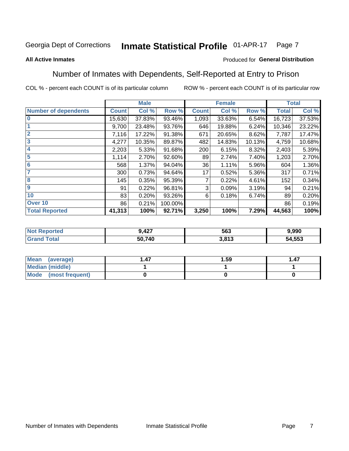#### Inmate Statistical Profile 01-APR-17 Page 7

#### **All Active Inmates**

#### Produced for General Distribution

### Number of Inmates with Dependents, Self-Reported at Entry to Prison

COL % - percent each COUNT is of its particular column

|                             |              | <b>Male</b> |         |              | <b>Female</b> |        |              | <b>Total</b> |
|-----------------------------|--------------|-------------|---------|--------------|---------------|--------|--------------|--------------|
| <b>Number of dependents</b> | <b>Count</b> | Col %       | Row %   | <b>Count</b> | Col %         | Row %  | <b>Total</b> | Col %        |
| l 0                         | 15,630       | 37.83%      | 93.46%  | 1,093        | 33.63%        | 6.54%  | 16,723       | 37.53%       |
|                             | 9,700        | 23.48%      | 93.76%  | 646          | 19.88%        | 6.24%  | 10,346       | 23.22%       |
| $\overline{2}$              | 7,116        | 17.22%      | 91.38%  | 671          | 20.65%        | 8.62%  | 7,787        | 17.47%       |
| $\overline{3}$              | 4,277        | 10.35%      | 89.87%  | 482          | 14.83%        | 10.13% | 4,759        | 10.68%       |
| 4                           | 2,203        | 5.33%       | 91.68%  | 200          | 6.15%         | 8.32%  | 2,403        | 5.39%        |
| 5                           | 1,114        | 2.70%       | 92.60%  | 89           | 2.74%         | 7.40%  | 1,203        | 2.70%        |
| 6                           | 568          | 1.37%       | 94.04%  | 36           | 1.11%         | 5.96%  | 604          | 1.36%        |
| 7                           | 300          | 0.73%       | 94.64%  | 17           | 0.52%         | 5.36%  | 317          | 0.71%        |
| 8                           | 145          | 0.35%       | 95.39%  |              | 0.22%         | 4.61%  | 152          | 0.34%        |
| 9                           | 91           | 0.22%       | 96.81%  | 3            | 0.09%         | 3.19%  | 94           | 0.21%        |
| 10                          | 83           | 0.20%       | 93.26%  | 6            | 0.18%         | 6.74%  | 89           | 0.20%        |
| Over 10                     | 86           | 0.21%       | 100.00% |              |               |        | 86           | 0.19%        |
| <b>Total Reported</b>       | 41,313       | 100%        | 92.71%  | 3,250        | 100%          | 7.29%  | 44,563       | 100%         |

| m. | <b>A</b> 27<br>シーエム | 563              | .990         |
|----|---------------------|------------------|--------------|
|    | 50,740              | 0.012<br>د ۱ ه.د | 1,553<br>54. |

| Mean (average)         | 1.59 | 1.47 |
|------------------------|------|------|
| <b>Median (middle)</b> |      |      |
| Mode (most frequent)   |      |      |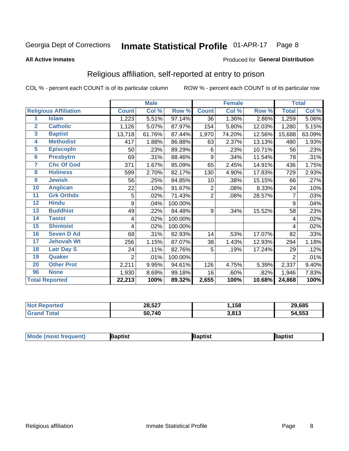#### Inmate Statistical Profile 01-APR-17 Page 8

#### **All Active Inmates**

#### Produced for General Distribution

### Religious affiliation, self-reported at entry to prison

COL % - percent each COUNT is of its particular column

|                |                              |                | <b>Male</b> |         |                | <b>Female</b>             |        |                | <b>Total</b> |
|----------------|------------------------------|----------------|-------------|---------|----------------|---------------------------|--------|----------------|--------------|
|                | <b>Religious Affiliation</b> | <b>Count</b>   | Col %       | Row %   | <b>Count</b>   | $\overline{\text{Col}}$ % | Row %  | <b>Total</b>   | Col %        |
| 1              | <b>Islam</b>                 | 1,223          | 5.51%       | 97.14%  | 36             | 1.36%                     | 2.86%  | 1,259          | 5.06%        |
| $\overline{2}$ | <b>Catholic</b>              | 1,126          | 5.07%       | 87.97%  | 154            | 5.80%                     | 12.03% | 1,280          | 5.15%        |
| 3              | <b>Baptist</b>               | 13,718         | 61.76%      | 87.44%  | 1,970          | 74.20%                    | 12.56% | 15,688         | 63.09%       |
| 4              | <b>Methodist</b>             | 417            | 1.88%       | 86.88%  | 63             | 2.37%                     | 13.13% | 480            | 1.93%        |
| 5              | <b>EpiscopIn</b>             | 50             | .23%        | 89.29%  | 6              | .23%                      | 10.71% | 56             | .23%         |
| $6\phantom{a}$ | <b>Presbytrn</b>             | 69             | .31%        | 88.46%  | 9              | .34%                      | 11.54% | 78             | .31%         |
| 7              | <b>Chc Of God</b>            | 371            | 1.67%       | 85.09%  | 65             | 2.45%                     | 14.91% | 436            | 1.75%        |
| 8              | <b>Holiness</b>              | 599            | 2.70%       | 82.17%  | 130            | 4.90%                     | 17.83% | 729            | 2.93%        |
| 9              | <b>Jewish</b>                | 56             | .25%        | 84.85%  | 10             | .38%                      | 15.15% | 66             | .27%         |
| 10             | <b>Anglican</b>              | 22             | .10%        | 91.67%  | $\overline{2}$ | .08%                      | 8.33%  | 24             | .10%         |
| 11             | <b>Grk Orthdx</b>            | 5              | .02%        | 71.43%  | $\overline{2}$ | .08%                      | 28.57% | 7              | .03%         |
| 12             | <b>Hindu</b>                 | 9              | .04%        | 100.00% |                |                           |        | 9              | .04%         |
| 13             | <b>Buddhist</b>              | 49             | .22%        | 84.48%  | 9              | .34%                      | 15.52% | 58             | .23%         |
| 14             | <b>Taoist</b>                | 4              | .02%        | 100.00% |                |                           |        | 4              | .02%         |
| 15             | <b>Shintoist</b>             | 4              | .02%        | 100.00% |                |                           |        | 4              | .02%         |
| 16             | <b>Seven D Ad</b>            | 68             | .31%        | 82.93%  | 14             | .53%                      | 17.07% | 82             | .33%         |
| 17             | <b>Jehovah Wt</b>            | 256            | 1.15%       | 87.07%  | 38             | 1.43%                     | 12.93% | 294            | 1.18%        |
| 18             | <b>Latr Day S</b>            | 24             | .11%        | 82.76%  | 5              | .19%                      | 17.24% | 29             | .12%         |
| 19             | Quaker                       | $\overline{2}$ | .01%        | 100.00% |                |                           |        | $\overline{2}$ | .01%         |
| 20             | <b>Other Prot</b>            | 2,211          | 9.95%       | 94.61%  | 126            | 4.75%                     | 5.39%  | 2,337          | 9.40%        |
| 96             | <b>None</b>                  | 1,930          | 8.69%       | 99.18%  | 16             | .60%                      | .82%   | 1,946          | 7.83%        |
|                | <b>Total Reported</b>        | 22,213         | 100%        | 89.32%  | 2,655          | 100%                      | 10.68% | 24,868         | 100%         |

| Reported<br>NO. | 28,527 | ,158            | 29,685 |
|-----------------|--------|-----------------|--------|
| <b>otal</b>     | 50,740 | 2012<br>J.O I J | 54,553 |

|  | $ $ Mod<br>de (most frequent) | aptist | <b>laptist</b> | 3aptist |
|--|-------------------------------|--------|----------------|---------|
|--|-------------------------------|--------|----------------|---------|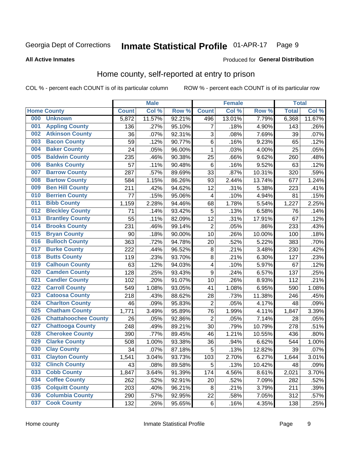#### Inmate Statistical Profile 01-APR-17 Page 9

#### **All Active Inmates**

#### Produced for General Distribution

### Home county, self-reported at entry to prison

COL % - percent each COUNT is of its particular column

|     |                             |              | <b>Male</b> |                  |                | <b>Female</b> |        | <b>Total</b> |        |
|-----|-----------------------------|--------------|-------------|------------------|----------------|---------------|--------|--------------|--------|
|     | <b>Home County</b>          | <b>Count</b> | Col %       | Row <sup>%</sup> | <b>Count</b>   | Col %         | Row %  | <b>Total</b> | Col %  |
| 000 | <b>Unknown</b>              | 5,872        | 11.57%      | 92.21%           | 496            | 13.01%        | 7.79%  | 6,368        | 11.67% |
| 001 | <b>Appling County</b>       | 136          | .27%        | 95.10%           | 7              | .18%          | 4.90%  | 143          | .26%   |
| 002 | <b>Atkinson County</b>      | 36           | .07%        | 92.31%           | 3              | .08%          | 7.69%  | 39           | .07%   |
| 003 | <b>Bacon County</b>         | 59           | .12%        | 90.77%           | $\,6$          | .16%          | 9.23%  | 65           | .12%   |
| 004 | <b>Baker County</b>         | 24           | .05%        | 96.00%           | $\mathbf 1$    | .03%          | 4.00%  | 25           | .05%   |
| 005 | <b>Baldwin County</b>       | 235          | .46%        | 90.38%           | 25             | .66%          | 9.62%  | 260          | .48%   |
| 006 | <b>Banks County</b>         | 57           | .11%        | 90.48%           | $\,6$          | .16%          | 9.52%  | 63           | .12%   |
| 007 | <b>Barrow County</b>        | 287          | .57%        | 89.69%           | 33             | .87%          | 10.31% | 320          | .59%   |
| 008 | <b>Bartow County</b>        | 584          | 1.15%       | 86.26%           | 93             | 2.44%         | 13.74% | 677          | 1.24%  |
| 009 | <b>Ben Hill County</b>      | 211          | .42%        | 94.62%           | 12             | .31%          | 5.38%  | 223          | .41%   |
| 010 | <b>Berrien County</b>       | 77           | .15%        | 95.06%           | 4              | .10%          | 4.94%  | 81           | .15%   |
| 011 | <b>Bibb County</b>          | 1,159        | 2.28%       | 94.46%           | 68             | 1.78%         | 5.54%  | 1,227        | 2.25%  |
| 012 | <b>Bleckley County</b>      | 71           | .14%        | 93.42%           | 5              | .13%          | 6.58%  | 76           | .14%   |
| 013 | <b>Brantley County</b>      | 55           | .11%        | 82.09%           | 12             | .31%          | 17.91% | 67           | .12%   |
| 014 | <b>Brooks County</b>        | 231          | .46%        | 99.14%           | $\overline{2}$ | .05%          | .86%   | 233          | .43%   |
| 015 | <b>Bryan County</b>         | 90           | .18%        | 90.00%           | 10             | .26%          | 10.00% | 100          | .18%   |
| 016 | <b>Bulloch County</b>       | 363          | .72%        | 94.78%           | 20             | .52%          | 5.22%  | 383          | .70%   |
| 017 | <b>Burke County</b>         | 222          | .44%        | 96.52%           | 8              | .21%          | 3.48%  | 230          | .42%   |
| 018 | <b>Butts County</b>         | 119          | .23%        | 93.70%           | 8              | .21%          | 6.30%  | 127          | .23%   |
| 019 | <b>Calhoun County</b>       | 63           | .12%        | 94.03%           | 4              | .10%          | 5.97%  | 67           | .12%   |
| 020 | <b>Camden County</b>        | 128          | .25%        | 93.43%           | 9              | .24%          | 6.57%  | 137          | .25%   |
| 021 | <b>Candler County</b>       | 102          | .20%        | 91.07%           | 10             | .26%          | 8.93%  | 112          | .21%   |
| 022 | <b>Carroll County</b>       | 549          | 1.08%       | 93.05%           | 41             | 1.08%         | 6.95%  | 590          | 1.08%  |
| 023 | <b>Catoosa County</b>       | 218          | .43%        | 88.62%           | 28             | .73%          | 11.38% | 246          | .45%   |
| 024 | <b>Charlton County</b>      | 46           | .09%        | 95.83%           | $\overline{2}$ | .05%          | 4.17%  | 48           | .09%   |
| 025 | <b>Chatham County</b>       | 1,771        | 3.49%       | 95.89%           | 76             | 1.99%         | 4.11%  | 1,847        | 3.39%  |
| 026 | <b>Chattahoochee County</b> | 26           | .05%        | 92.86%           | $\overline{2}$ | .05%          | 7.14%  | 28           | .05%   |
| 027 | <b>Chattooga County</b>     | 248          | .49%        | 89.21%           | 30             | .79%          | 10.79% | 278          | .51%   |
| 028 | <b>Cherokee County</b>      | 390          | .77%        | 89.45%           | 46             | 1.21%         | 10.55% | 436          | .80%   |
| 029 | <b>Clarke County</b>        | 508          | 1.00%       | 93.38%           | 36             | .94%          | 6.62%  | 544          | 1.00%  |
| 030 | <b>Clay County</b>          | 34           | .07%        | 87.18%           | $\overline{5}$ | .13%          | 12.82% | 39           | .07%   |
| 031 | <b>Clayton County</b>       | 1,541        | 3.04%       | 93.73%           | 103            | 2.70%         | 6.27%  | 1,644        | 3.01%  |
| 032 | <b>Clinch County</b>        | 43           | .08%        | 89.58%           | 5              | .13%          | 10.42% | 48           | .09%   |
| 033 | <b>Cobb County</b>          | 1,847        | 3.64%       | 91.39%           | 174            | 4.56%         | 8.61%  | 2,021        | 3.70%  |
| 034 | <b>Coffee County</b>        | 262          | .52%        | 92.91%           | 20             | .52%          | 7.09%  | 282          | .52%   |
| 035 | <b>Colquitt County</b>      | 203          | .40%        | 96.21%           | 8              | .21%          | 3.79%  | 211          | .39%   |
| 036 | <b>Columbia County</b>      | 290          | .57%        | 92.95%           | 22             | .58%          | 7.05%  | 312          | .57%   |
| 037 | <b>Cook County</b>          | 132          | .26%        | 95.65%           | $\,6$          | .16%          | 4.35%  | 138          | .25%   |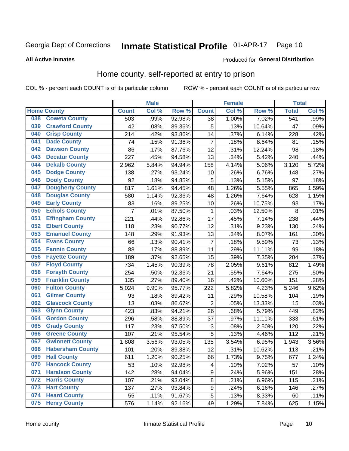#### Inmate Statistical Profile 01-APR-17 Page 10

#### **All Active Inmates**

#### Produced for General Distribution

### Home county, self-reported at entry to prison

COL % - percent each COUNT is of its particular column

|     |                         |              | <b>Male</b> |                  |                | <b>Female</b> |        | <b>Total</b> |       |
|-----|-------------------------|--------------|-------------|------------------|----------------|---------------|--------|--------------|-------|
|     | <b>Home County</b>      | <b>Count</b> | Col%        | Row <sup>%</sup> | <b>Count</b>   | Col %         | Row %  | <b>Total</b> | Col % |
| 038 | <b>Coweta County</b>    | 503          | .99%        | 92.98%           | 38             | 1.00%         | 7.02%  | 541          | .99%  |
| 039 | <b>Crawford County</b>  | 42           | .08%        | 89.36%           | 5              | .13%          | 10.64% | 47           | .09%  |
| 040 | <b>Crisp County</b>     | 214          | .42%        | 93.86%           | 14             | .37%          | 6.14%  | 228          | .42%  |
| 041 | <b>Dade County</b>      | 74           | .15%        | 91.36%           | $\overline{7}$ | .18%          | 8.64%  | 81           | .15%  |
| 042 | <b>Dawson County</b>    | 86           | .17%        | 87.76%           | 12             | .31%          | 12.24% | 98           | .18%  |
| 043 | <b>Decatur County</b>   | 227          | .45%        | 94.58%           | 13             | .34%          | 5.42%  | 240          | .44%  |
| 044 | <b>Dekalb County</b>    | 2,962        | 5.84%       | 94.94%           | 158            | 4.14%         | 5.06%  | 3,120        | 5.72% |
| 045 | <b>Dodge County</b>     | 138          | .27%        | 93.24%           | 10             | .26%          | 6.76%  | 148          | .27%  |
| 046 | <b>Dooly County</b>     | 92           | .18%        | 94.85%           | 5              | .13%          | 5.15%  | 97           | .18%  |
| 047 | <b>Dougherty County</b> | 817          | 1.61%       | 94.45%           | 48             | 1.26%         | 5.55%  | 865          | 1.59% |
| 048 | <b>Douglas County</b>   | 580          | 1.14%       | 92.36%           | 48             | 1.26%         | 7.64%  | 628          | 1.15% |
| 049 | <b>Early County</b>     | 83           | .16%        | 89.25%           | 10             | .26%          | 10.75% | 93           | .17%  |
| 050 | <b>Echols County</b>    | 7            | .01%        | 87.50%           | 1              | .03%          | 12.50% | 8            | .01%  |
| 051 | <b>Effingham County</b> | 221          | .44%        | 92.86%           | 17             | .45%          | 7.14%  | 238          | .44%  |
| 052 | <b>Elbert County</b>    | 118          | .23%        | 90.77%           | 12             | .31%          | 9.23%  | 130          | .24%  |
| 053 | <b>Emanuel County</b>   | 148          | .29%        | 91.93%           | 13             | .34%          | 8.07%  | 161          | .30%  |
| 054 | <b>Evans County</b>     | 66           | .13%        | 90.41%           | 7              | .18%          | 9.59%  | 73           | .13%  |
| 055 | <b>Fannin County</b>    | 88           | .17%        | 88.89%           | 11             | .29%          | 11.11% | 99           | .18%  |
| 056 | <b>Fayette County</b>   | 189          | .37%        | 92.65%           | 15             | .39%          | 7.35%  | 204          | .37%  |
| 057 | <b>Floyd County</b>     | 734          | 1.45%       | 90.39%           | 78             | 2.05%         | 9.61%  | 812          | 1.49% |
| 058 | <b>Forsyth County</b>   | 254          | .50%        | 92.36%           | 21             | .55%          | 7.64%  | 275          | .50%  |
| 059 | <b>Franklin County</b>  | 135          | .27%        | 89.40%           | 16             | .42%          | 10.60% | 151          | .28%  |
| 060 | <b>Fulton County</b>    | 5,024        | 9.90%       | 95.77%           | 222            | 5.82%         | 4.23%  | 5,246        | 9.62% |
| 061 | <b>Gilmer County</b>    | 93           | .18%        | 89.42%           | 11             | .29%          | 10.58% | 104          | .19%  |
| 062 | <b>Glascock County</b>  | 13           | .03%        | 86.67%           | $\overline{2}$ | .05%          | 13.33% | 15           | .03%  |
| 063 | <b>Glynn County</b>     | 423          | .83%        | 94.21%           | 26             | .68%          | 5.79%  | 449          | .82%  |
| 064 | <b>Gordon County</b>    | 296          | .58%        | 88.89%           | 37             | .97%          | 11.11% | 333          | .61%  |
| 065 | <b>Grady County</b>     | 117          | .23%        | 97.50%           | 3              | .08%          | 2.50%  | 120          | .22%  |
| 066 | <b>Greene County</b>    | 107          | .21%        | 95.54%           | 5              | .13%          | 4.46%  | 112          | .21%  |
| 067 | <b>Gwinnett County</b>  | 1,808        | 3.56%       | 93.05%           | 135            | 3.54%         | 6.95%  | 1,943        | 3.56% |
| 068 | <b>Habersham County</b> | 101          | .20%        | 89.38%           | 12             | .31%          | 10.62% | 113          | .21%  |
| 069 | <b>Hall County</b>      | 611          | 1.20%       | 90.25%           | 66             | 1.73%         | 9.75%  | 677          | 1.24% |
| 070 | <b>Hancock County</b>   | 53           | .10%        | 92.98%           | 4              | .10%          | 7.02%  | 57           | .10%  |
| 071 | <b>Haralson County</b>  | 142          | .28%        | 94.04%           | 9              | .24%          | 5.96%  | 151          | .28%  |
| 072 | <b>Harris County</b>    | 107          | .21%        | 93.04%           | $\bf 8$        | .21%          | 6.96%  | 115          | .21%  |
| 073 | <b>Hart County</b>      | 137          | .27%        | 93.84%           | 9              | .24%          | 6.16%  | 146          | .27%  |
| 074 | <b>Heard County</b>     | 55           | .11%        | 91.67%           | 5              | .13%          | 8.33%  | 60           | .11%  |
| 075 | <b>Henry County</b>     | 576          | 1.14%       | 92.16%           | 49             | 1.29%         | 7.84%  | 625          | 1.15% |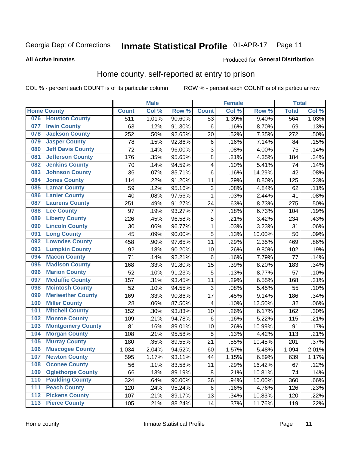#### Inmate Statistical Profile 01-APR-17 Page 11

**All Active Inmates** 

#### Produced for General Distribution

### Home county, self-reported at entry to prison

COL % - percent each COUNT is of its particular column

|     |                          |                  | <b>Male</b> |        |                         | <b>Female</b> |        | <b>Total</b> |       |
|-----|--------------------------|------------------|-------------|--------|-------------------------|---------------|--------|--------------|-------|
|     | <b>Home County</b>       | <b>Count</b>     | Col %       | Row %  | <b>Count</b>            | Col %         | Row %  | <b>Total</b> | Col % |
| 076 | <b>Houston County</b>    | $\overline{511}$ | 1.01%       | 90.60% | $\overline{53}$         | 1.39%         | 9.40%  | 564          | 1.03% |
| 077 | <b>Irwin County</b>      | 63               | .12%        | 91.30% | $\,6$                   | .16%          | 8.70%  | 69           | .13%  |
| 078 | <b>Jackson County</b>    | 252              | .50%        | 92.65% | 20                      | .52%          | 7.35%  | 272          | .50%  |
| 079 | <b>Jasper County</b>     | 78               | .15%        | 92.86% | $\,6$                   | .16%          | 7.14%  | 84           | .15%  |
| 080 | <b>Jeff Davis County</b> | 72               | .14%        | 96.00% | 3                       | .08%          | 4.00%  | 75           | .14%  |
| 081 | <b>Jefferson County</b>  | 176              | .35%        | 95.65% | 8                       | .21%          | 4.35%  | 184          | .34%  |
| 082 | <b>Jenkins County</b>    | 70               | .14%        | 94.59% | $\overline{\mathbf{4}}$ | .10%          | 5.41%  | 74           | .14%  |
| 083 | <b>Johnson County</b>    | 36               | .07%        | 85.71% | $\,6$                   | .16%          | 14.29% | 42           | .08%  |
| 084 | <b>Jones County</b>      | 114              | .22%        | 91.20% | 11                      | .29%          | 8.80%  | 125          | .23%  |
| 085 | <b>Lamar County</b>      | 59               | .12%        | 95.16% | 3                       | .08%          | 4.84%  | 62           | .11%  |
| 086 | <b>Lanier County</b>     | 40               | .08%        | 97.56% | $\mathbf 1$             | .03%          | 2.44%  | 41           | .08%  |
| 087 | <b>Laurens County</b>    | 251              | .49%        | 91.27% | 24                      | .63%          | 8.73%  | 275          | .50%  |
| 088 | <b>Lee County</b>        | 97               | .19%        | 93.27% | $\overline{7}$          | .18%          | 6.73%  | 104          | .19%  |
| 089 | <b>Liberty County</b>    | 226              | .45%        | 96.58% | 8                       | .21%          | 3.42%  | 234          | .43%  |
| 090 | <b>Lincoln County</b>    | 30               | .06%        | 96.77% | $\mathbf{1}$            | .03%          | 3.23%  | 31           | .06%  |
| 091 | <b>Long County</b>       | 45               | .09%        | 90.00% | 5                       | .13%          | 10.00% | 50           | .09%  |
| 092 | <b>Lowndes County</b>    | 458              | .90%        | 97.65% | 11                      | .29%          | 2.35%  | 469          | .86%  |
| 093 | <b>Lumpkin County</b>    | 92               | .18%        | 90.20% | 10                      | .26%          | 9.80%  | 102          | .19%  |
| 094 | <b>Macon County</b>      | 71               | .14%        | 92.21% | $\,6$                   | .16%          | 7.79%  | 77           | .14%  |
| 095 | <b>Madison County</b>    | 168              | .33%        | 91.80% | 15                      | .39%          | 8.20%  | 183          | .34%  |
| 096 | <b>Marion County</b>     | 52               | .10%        | 91.23% | 5                       | .13%          | 8.77%  | 57           | .10%  |
| 097 | <b>Mcduffie County</b>   | 157              | .31%        | 93.45% | 11                      | .29%          | 6.55%  | 168          | .31%  |
| 098 | <b>Mcintosh County</b>   | 52               | .10%        | 94.55% | $\mathbf{3}$            | .08%          | 5.45%  | 55           | .10%  |
| 099 | <b>Meriwether County</b> | 169              | .33%        | 90.86% | 17                      | .45%          | 9.14%  | 186          | .34%  |
| 100 | <b>Miller County</b>     | 28               | .06%        | 87.50% | 4                       | .10%          | 12.50% | 32           | .06%  |
| 101 | <b>Mitchell County</b>   | 152              | .30%        | 93.83% | 10                      | .26%          | 6.17%  | 162          | .30%  |
| 102 | <b>Monroe County</b>     | 109              | .21%        | 94.78% | $\,6$                   | .16%          | 5.22%  | 115          | .21%  |
| 103 | <b>Montgomery County</b> | 81               | .16%        | 89.01% | 10                      | .26%          | 10.99% | 91           | .17%  |
| 104 | <b>Morgan County</b>     | 108              | .21%        | 95.58% | 5                       | .13%          | 4.42%  | 113          | .21%  |
| 105 | <b>Murray County</b>     | 180              | .35%        | 89.55% | 21                      | .55%          | 10.45% | 201          | .37%  |
| 106 | <b>Muscogee County</b>   | 1,034            | 2.04%       | 94.52% | 60                      | 1.57%         | 5.48%  | 1,094        | 2.01% |
| 107 | <b>Newton County</b>     | 595              | 1.17%       | 93.11% | 44                      | 1.15%         | 6.89%  | 639          | 1.17% |
| 108 | <b>Oconee County</b>     | 56               | .11%        | 83.58% | 11                      | .29%          | 16.42% | 67           | .12%  |
| 109 | <b>Oglethorpe County</b> | 66               | .13%        | 89.19% | $\bf 8$                 | .21%          | 10.81% | 74           | .14%  |
| 110 | <b>Paulding County</b>   | 324              | .64%        | 90.00% | 36                      | .94%          | 10.00% | 360          | .66%  |
| 111 | <b>Peach County</b>      | 120              | .24%        | 95.24% | $\,6$                   | .16%          | 4.76%  | 126          | .23%  |
| 112 | <b>Pickens County</b>    | 107              | .21%        | 89.17% | 13                      | .34%          | 10.83% | 120          | .22%  |
| 113 | <b>Pierce County</b>     | 105              | .21%        | 88.24% | 14                      | .37%          | 11.76% | 119          | .22%  |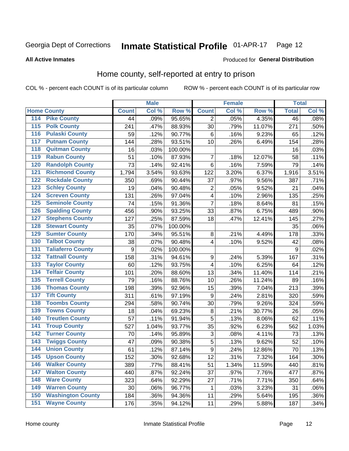#### Inmate Statistical Profile 01-APR-17 Page 12

Produced for General Distribution

#### **All Active Inmates**

#### Home county, self-reported at entry to prison

COL % - percent each COUNT is of its particular column

|                  |                          |                  | <b>Male</b> |                  |                         | <b>Female</b> |        | <b>Total</b>     |       |
|------------------|--------------------------|------------------|-------------|------------------|-------------------------|---------------|--------|------------------|-------|
|                  | <b>Home County</b>       | <b>Count</b>     | Col %       | Row <sup>%</sup> | <b>Count</b>            | Col %         | Row %  | <b>Total</b>     | Col % |
| 114              | <b>Pike County</b>       | 44               | .09%        | 95.65%           | 2                       | .05%          | 4.35%  | 46               | .08%  |
| 115              | <b>Polk County</b>       | 241              | .47%        | 88.93%           | 30                      | .79%          | 11.07% | 271              | .50%  |
| 116              | <b>Pulaski County</b>    | 59               | .12%        | 90.77%           | $\,6$                   | .16%          | 9.23%  | 65               | .12%  |
| 117              | <b>Putnam County</b>     | 144              | .28%        | 93.51%           | 10                      | .26%          | 6.49%  | 154              | .28%  |
| 118              | <b>Quitman County</b>    | 16               | .03%        | 100.00%          |                         |               |        | 16               | .03%  |
| 119              | <b>Rabun County</b>      | 51               | .10%        | 87.93%           | 7                       | .18%          | 12.07% | 58               | .11%  |
| 120              | <b>Randolph County</b>   | 73               | .14%        | 92.41%           | $\,6$                   | .16%          | 7.59%  | 79               | .14%  |
| $\overline{121}$ | <b>Richmond County</b>   | 1,794            | 3.54%       | 93.63%           | 122                     | 3.20%         | 6.37%  | 1,916            | 3.51% |
| 122              | <b>Rockdale County</b>   | 350              | .69%        | 90.44%           | 37                      | .97%          | 9.56%  | 387              | .71%  |
| 123              | <b>Schley County</b>     | 19               | .04%        | 90.48%           | $\overline{\mathbf{c}}$ | .05%          | 9.52%  | 21               | .04%  |
| 124              | <b>Screven County</b>    | 131              | .26%        | 97.04%           | $\overline{\mathbf{4}}$ | .10%          | 2.96%  | 135              | .25%  |
| 125              | <b>Seminole County</b>   | 74               | .15%        | 91.36%           | $\overline{7}$          | .18%          | 8.64%  | 81               | .15%  |
| 126              | <b>Spalding County</b>   | 456              | .90%        | 93.25%           | 33                      | .87%          | 6.75%  | 489              | .90%  |
| 127              | <b>Stephens County</b>   | 127              | .25%        | 87.59%           | 18                      | .47%          | 12.41% | 145              | .27%  |
| 128              | <b>Stewart County</b>    | 35               | .07%        | 100.00%          |                         |               |        | 35               | .06%  |
| 129              | <b>Sumter County</b>     | 170              | .34%        | 95.51%           | 8                       | .21%          | 4.49%  | 178              | .33%  |
| 130              | <b>Talbot County</b>     | 38               | .07%        | 90.48%           | $\overline{\mathbf{4}}$ | .10%          | 9.52%  | 42               | .08%  |
| 131              | <b>Taliaferro County</b> | $\boldsymbol{9}$ | .02%        | 100.00%          |                         |               |        | $\boldsymbol{9}$ | .02%  |
| 132              | <b>Tattnall County</b>   | 158              | .31%        | 94.61%           | 9                       | .24%          | 5.39%  | 167              | .31%  |
| 133              | <b>Taylor County</b>     | 60               | .12%        | 93.75%           | $\overline{\mathbf{4}}$ | .10%          | 6.25%  | 64               | .12%  |
| 134              | <b>Telfair County</b>    | 101              | .20%        | 88.60%           | 13                      | .34%          | 11.40% | 114              | .21%  |
| 135              | <b>Terrell County</b>    | 79               | .16%        | 88.76%           | 10                      | .26%          | 11.24% | 89               | .16%  |
| 136              | <b>Thomas County</b>     | 198              | .39%        | 92.96%           | 15                      | .39%          | 7.04%  | 213              | .39%  |
| 137              | <b>Tift County</b>       | 311              | .61%        | 97.19%           | $\boldsymbol{9}$        | .24%          | 2.81%  | 320              | .59%  |
| 138              | <b>Toombs County</b>     | 294              | .58%        | 90.74%           | 30                      | .79%          | 9.26%  | 324              | .59%  |
| 139              | <b>Towns County</b>      | 18               | .04%        | 69.23%           | $\bf 8$                 | .21%          | 30.77% | 26               | .05%  |
| 140              | <b>Treutlen County</b>   | 57               | .11%        | 91.94%           | 5                       | .13%          | 8.06%  | 62               | .11%  |
| 141              | <b>Troup County</b>      | 527              | 1.04%       | 93.77%           | 35                      | .92%          | 6.23%  | 562              | 1.03% |
| $\overline{142}$ | <b>Turner County</b>     | 70               | .14%        | 95.89%           | 3                       | .08%          | 4.11%  | 73               | .13%  |
| 143              | <b>Twiggs County</b>     | 47               | .09%        | 90.38%           | 5                       | .13%          | 9.62%  | 52               | .10%  |
| 144              | <b>Union County</b>      | 61               | .12%        | 87.14%           | $\overline{9}$          | .24%          | 12.86% | 70               | .13%  |
| 145              | <b>Upson County</b>      | 152              | .30%        | 92.68%           | 12                      | .31%          | 7.32%  | 164              | .30%  |
| 146              | <b>Walker County</b>     | 389              | .77%        | 88.41%           | 51                      | 1.34%         | 11.59% | 440              | .81%  |
| 147              | <b>Walton County</b>     | 440              | .87%        | 92.24%           | 37                      | .97%          | 7.76%  | 477              | .87%  |
| 148              | <b>Ware County</b>       | 323              | .64%        | 92.29%           | 27                      | .71%          | 7.71%  | 350              | .64%  |
| 149              | <b>Warren County</b>     | 30               | .06%        | 96.77%           | 1                       | .03%          | 3.23%  | 31               | .06%  |
| 150              | <b>Washington County</b> | 184              | .36%        | 94.36%           | 11                      | .29%          | 5.64%  | 195              | .36%  |
| 151              | <b>Wayne County</b>      | 176              | .35%        | 94.12%           | 11                      | .29%          | 5.88%  | 187              | .34%  |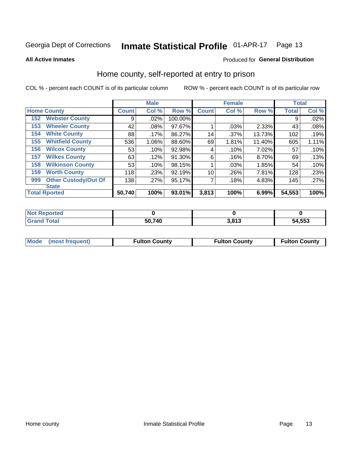#### Inmate Statistical Profile 01-APR-17 Page 13

Produced for General Distribution

#### **All Active Inmates**

#### Home county, self-reported at entry to prison

COL % - percent each COUNT is of its particular column

|     |                             |              | <b>Male</b> |         |              | <b>Female</b> |        | <b>Total</b> |       |
|-----|-----------------------------|--------------|-------------|---------|--------------|---------------|--------|--------------|-------|
|     | <b>Home County</b>          | <b>Count</b> | Col %       | Row %   | <b>Count</b> | Col %         | Row %  | <b>Total</b> | Col % |
| 152 | <b>Webster County</b>       | 9            | .02%        | 100.00% |              |               |        | 9            | .02%  |
| 153 | <b>Wheeler County</b>       | 42           | .08%        | 97.67%  |              | .03%          | 2.33%  | 43           | .08%  |
| 154 | <b>White County</b>         | 88           | $.17\%$     | 86.27%  | 14           | .37%          | 13.73% | 102          | .19%  |
| 155 | <b>Whitfield County</b>     | 536          | 1.06%       | 88.60%  | 69           | 1.81%         | 11.40% | 605          | 1.11% |
| 156 | <b>Wilcox County</b>        | 53           | .10%        | 92.98%  | 4            | .10%          | 7.02%  | 57           | .10%  |
| 157 | <b>Wilkes County</b>        | 63           | .12%        | 91.30%  | 6            | .16%          | 8.70%  | 69           | .13%  |
| 158 | <b>Wilkinson County</b>     | 53           | .10%        | 98.15%  |              | .03%          | 1.85%  | 54           | .10%  |
| 159 | <b>Worth County</b>         | 118          | .23%        | 92.19%  | 10           | .26%          | 7.81%  | 128          | .23%  |
| 999 | <b>Other Custody/Out Of</b> | 138          | .27%        | 95.17%  | 7            | .18%          | 4.83%  | 145          | .27%  |
|     | <b>State</b>                |              |             |         |              |               |        |              |       |
|     | <b>Total Rported</b>        | 50,740       | 100%        | 93.01%  | 3,813        | 100%          | 6.99%  | 54,553       | 100%  |

| N <sub>of</sub><br><b>Reported</b> |        |                  |        |
|------------------------------------|--------|------------------|--------|
| Total                              | 50,740 | 2.042<br>נ ו ס.כ | 54,553 |

|  | Mode (most frequent) | <b>Fulton County</b> | <b>Fulton County</b> | <b>Fulton County</b> |
|--|----------------------|----------------------|----------------------|----------------------|
|--|----------------------|----------------------|----------------------|----------------------|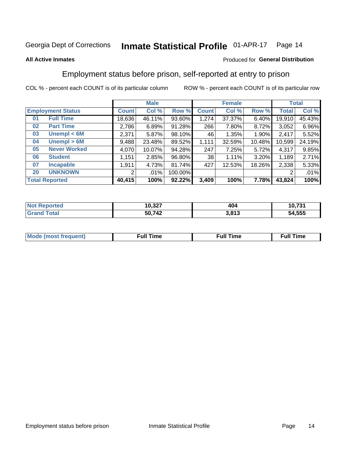#### Inmate Statistical Profile 01-APR-17 Page 14

#### **All Active Inmates**

#### Produced for General Distribution

### Employment status before prison, self-reported at entry to prison

COL % - percent each COUNT is of its particular column

|                                    | <b>Male</b>  |        |         |                 | <b>Female</b> |        |        | <b>Total</b> |  |
|------------------------------------|--------------|--------|---------|-----------------|---------------|--------|--------|--------------|--|
| <b>Employment Status</b>           | <b>Count</b> | Col %  | Row %   | <b>Count</b>    | Col %         | Row %  | Total  | Col %        |  |
| <b>Full Time</b><br>0 <sub>1</sub> | 18,636       | 46.11% | 93.60%  | 1,274           | 37.37%        | 6.40%  | 19,910 | 45.43%       |  |
| <b>Part Time</b><br>02             | 2,786        | 6.89%  | 91.28%  | 266             | 7.80%         | 8.72%  | 3,052  | 6.96%        |  |
| Unempl $<$ 6M<br>03                | 2,371        | 5.87%  | 98.10%  | 46              | 1.35%         | 1.90%  | 2.417  | 5.52%        |  |
| Unempl > 6M<br>04                  | 9,488        | 23.48% | 89.52%  | 1,111           | 32.59%        | 10.48% | 10,599 | 24.19%       |  |
| <b>Never Worked</b><br>05          | 4,070        | 10.07% | 94.28%  | 247             | 7.25%         | 5.72%  | 4,317  | 9.85%        |  |
| <b>Student</b><br>06               | .151         | 2.85%  | 96.80%  | 38 <sup>1</sup> | 1.11%         | 3.20%  | 1,189  | 2.71%        |  |
| <b>Incapable</b><br>07             | 1,911        | 4.73%  | 81.74%  | 427             | 12.53%        | 18.26% | 2,338  | 5.33%        |  |
| <b>UNKNOWN</b><br>20               | 2            | .01%   | 100.00% |                 |               |        | 2      | .01%         |  |
| <b>Total Reported</b>              | 40,415       | 100%   | 92.22%  | 3,409           | 100%          | 7.78%  | 43,824 | 100%         |  |

| <b>Not Reported</b> | 10,327 | 404   | 10,731 |
|---------------------|--------|-------|--------|
| <b>Grand Total</b>  | 50,742 | 3,813 | 54,555 |

| <b>Mode (most frequent)</b> | $^{\prime\prime}$ Time | <b>Time</b><br>rull i |
|-----------------------------|------------------------|-----------------------|
|                             |                        |                       |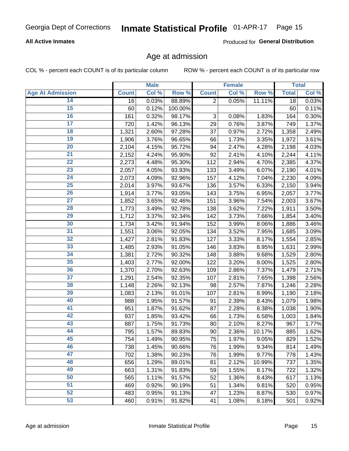#### **All Active Inmates**

Produced for General Distribution

### Age at admission

COL % - percent each COUNT is of its particular column

|                         |              | <b>Male</b> |         |                           | <b>Female</b> |        |              | <b>Total</b> |
|-------------------------|--------------|-------------|---------|---------------------------|---------------|--------|--------------|--------------|
| <b>Age At Admission</b> | <b>Count</b> | Col %       | Row %   | <b>Count</b>              | Col %         | Row %  | <b>Total</b> | Col %        |
| 14                      | 16           | 0.03%       | 88.89%  | $\overline{2}$            | 0.05%         | 11.11% | 18           | 0.03%        |
| 15                      | 60           | 0.12%       | 100.00% |                           |               |        | 60           | 0.11%        |
| 16                      | 161          | 0.32%       | 98.17%  | $\ensuremath{\mathsf{3}}$ | 0.08%         | 1.83%  | 164          | 0.30%        |
| $\overline{17}$         | 720          | 1.42%       | 96.13%  | 29                        | 0.76%         | 3.87%  | 749          | 1.37%        |
| $\overline{18}$         | 1,321        | 2.60%       | 97.28%  | 37                        | 0.97%         | 2.72%  | 1,358        | 2.49%        |
| 19                      | 1,906        | 3.76%       | 96.65%  | 66                        | 1.73%         | 3.35%  | 1,972        | 3.61%        |
| 20                      | 2,104        | 4.15%       | 95.72%  | 94                        | 2.47%         | 4.28%  | 2,198        | 4.03%        |
| $\overline{21}$         | 2,152        | 4.24%       | 95.90%  | 92                        | 2.41%         | 4.10%  | 2,244        | 4.11%        |
| $\overline{22}$         | 2,273        | 4.48%       | 95.30%  | 112                       | 2.94%         | 4.70%  | 2,385        | 4.37%        |
| 23                      | 2,057        | 4.05%       | 93.93%  | 133                       | 3.49%         | 6.07%  | 2,190        | 4.01%        |
| 24                      | 2,073        | 4.09%       | 92.96%  | 157                       | 4.12%         | 7.04%  | 2,230        | 4.09%        |
| $\overline{25}$         | 2,014        | 3.97%       | 93.67%  | 136                       | 3.57%         | 6.33%  | 2,150        | 3.94%        |
| $\overline{26}$         | 1,914        | 3.77%       | 93.05%  | 143                       | 3.75%         | 6.95%  | 2,057        | 3.77%        |
| $\overline{27}$         | 1,852        | 3.65%       | 92.46%  | 151                       | 3.96%         | 7.54%  | 2,003        | 3.67%        |
| 28                      | 1,773        | 3.49%       | 92.78%  | 138                       | 3.62%         | 7.22%  | 1,911        | 3.50%        |
| 29                      | 1,712        | 3.37%       | 92.34%  | 142                       | 3.73%         | 7.66%  | 1,854        | 3.40%        |
| 30                      | 1,734        | 3.42%       | 91.94%  | 152                       | 3.99%         | 8.06%  | 1,886        | 3.46%        |
| 31                      | 1,551        | 3.06%       | 92.05%  | 134                       | 3.52%         | 7.95%  | 1,685        | 3.09%        |
| 32                      | 1,427        | 2.81%       | 91.83%  | 127                       | 3.33%         | 8.17%  | 1,554        | 2.85%        |
| 33                      | 1,485        | 2.93%       | 91.05%  | 146                       | 3.83%         | 8.95%  | 1,631        | 2.99%        |
| 34                      | 1,381        | 2.72%       | 90.32%  | 148                       | 3.88%         | 9.68%  | 1,529        | 2.80%        |
| 35                      | 1,403        | 2.77%       | 92.00%  | 122                       | 3.20%         | 8.00%  | 1,525        | 2.80%        |
| 36                      | 1,370        | 2.70%       | 92.63%  | 109                       | 2.86%         | 7.37%  | 1,479        | 2.71%        |
| $\overline{37}$         | 1,291        | 2.54%       | 92.35%  | 107                       | 2.81%         | 7.65%  | 1,398        | 2.56%        |
| 38                      | 1,148        | 2.26%       | 92.13%  | 98                        | 2.57%         | 7.87%  | 1,246        | 2.28%        |
| 39                      | 1,083        | 2.13%       | 91.01%  | 107                       | 2.81%         | 8.99%  | 1,190        | 2.18%        |
| 40                      | 988          | 1.95%       | 91.57%  | 91                        | 2.39%         | 8.43%  | 1,079        | 1.98%        |
| 41                      | 951          | 1.87%       | 91.62%  | 87                        | 2.28%         | 8.38%  | 1,038        | 1.90%        |
| 42                      | 937          | 1.85%       | 93.42%  | 66                        | 1.73%         | 6.58%  | 1,003        | 1.84%        |
| 43                      | 887          | 1.75%       | 91.73%  | 80                        | 2.10%         | 8.27%  | 967          | 1.77%        |
| 44                      | 795          | 1.57%       | 89.83%  | 90                        | 2.36%         | 10.17% | 885          | 1.62%        |
| 45                      | 754          | 1.49%       | 90.95%  | 75                        | 1.97%         | 9.05%  | 829          | 1.52%        |
| 46                      | 738          | 1.45%       | 90.66%  | 76                        | 1.99%         | 9.34%  | 814          | 1.49%        |
| 47                      | 702          | 1.38%       | 90.23%  | 76                        | 1.99%         | 9.77%  | 778          | 1.43%        |
| 48                      | 656          | 1.29%       | 89.01%  | 81                        | 2.12%         | 10.99% | 737          | 1.35%        |
| 49                      | 663          | 1.31%       | 91.83%  | 59                        | 1.55%         | 8.17%  | 722          | 1.32%        |
| 50                      | 565          | 1.11%       | 91.57%  | 52                        | 1.36%         | 8.43%  | 617          | 1.13%        |
| 51                      | 469          | 0.92%       | 90.19%  | 51                        | 1.34%         | 9.81%  | 520          | 0.95%        |
| 52                      | 483          | 0.95%       | 91.13%  | 47                        | 1.23%         | 8.87%  | 530          | 0.97%        |
| 53                      | 460          | 0.91%       | 91.82%  | 41                        | 1.08%         | 8.18%  | 501          | 0.92%        |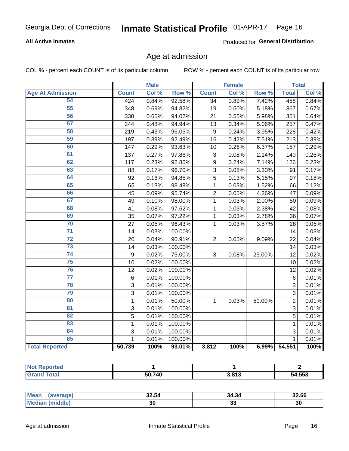#### **All Active Inmates**

Produced for General Distribution

### Age at admission

COL % - percent each COUNT is of its particular column

|                         |                | <b>Male</b> |                  |                 | <b>Female</b> |                     |                 | <b>Total</b> |
|-------------------------|----------------|-------------|------------------|-----------------|---------------|---------------------|-----------------|--------------|
| <b>Age At Admission</b> | <b>Count</b>   | Col %       | Row <sup>%</sup> | <b>Count</b>    | Col %         | Row %               | <b>Total</b>    | Col %        |
| 54                      | 424            | 0.84%       | 92.58%           | $\overline{34}$ | 0.89%         | 7.42%               | 458             | 0.84%        |
| 55                      | 348            | 0.69%       | 94.82%           | 19              | 0.50%         | 5.18%               | 367             | 0.67%        |
| 56                      | 330            | 0.65%       | 94.02%           | 21              | 0.55%         | 5.98%               | 351             | 0.64%        |
| $\overline{57}$         | 244            | 0.48%       | 94.94%           | 13              | 0.34%         | 5.06%               | 257             | 0.47%        |
| 58                      | 219            | 0.43%       | 96.05%           | $\overline{9}$  | 0.24%         | 3.95%               | 228             | 0.42%        |
| 59                      | 197            | 0.39%       | 92.49%           | 16              | 0.42%         | 7.51%               | 213             | 0.39%        |
| 60                      | 147            | 0.29%       | 93.63%           | 10              | 0.26%         | 6.37%               | 157             | 0.29%        |
| 61                      | 137            | 0.27%       | 97.86%           | 3               | 0.08%         | 2.14%               | 140             | 0.26%        |
| 62                      | 117            | 0.23%       | 92.86%           | 9               | 0.24%         | $\overline{7.14\%}$ | 126             | 0.23%        |
| 63                      | 88             | 0.17%       | 96.70%           | 3               | 0.08%         | 3.30%               | 91              | 0.17%        |
| 64                      | 92             | 0.18%       | 94.85%           | $\overline{5}$  | 0.13%         | 5.15%               | $\overline{97}$ | 0.18%        |
| 65                      | 65             | 0.13%       | 98.48%           | 1               | 0.03%         | 1.52%               | 66              | 0.12%        |
| 66                      | 45             | 0.09%       | 95.74%           | $\overline{2}$  | 0.05%         | 4.26%               | 47              | 0.09%        |
| 67                      | 49             | 0.10%       | 98.00%           | 1               | 0.03%         | 2.00%               | 50              | 0.09%        |
| 68                      | 41             | 0.08%       | 97.62%           | 1               | 0.03%         | 2.38%               | 42              | 0.08%        |
| 69                      | 35             | 0.07%       | 97.22%           | 1               | 0.03%         | 2.78%               | 36              | 0.07%        |
| 70                      | 27             | 0.05%       | 96.43%           | 1               | 0.03%         | 3.57%               | 28              | 0.05%        |
| $\overline{71}$         | 14             | 0.03%       | 100.00%          |                 |               |                     | 14              | 0.03%        |
| $\overline{72}$         | 20             | 0.04%       | 90.91%           | $\overline{2}$  | 0.05%         | 9.09%               | 22              | 0.04%        |
| $\overline{73}$         | 14             | 0.03%       | 100.00%          |                 |               |                     | 14              | 0.03%        |
| 74                      | 9              | 0.02%       | 75.00%           | 3               | 0.08%         | 25.00%              | 12              | 0.02%        |
| $\overline{75}$         | 10             | 0.02%       | 100.00%          |                 |               |                     | 10              | 0.02%        |
| 76                      | 12             | 0.02%       | 100.00%          |                 |               |                     | 12              | 0.02%        |
| $\overline{77}$         | 6              | 0.01%       | 100.00%          |                 |               |                     | 6               | 0.01%        |
| 78                      | $\overline{3}$ | 0.01%       | 100.00%          |                 |               |                     | 3               | 0.01%        |
| 79                      | $\overline{3}$ | 0.01%       | 100.00%          |                 |               |                     | $\overline{3}$  | 0.01%        |
| 80                      | $\mathbf{1}$   | 0.01%       | 50.00%           | 1               | 0.03%         | 50.00%              | $\overline{2}$  | 0.01%        |
| 81                      | $\overline{3}$ | 0.01%       | 100.00%          |                 |               |                     | $\overline{3}$  | 0.01%        |
| $\overline{82}$         | $\overline{5}$ | 0.01%       | 100.00%          |                 |               |                     | $\overline{5}$  | 0.01%        |
| 83                      | $\mathbf{1}$   | 0.01%       | 100.00%          |                 |               |                     | $\mathbf{1}$    | 0.01%        |
| 84                      | 3              | 0.01%       | 100.00%          |                 |               |                     | 3               | 0.01%        |
| 85                      | 1              | 0.01%       | 100.00%          |                 |               |                     | 1               | 0.01%        |
| <b>Total Reported</b>   | 50,739         | 100%        | 93.01%           | 3,812           | 100%          | 6.99%               | 54,551          | 100%         |

| <b>Not Reported</b>     |        |                       |        |
|-------------------------|--------|-----------------------|--------|
| $T$ otol $\blacksquare$ | 50.740 | <b>040</b> כ<br>J.OIJ | 54,553 |

| <b>Mean</b><br>average) | 32.54 | 34.34    | 32.66 |
|-------------------------|-------|----------|-------|
| niddle,<br>'Media.      | 30    | ~<br>ึงง | 30    |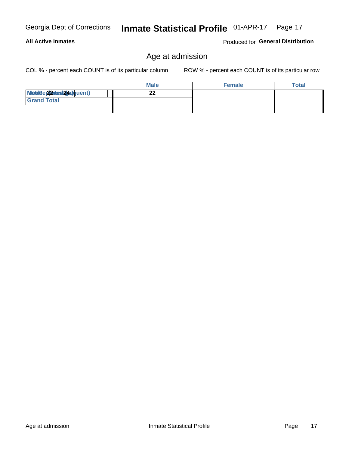#### **All Active Inmates**

Produced for General Distribution

### Age at admission

COL % - percent each COUNT is of its particular column

|                          | <b>Male</b> | <b>Female</b> | Total |
|--------------------------|-------------|---------------|-------|
| Modiae 22 Mesi24e)quent) |             |               |       |
| <b>Grand Total</b>       |             |               |       |
|                          |             |               |       |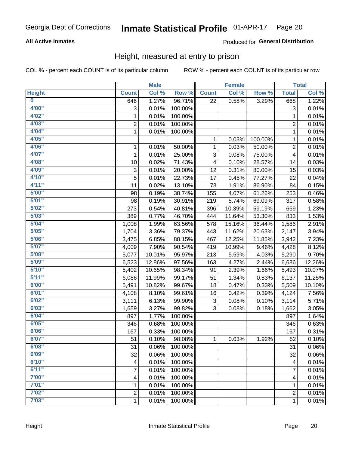#### **All Active Inmates**

#### Produced for General Distribution

### Height, measured at entry to prison

COL % - percent each COUNT is of its particular column

|                         |                | <b>Male</b> |         |              | <b>Female</b> |         |                | <b>Total</b> |
|-------------------------|----------------|-------------|---------|--------------|---------------|---------|----------------|--------------|
| <b>Height</b>           | <b>Count</b>   | Col %       | Row %   | <b>Count</b> | Col %         | Row %   | <b>Total</b>   | Col %        |
| $\overline{\mathbf{0}}$ | 646            | 1.27%       | 96.71%  | 22           | 0.58%         | 3.29%   | 668            | 1.22%        |
| 4'00"                   | 3              | 0.01%       | 100.00% |              |               |         | 3              | 0.01%        |
| 4'02"                   | $\mathbf{1}$   | 0.01%       | 100.00% |              |               |         | 1              | 0.01%        |
| 4'03''                  | $\overline{c}$ | 0.01%       | 100.00% |              |               |         | $\overline{c}$ | 0.01%        |
| 4'04"                   | $\mathbf{1}$   | 0.01%       | 100.00% |              |               |         | 1              | 0.01%        |
| 4'05"                   |                |             |         | 1            | 0.03%         | 100.00% | $\mathbf{1}$   | 0.01%        |
| 4'06"                   | $\mathbf{1}$   | 0.01%       | 50.00%  | 1            | 0.03%         | 50.00%  | $\overline{c}$ | 0.01%        |
| 4'07"                   | 1              | 0.01%       | 25.00%  | 3            | 0.08%         | 75.00%  | 4              | 0.01%        |
| 4'08"                   | 10             | 0.02%       | 71.43%  | 4            | 0.10%         | 28.57%  | 14             | 0.03%        |
| 4'09"                   | 3              | 0.01%       | 20.00%  | 12           | 0.31%         | 80.00%  | 15             | 0.03%        |
| 4'10"                   | 5              | 0.01%       | 22.73%  | 17           | 0.45%         | 77.27%  | 22             | 0.04%        |
| 4'11''                  | 11             | 0.02%       | 13.10%  | 73           | 1.91%         | 86.90%  | 84             | 0.15%        |
| 5'00''                  | 98             | 0.19%       | 38.74%  | 155          | 4.07%         | 61.26%  | 253            | 0.46%        |
| 5'01"                   | 98             | 0.19%       | 30.91%  | 219          | 5.74%         | 69.09%  | 317            | 0.58%        |
| 5'02"                   | 273            | 0.54%       | 40.81%  | 396          | 10.39%        | 59.19%  | 669            | 1.23%        |
| 5'03''                  | 389            | 0.77%       | 46.70%  | 444          | 11.64%        | 53.30%  | 833            | 1.53%        |
| 5'04"                   | 1,008          | 1.99%       | 63.56%  | 578          | 15.16%        | 36.44%  | 1,586          | 2.91%        |
| 5'05"                   | 1,704          | 3.36%       | 79.37%  | 443          | 11.62%        | 20.63%  | 2,147          | 3.94%        |
| 5'06''                  | 3,475          | 6.85%       | 88.15%  | 467          | 12.25%        | 11.85%  | 3,942          | 7.23%        |
| 5'07''                  | 4,009          | 7.90%       | 90.54%  | 419          | 10.99%        | 9.46%   | 4,428          | 8.12%        |
| 5'08''                  | 5,077          | 10.01%      | 95.97%  | 213          | 5.59%         | 4.03%   | 5,290          | 9.70%        |
| 5'09''                  | 6,523          | 12.86%      | 97.56%  | 163          | 4.27%         | 2.44%   | 6,686          | 12.26%       |
| 5'10''                  | 5,402          | 10.65%      | 98.34%  | 91           | 2.39%         | 1.66%   | 5,493          | 10.07%       |
| 5'11"                   | 6,086          | 11.99%      | 99.17%  | 51           | 1.34%         | 0.83%   | 6,137          | 11.25%       |
| 6'00''                  | 5,491          | 10.82%      | 99.67%  | 18           | 0.47%         | 0.33%   | 5,509          | 10.10%       |
| 6'01''                  | 4,108          | 8.10%       | 99.61%  | 16           | 0.42%         | 0.39%   | 4,124          | 7.56%        |
| 6'02"                   | 3,111          | 6.13%       | 99.90%  | 3            | 0.08%         | 0.10%   | 3,114          | 5.71%        |
| 6'03''                  | 1,659          | 3.27%       | 99.82%  | 3            | 0.08%         | 0.18%   | 1,662          | 3.05%        |
| 6'04"                   | 897            | 1.77%       | 100.00% |              |               |         | 897            | 1.64%        |
| 6'05"                   | 346            | 0.68%       | 100.00% |              |               |         | 346            | 0.63%        |
| 6'06''                  | 167            | 0.33%       | 100.00% |              |               |         | 167            | 0.31%        |
| 6'07"                   | 51             | 0.10%       | 98.08%  | 1.           | 0.03%         | 1.92%   | 52             | 0.10%        |
| 6'08"                   | 31             | 0.06%       | 100.00% |              |               |         | 31             | 0.06%        |
| 6'09''                  | 32             | 0.06%       | 100.00% |              |               |         | 32             | 0.06%        |
| 6'10''                  | 4              | 0.01%       | 100.00% |              |               |         | 4              | 0.01%        |
| 6'11''                  | 7              | 0.01%       | 100.00% |              |               |         | $\overline{7}$ | 0.01%        |
| 7'00"                   | 4              | 0.01%       | 100.00% |              |               |         | 4              | 0.01%        |
| 7'01''                  | 1              | 0.01%       | 100.00% |              |               |         | 1              | 0.01%        |
| 7'02"                   | $\overline{c}$ | 0.01%       | 100.00% |              |               |         | $\overline{c}$ | 0.01%        |
| 7'03''                  | $\mathbf{1}$   | 0.01%       | 100.00% |              |               |         | $\mathbf{1}$   | 0.01%        |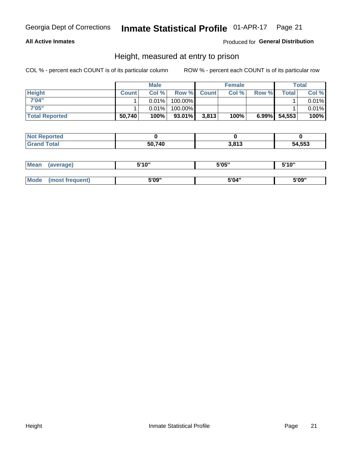#### **All Active Inmates**

#### Produced for General Distribution

### Height, measured at entry to prison

COL % - percent each COUNT is of its particular column

|                       |              | <b>Male</b> |           |             | <b>Female</b> |          |        | Total |
|-----------------------|--------------|-------------|-----------|-------------|---------------|----------|--------|-------|
| <b>Height</b>         | <b>Count</b> | Col%        |           | Row % Count | Col %         | Row %    | Total  | Col % |
| 7'04"                 |              | 0.01%       | 100.00%   |             |               |          |        | 0.01% |
| 7'05"                 |              | 0.01%       | 100.00%   |             |               |          |        | 0.01% |
| <b>Total Reported</b> | 50,740       | 100%        | $93.01\%$ | 3,813       | 100%          | $6.99\%$ | 54,553 | 100%  |

| <b>Not Reported</b> |        |       |        |
|---------------------|--------|-------|--------|
| <b>Grand Total</b>  | 50,740 | 3,813 | 54,553 |

| <b>Mean</b> | (average)       | 5'10" | 5'05" | 5'10"<br>u |
|-------------|-----------------|-------|-------|------------|
|             |                 |       |       |            |
| Mode        | (most frequent) | 5'09" | 5'04" | 5'09"      |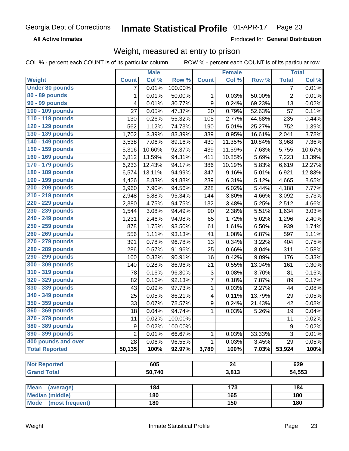**All Active Inmates** 

Produced for General Distribution

### Weight, measured at entry to prison

COL % - percent each COUNT is of its particular column

|                                                |                | <b>Male</b> |         |                           | <b>Female</b>   |        |                  | <b>Total</b> |
|------------------------------------------------|----------------|-------------|---------|---------------------------|-----------------|--------|------------------|--------------|
| Weight                                         | <b>Count</b>   | Col %       | Row %   | <b>Count</b>              | Col %           | Row %  | <b>Total</b>     | Col %        |
| <b>Under 80 pounds</b>                         | 7              | 0.01%       | 100.00% |                           |                 |        | $\overline{7}$   | 0.01%        |
| 80 - 89 pounds                                 | $\mathbf{1}$   | 0.01%       | 50.00%  | 1                         | 0.03%           | 50.00% | $\overline{c}$   | 0.01%        |
| 90 - 99 pounds                                 | 4              | 0.01%       | 30.77%  | 9                         | 0.24%           | 69.23% | 13               | 0.02%        |
| 100 - 109 pounds                               | 27             | 0.05%       | 47.37%  | 30                        | 0.79%           | 52.63% | 57               | 0.11%        |
| 110 - 119 pounds                               | 130            | 0.26%       | 55.32%  | 105                       | 2.77%           | 44.68% | 235              | 0.44%        |
| 120 - 129 pounds                               | 562            | 1.12%       | 74.73%  | 190                       | 5.01%           | 25.27% | 752              | 1.39%        |
| 130 - 139 pounds                               | 1,702          | 3.39%       | 83.39%  | 339                       | 8.95%           | 16.61% | 2,041            | 3.78%        |
| 140 - 149 pounds                               | 3,538          | 7.06%       | 89.16%  | 430                       | 11.35%          | 10.84% | 3,968            | 7.36%        |
| 150 - 159 pounds                               | 5,316          | 10.60%      | 92.37%  | 439                       | 11.59%          | 7.63%  | 5,755            | 10.67%       |
| 160 - 169 pounds                               | 6,812          | 13.59%      | 94.31%  | 411                       | 10.85%          | 5.69%  | 7,223            | 13.39%       |
| 170 - 179 pounds                               | 6,233          | 12.43%      | 94.17%  | 386                       | 10.19%          | 5.83%  | 6,619            | 12.27%       |
| 180 - 189 pounds                               | 6,574          | 13.11%      | 94.99%  | 347                       | 9.16%           | 5.01%  | 6,921            | 12.83%       |
| 190 - 199 pounds                               | 4,426          | 8.83%       | 94.88%  | 239                       | 6.31%           | 5.12%  | 4,665            | 8.65%        |
| 200 - 209 pounds                               | 3,960          | 7.90%       | 94.56%  | 228                       | 6.02%           | 5.44%  | 4,188            | 7.77%        |
| 210 - 219 pounds                               | 2,948          | 5.88%       | 95.34%  | 144                       | 3.80%           | 4.66%  | 3,092            | 5.73%        |
| 220 - 229 pounds                               | 2,380          | 4.75%       | 94.75%  | 132                       | 3.48%           | 5.25%  | 2,512            | 4.66%        |
| 230 - 239 pounds                               | 1,544          | 3.08%       | 94.49%  | 90                        | 2.38%           | 5.51%  | 1,634            | 3.03%        |
| 240 - 249 pounds                               | 1,231          | 2.46%       | 94.98%  | 65                        | 1.72%           | 5.02%  | 1,296            | 2.40%        |
| 250 - 259 pounds                               | 878            | 1.75%       | 93.50%  | 61                        | 1.61%           | 6.50%  | 939              | 1.74%        |
| 260 - 269 pounds                               | 556            | 1.11%       | 93.13%  | 41                        | 1.08%           | 6.87%  | 597              | 1.11%        |
| 270 - 279 pounds                               | 391            | 0.78%       | 96.78%  | 13                        | 0.34%           | 3.22%  | 404              | 0.75%        |
| 280 - 289 pounds                               | 286            | 0.57%       | 91.96%  | 25                        | 0.66%           | 8.04%  | 311              | 0.58%        |
| 290 - 299 pounds                               | 160            | 0.32%       | 90.91%  | 16                        | 0.42%           | 9.09%  | 176              | 0.33%        |
| 300 - 309 pounds                               | 140            | 0.28%       | 86.96%  | 21                        | 0.55%           | 13.04% | 161              | 0.30%        |
| 310 - 319 pounds                               | 78             | 0.16%       | 96.30%  | $\ensuremath{\mathsf{3}}$ | 0.08%           | 3.70%  | 81               | 0.15%        |
| 320 - 329 pounds                               | 82             | 0.16%       | 92.13%  | $\overline{7}$            | 0.18%           | 7.87%  | 89               | 0.17%        |
| 330 - 339 pounds                               | 43             | 0.09%       | 97.73%  | 1                         | 0.03%           | 2.27%  | 44               | 0.08%        |
| 340 - 349 pounds                               | 25             | 0.05%       | 86.21%  | 4                         | 0.11%           | 13.79% | 29               | 0.05%        |
| 350 - 359 pounds                               | 33             | 0.07%       | 78.57%  | $\boldsymbol{9}$          | 0.24%           | 21.43% | 42               | 0.08%        |
| 360 - 369 pounds                               | 18             | 0.04%       | 94.74%  | 1                         | 0.03%           | 5.26%  | 19               | 0.04%        |
| 370 - 379 pounds                               | 11             | 0.02%       | 100.00% |                           |                 |        | 11               | 0.02%        |
| 380 - 389 pounds                               | 9              | 0.02%       | 100.00% |                           |                 |        | $\boldsymbol{9}$ | 0.02%        |
| 390 - 399 pounds                               | $\overline{2}$ | 0.01%       | 66.67%  | 1                         | 0.03%           | 33.33% | 3                | 0.01%        |
| 400 pounds and over                            | 28             | 0.06%       | 96.55%  | 1                         | 0.03%           | 3.45%  | 29               | 0.05%        |
| <b>Total Reported</b>                          | 50,135         | 100%        | 92.97%  | 3,789                     | 100%            | 7.03%  | 53,924           | 100%         |
|                                                |                |             |         |                           |                 |        |                  |              |
| <b>Not Reported</b>                            |                | 605         |         |                           | $\overline{24}$ |        |                  | 629          |
| <b>Grand Total</b>                             |                | 50,740      |         | 3,813                     |                 |        |                  | 54,553       |
|                                                |                |             |         |                           |                 |        |                  |              |
| <b>Mean</b><br>(average)                       |                | 184         |         |                           | 173<br>165      |        |                  | 184          |
| <b>Median (middle)</b><br>Mode (most frequent) |                | 180<br>180  |         |                           | 150             |        |                  | 180<br>180   |
|                                                |                |             |         |                           |                 |        |                  |              |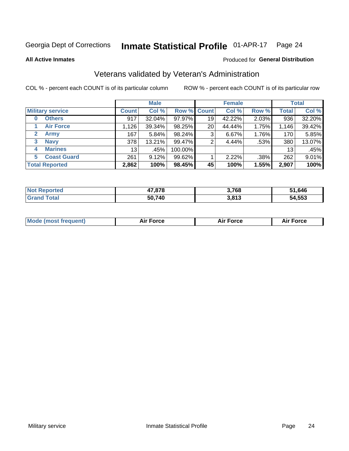#### Inmate Statistical Profile 01-APR-17 Page 24

**All Active Inmates** 

#### Produced for General Distribution

### Veterans validated by Veteran's Administration

COL % - percent each COUNT is of its particular column

|                             |                 | <b>Male</b> |             |    | <b>Female</b> |       |              | <b>Total</b> |
|-----------------------------|-----------------|-------------|-------------|----|---------------|-------|--------------|--------------|
| <b>Military service</b>     | <b>Count</b>    | Col %       | Row % Count |    | Col %         | Row % | <b>Total</b> | Col %        |
| <b>Others</b><br>0          | 917             | 32.04%      | 97.97%      | 19 | 42.22%        | 2.03% | 936          | 32.20%       |
| <b>Air Force</b>            | 1,126           | 39.34%      | 98.25%      | 20 | 44.44%        | 1.75% | 1,146        | 39.42%       |
| <b>Army</b><br>$\mathbf{2}$ | 167             | 5.84%       | 98.24%      | 3  | 6.67%         | 1.76% | 170          | 5.85%        |
| <b>Navy</b><br>3            | 378             | 13.21%      | 99.47%      | 2  | 4.44%         | .53%  | 380          | 13.07%       |
| <b>Marines</b><br>4         | 13 <sub>1</sub> | .45%        | 100.00%     |    |               |       | 13           | .45%         |
| <b>Coast Guard</b><br>5.    | 261             | 9.12%       | 99.62%      |    | 2.22%         | .38%  | 262          | 9.01%        |
| <b>Total Reported</b>       | 2,862           | 100%        | 98.45%      | 45 | 100%          | 1.55% | 2,907        | 100%         |

| тео<br>N | 17,878 | 3,768           | 51,646 |
|----------|--------|-----------------|--------|
|          | 50,740 | 2012<br>J.O I J | 54,553 |

| Mode (most frequent) | Force | <b>Force</b> | <b>orce</b> |
|----------------------|-------|--------------|-------------|
|                      |       |              |             |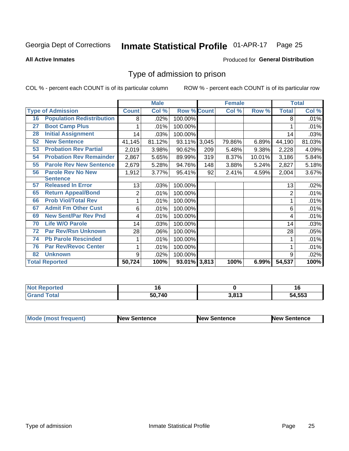#### Inmate Statistical Profile 01-APR-17 Page 25

**All Active Inmates** 

#### Produced for General Distribution

### Type of admission to prison

COL % - percent each COUNT is of its particular column

|    |                                  |              | <b>Male</b> |                    |     | <b>Female</b> |        |                | <b>Total</b> |
|----|----------------------------------|--------------|-------------|--------------------|-----|---------------|--------|----------------|--------------|
|    | <b>Type of Admission</b>         | <b>Count</b> | Col %       | <b>Row % Count</b> |     | Col %         | Row %  | <b>Total</b>   | Col %        |
| 16 | <b>Population Redistribution</b> | 8            | .02%        | 100.00%            |     |               |        | 8              | .01%         |
| 27 | <b>Boot Camp Plus</b>            |              | .01%        | 100.00%            |     |               |        |                | .01%         |
| 28 | <b>Initial Assignment</b>        | 14           | .03%        | 100.00%            |     |               |        | 14             | .03%         |
| 52 | <b>New Sentence</b>              | 41,145       | 81.12%      | 93.11% 3,045       |     | 79.86%        | 6.89%  | 44,190         | 81.03%       |
| 53 | <b>Probation Rev Partial</b>     | 2,019        | 3.98%       | 90.62%             | 209 | 5.48%         | 9.38%  | 2,228          | 4.09%        |
| 54 | <b>Probation Rev Remainder</b>   | 2,867        | 5.65%       | 89.99%             | 319 | 8.37%         | 10.01% | 3,186          | 5.84%        |
| 55 | <b>Parole Rev New Sentence</b>   | 2,679        | 5.28%       | 94.76%             | 148 | 3.88%         | 5.24%  | 2,827          | 5.18%        |
| 56 | <b>Parole Rev No New</b>         | 1,912        | 3.77%       | 95.41%             | 92  | 2.41%         | 4.59%  | 2,004          | 3.67%        |
|    | <b>Sentence</b>                  |              |             |                    |     |               |        |                |              |
| 57 | <b>Released In Error</b>         | 13           | .03%        | 100.00%            |     |               |        | 13             | .02%         |
| 65 | <b>Return Appeal/Bond</b>        | 2            | .01%        | 100.00%            |     |               |        | $\overline{2}$ | .01%         |
| 66 | <b>Prob Viol/Total Rev</b>       | 1            | .01%        | 100.00%            |     |               |        |                | .01%         |
| 67 | <b>Admit Fm Other Cust</b>       | 6            | .01%        | 100.00%            |     |               |        | 6              | .01%         |
| 69 | <b>New Sent/Par Rev Pnd</b>      | 4            | .01%        | 100.00%            |     |               |        | 4              | .01%         |
| 70 | <b>Life W/O Parole</b>           | 14           | .03%        | 100.00%            |     |               |        | 14             | .03%         |
| 72 | <b>Par Rev/Rsn Unknown</b>       | 28           | .06%        | 100.00%            |     |               |        | 28             | .05%         |
| 74 | <b>Pb Parole Rescinded</b>       |              | .01%        | 100.00%            |     |               |        |                | .01%         |
| 76 | <b>Par Rev/Revoc Center</b>      | 1            | .01%        | 100.00%            |     |               |        |                | .01%         |
| 82 | <b>Unknown</b>                   | 9            | .02%        | 100.00%            |     |               |        | 9              | .02%         |
|    | <b>Total Reported</b>            | 50,724       | 100%        | 93.01% 3,813       |     | 100%          | 6.99%  | 54,537         | 100%         |

| rteo<br>N.  |        |                 | 1 U    |
|-------------|--------|-----------------|--------|
| $C = 4 - 7$ | 50.740 | 2042<br>J.U I J | 54,553 |

| Mode (most frequent) | <b>New Sentence</b> | <b>New Sentence</b> | <b>New Sentence</b> |
|----------------------|---------------------|---------------------|---------------------|
|                      |                     |                     |                     |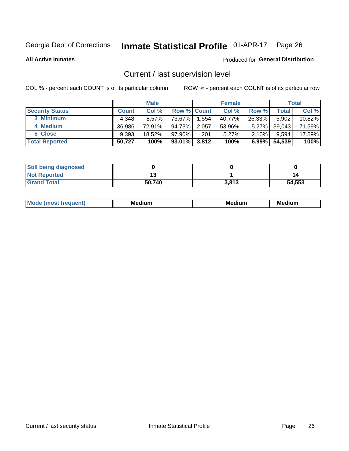## Inmate Statistical Profile 01-APR-17 Page 26

**All Active Inmates** 

#### Produced for General Distribution

### Current / last supervision level

COL % - percent each COUNT is of its particular column

|                        |              | <b>Male</b> |                    |       | <b>Female</b> |          |        | <b>Total</b> |
|------------------------|--------------|-------------|--------------------|-------|---------------|----------|--------|--------------|
| <b>Security Status</b> | <b>Count</b> | Col %       | <b>Row % Count</b> |       | Col %         | Row %    | Total  | Col %        |
| 3 Minimum              | 4.348        | $8.57\%$    | 73.67%             | 1,554 | 40.77%        | 26.33%   | 5,902  | 10.82%       |
| 4 Medium               | 36.986       | 72.91%      | 94.73%             | 2,057 | 53.96%        | $5.27\%$ | 39,043 | 71.59%       |
| 5 Close                | 9,393        | 18.52%      | $97.90\%$          | 201   | 5.27%         | $2.10\%$ | 9,594  | 17.59%       |
| <b>Total Reported</b>  | 50,727       | 100%        | 93.01%             | 3,812 | 100%          | $6.99\%$ | 54,539 | 100%         |

| <b>Still being diagnosed</b> |        |       |        |
|------------------------------|--------|-------|--------|
| <b>Not Reported</b>          |        |       | 14     |
| <b>Grand Total</b>           | 50,740 | 3,813 | 54,553 |

| M | . | -- |
|---|---|----|
|   |   |    |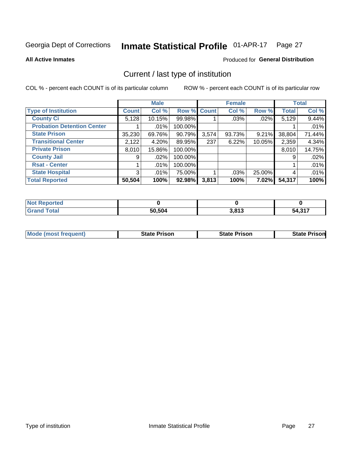#### Inmate Statistical Profile 01-APR-17 Page 27

**All Active Inmates** 

#### Produced for General Distribution

### Current / last type of institution

COL % - percent each COUNT is of its particular column

|                                   |                | <b>Male</b> |             |       | <b>Female</b> |          |              | <b>Total</b> |
|-----------------------------------|----------------|-------------|-------------|-------|---------------|----------|--------------|--------------|
| <b>Type of Institution</b>        | <b>Count</b>   | Col %       | Row % Count |       | Col %         | Row %    | <b>Total</b> | Col %        |
| <b>County Ci</b>                  | 5,128          | 10.15%      | 99.98%      |       | .03%          | .02%     | 5,129        | 9.44%        |
| <b>Probation Detention Center</b> |                | $.01\%$     | 100.00%     |       |               |          |              | .01%         |
| <b>State Prison</b>               | 35,230         | 69.76%      | 90.79%      | 3,574 | 93.73%        | 9.21%    | 38,804       | 71.44%       |
| <b>Transitional Center</b>        | 2,122          | 4.20%       | 89.95%      | 237   | 6.22%         | 10.05%   | 2,359        | 4.34%        |
| <b>Private Prison</b>             | 8,010          | 15.86%      | 100.00%     |       |               |          | 8,010        | 14.75%       |
| <b>County Jail</b>                | 9 <sub>1</sub> | .02%        | 100.00%     |       |               |          | 9            | .02%         |
| <b>Rsat - Center</b>              |                | $.01\%$     | 100.00%     |       |               |          |              | .01%         |
| <b>State Hospital</b>             | 3              | $.01\%$     | 75.00%      |       | .03%          | 25.00%   | 4            | .01%         |
| <b>Total Reported</b>             | 50,504         | 100%        | 92.98%      | 3,813 | 100%          | $7.02\%$ | 54,317       | 100%         |

| <b>Not Reported</b> |        |       |        |
|---------------------|--------|-------|--------|
| <b>Grand Total</b>  | 50,504 | 3,813 | 54,317 |

| Mode (most frequent) | <b>State Prison</b> | <b>State Prison</b> | <b>State Prisonl</b> |
|----------------------|---------------------|---------------------|----------------------|
|                      |                     |                     |                      |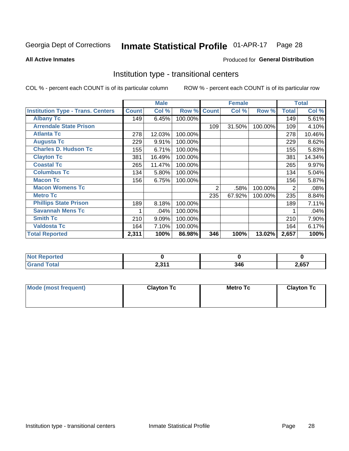#### Inmate Statistical Profile 01-APR-17 Page 28

**All Active Inmates** 

#### Produced for General Distribution

### Institution type - transitional centers

COL % - percent each COUNT is of its particular column

|                                          |              | <b>Male</b> |         |              | <b>Female</b> |         |              | <b>Total</b> |
|------------------------------------------|--------------|-------------|---------|--------------|---------------|---------|--------------|--------------|
| <b>Institution Type - Trans. Centers</b> | <b>Count</b> | Col %       | Row %   | <b>Count</b> | Col %         | Row %   | <b>Total</b> | Col %        |
| <b>Albany Tc</b>                         | 149          | 6.45%       | 100.00% |              |               |         | 149          | 5.61%        |
| <b>Arrendale State Prison</b>            |              |             |         | 109          | 31.50%        | 100.00% | 109          | 4.10%        |
| <b>Atlanta Tc</b>                        | 278          | 12.03%      | 100.00% |              |               |         | 278          | 10.46%       |
| <b>Augusta Tc</b>                        | 229          | 9.91%       | 100.00% |              |               |         | 229          | 8.62%        |
| <b>Charles D. Hudson Tc</b>              | 155          | 6.71%       | 100.00% |              |               |         | 155          | 5.83%        |
| <b>Clayton Tc</b>                        | 381          | 16.49%      | 100.00% |              |               |         | 381          | 14.34%       |
| <b>Coastal Tc</b>                        | 265          | 11.47%      | 100.00% |              |               |         | 265          | 9.97%        |
| <b>Columbus Tc</b>                       | 134          | 5.80%       | 100.00% |              |               |         | 134          | 5.04%        |
| <b>Macon Tc</b>                          | 156          | 6.75%       | 100.00% |              |               |         | 156          | 5.87%        |
| <b>Macon Womens Tc</b>                   |              |             |         | 2            | .58%          | 100.00% | 2            | .08%         |
| <b>Metro Tc</b>                          |              |             |         | 235          | 67.92%        | 100.00% | 235          | 8.84%        |
| <b>Phillips State Prison</b>             | 189          | 8.18%       | 100.00% |              |               |         | 189          | 7.11%        |
| <b>Savannah Mens Tc</b>                  |              | .04%        | 100.00% |              |               |         |              | .04%         |
| <b>Smith Tc</b>                          | 210          | 9.09%       | 100.00% |              |               |         | 210          | 7.90%        |
| <b>Valdosta Tc</b>                       | 164          | 7.10%       | 100.00% |              |               |         | 164          | 6.17%        |
| <b>Total Reported</b>                    | 2,311        | 100%        | 86.98%  | 346          | 100%          | 13.02%  | 2,657        | 100%         |

| τeα             |                  |      |              |
|-----------------|------------------|------|--------------|
| $\sim$ . $\sim$ | 0.244<br>4,0 L L | 21 G | <b>2 CET</b> |

| Mode (most frequent) | <b>Clayton Tc</b> | Metro Tc | <b>Clayton Tc</b> |
|----------------------|-------------------|----------|-------------------|
|                      |                   |          |                   |
|                      |                   |          |                   |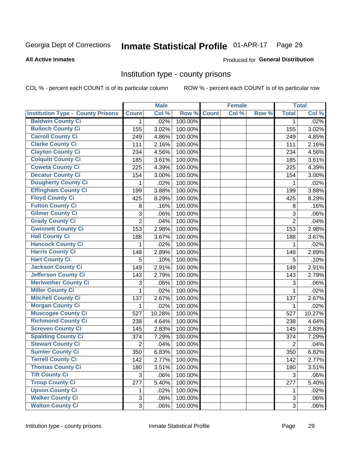## Inmate Statistical Profile 01-APR-17 Page 29

#### **All Active Inmates**

#### **Produced for General Distribution**

#### Institution type - county prisons

COL % - percent each COUNT is of its particular column

|                                          |                | <b>Male</b> |         |              | <b>Female</b> |       |                | <b>Total</b> |
|------------------------------------------|----------------|-------------|---------|--------------|---------------|-------|----------------|--------------|
| <b>Institution Type - County Prisons</b> | <b>Count</b>   | Col %       | Row %   | <b>Count</b> | Col %         | Row % | <b>Total</b>   | Col %        |
| <b>Baldwin County Ci</b>                 | $\mathbf{1}$   | .02%        | 100.00% |              |               |       | $\mathbf 1$    | .02%         |
| <b>Bulloch County Ci</b>                 | 155            | 3.02%       | 100.00% |              |               |       | 155            | 3.02%        |
| <b>Carroll County Ci</b>                 | 249            | 4.86%       | 100.00% |              |               |       | 249            | 4.85%        |
| <b>Clarke County Ci</b>                  | 111            | 2.16%       | 100.00% |              |               |       | 111            | 2.16%        |
| <b>Clayton County Ci</b>                 | 234            | 4.56%       | 100.00% |              |               |       | 234            | 4.56%        |
| <b>Colquitt County Ci</b>                | 185            | 3.61%       | 100.00% |              |               |       | 185            | 3.61%        |
| <b>Coweta County Ci</b>                  | 225            | 4.39%       | 100.00% |              |               |       | 225            | 4.39%        |
| <b>Decatur County Ci</b>                 | 154            | 3.00%       | 100.00% |              |               |       | 154            | 3.00%        |
| <b>Dougherty County Ci</b>               | 1              | .02%        | 100.00% |              |               |       | 1              | .02%         |
| <b>Effingham County Ci</b>               | 199            | 3.88%       | 100.00% |              |               |       | 199            | 3.88%        |
| <b>Floyd County Ci</b>                   | 425            | 8.29%       | 100.00% |              |               |       | 425            | 8.29%        |
| <b>Fulton County Ci</b>                  | 8              | .16%        | 100.00% |              |               |       | $\,8\,$        | .16%         |
| <b>Gilmer County Ci</b>                  | $\mathbf{3}$   | .06%        | 100.00% |              |               |       | 3              | .06%         |
| <b>Grady County Ci</b>                   | $\overline{c}$ | .04%        | 100.00% |              |               |       | $\overline{2}$ | .04%         |
| <b>Gwinnett County Ci</b>                | 153            | 2.98%       | 100.00% |              |               |       | 153            | 2.98%        |
| <b>Hall County Ci</b>                    | 188            | 3.67%       | 100.00% |              |               |       | 188            | 3.67%        |
| <b>Hancock County Ci</b>                 | 1              | .02%        | 100.00% |              |               |       | 1              | .02%         |
| <b>Harris County Ci</b>                  | 148            | 2.89%       | 100.00% |              |               |       | 148            | 2.89%        |
| <b>Hart County Ci</b>                    | 5              | .10%        | 100.00% |              |               |       | 5              | .10%         |
| <b>Jackson County Ci</b>                 | 149            | 2.91%       | 100.00% |              |               |       | 149            | 2.91%        |
| <b>Jefferson County Ci</b>               | 143            | 2.79%       | 100.00% |              |               |       | 143            | 2.79%        |
| <b>Meriwether County Ci</b>              | 3              | .06%        | 100.00% |              |               |       | 3              | .06%         |
| <b>Miller County Ci</b>                  | 1              | .02%        | 100.00% |              |               |       | 1              | .02%         |
| <b>Mitchell County Ci</b>                | 137            | 2.67%       | 100.00% |              |               |       | 137            | 2.67%        |
| <b>Morgan County Ci</b>                  | 1              | .02%        | 100.00% |              |               |       | 1              | .02%         |
| <b>Muscogee County Ci</b>                | 527            | 10.28%      | 100.00% |              |               |       | 527            | 10.27%       |
| <b>Richmond County Ci</b>                | 238            | 4.64%       | 100.00% |              |               |       | 238            | 4.64%        |
| <b>Screven County Ci</b>                 | 145            | 2.83%       | 100.00% |              |               |       | 145            | 2.83%        |
| <b>Spalding County Ci</b>                | 374            | 7.29%       | 100.00% |              |               |       | 374            | 7.29%        |
| <b>Stewart County Ci</b>                 | $\overline{2}$ | .04%        | 100.00% |              |               |       | $\overline{2}$ | .04%         |
| <b>Sumter County Ci</b>                  | 350            | 6.83%       | 100.00% |              |               |       | 350            | 6.82%        |
| <b>Terrell County Ci</b>                 | 142            | 2.77%       | 100.00% |              |               |       | 142            | 2.77%        |
| <b>Thomas County Ci</b>                  | 180            | 3.51%       | 100.00% |              |               |       | 180            | 3.51%        |
| <b>Tift County Ci</b>                    | 3              | .06%        | 100.00% |              |               |       | 3              | .06%         |
| <b>Troup County Ci</b>                   | 277            | 5.40%       | 100.00% |              |               |       | 277            | 5.40%        |
| <b>Upson County Ci</b>                   | 1              | .02%        | 100.00% |              |               |       | 1              | .02%         |
| <b>Walker County Ci</b>                  | $\mathbf{3}$   | .06%        | 100.00% |              |               |       | 3              | .06%         |
| <b>Walton County Ci</b>                  | 3              | .06%        | 100.00% |              |               |       | 3              | .06%         |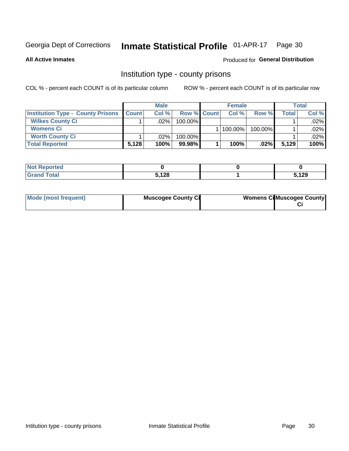## Inmate Statistical Profile 01-APR-17 Page 30

**All Active Inmates** 

#### Produced for General Distribution

#### Institution type - county prisons

COL % - percent each COUNT is of its particular column

|                                          |              | <b>Male</b> |                    | <b>Female</b> |         |       | <b>Total</b> |
|------------------------------------------|--------------|-------------|--------------------|---------------|---------|-------|--------------|
| <b>Institution Type - County Prisons</b> | <b>Count</b> | Col%        | <b>Row % Count</b> | Col%          | Row %   | Total | Col %        |
| <b>Wilkes County Ci</b>                  |              | .02%        | 100.00%            |               |         |       | $.02\%$      |
| <b>Womens Ci</b>                         |              |             |                    | 100.00%       | 100.00% |       | .02%         |
| <b>Worth County Ci</b>                   |              | $.02\%$     | 100.00%            |               |         |       | $.02\%$      |
| <b>Total Reported</b>                    | 5,128        | 100%        | $99.98\%$          | 100%          | $.02\%$ | 5,129 | 100%         |

| - 191<br>τeα                |       |       |
|-----------------------------|-------|-------|
| $\sim$ $\sim$ $\sim$ $\sim$ | 5,128 | 5,129 |

| Mode (most frequent) | <b>Muscogee County Ci</b> | <b>Womens Ci</b> Muscogee County |
|----------------------|---------------------------|----------------------------------|
|----------------------|---------------------------|----------------------------------|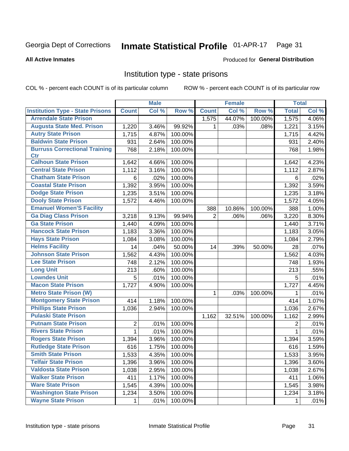#### Inmate Statistical Profile 01-APR-17 Page 31

#### **All Active Inmates**

#### Produced for General Distribution

#### Institution type - state prisons

COL % - percent each COUNT is of its particular column

|                                         |                | <b>Male</b> |         |                | <b>Female</b> |         | <b>Total</b> |       |
|-----------------------------------------|----------------|-------------|---------|----------------|---------------|---------|--------------|-------|
| <b>Institution Type - State Prisons</b> | <b>Count</b>   | Col %       | Row %   | <b>Count</b>   | Col %         | Row %   | <b>Total</b> | Col % |
| <b>Arrendale State Prison</b>           |                |             |         | 1,575          | 44.07%        | 100.00% | 1,575        | 4.06% |
| <b>Augusta State Med. Prison</b>        | 1,220          | 3.46%       | 99.92%  | 1              | .03%          | .08%    | 1,221        | 3.15% |
| <b>Autry State Prison</b>               | 1,715          | 4.87%       | 100.00% |                |               |         | 1,715        | 4.42% |
| <b>Baldwin State Prison</b>             | 931            | 2.64%       | 100.00% |                |               |         | 931          | 2.40% |
| <b>Burruss Correctional Training</b>    | 768            | 2.18%       | 100.00% |                |               |         | 768          | 1.98% |
| <b>Ctr</b>                              |                |             |         |                |               |         |              |       |
| <b>Calhoun State Prison</b>             | 1,642          | 4.66%       | 100.00% |                |               |         | 1,642        | 4.23% |
| <b>Central State Prison</b>             | 1,112          | 3.16%       | 100.00% |                |               |         | 1,112        | 2.87% |
| <b>Chatham State Prison</b>             | 6              | .02%        | 100.00% |                |               |         | 6            | .02%  |
| <b>Coastal State Prison</b>             | 1,392          | 3.95%       | 100.00% |                |               |         | 1,392        | 3.59% |
| <b>Dodge State Prison</b>               | 1,235          | 3.51%       | 100.00% |                |               |         | 1,235        | 3.18% |
| <b>Dooly State Prison</b>               | 1,572          | 4.46%       | 100.00% |                |               |         | 1,572        | 4.05% |
| <b>Emanuel Women'S Facility</b>         |                |             |         | 388            | 10.86%        | 100.00% | 388          | 1.00% |
| <b>Ga Diag Class Prison</b>             | 3,218          | 9.13%       | 99.94%  | $\overline{2}$ | .06%          | .06%    | 3,220        | 8.30% |
| <b>Ga State Prison</b>                  | 1,440          | 4.09%       | 100.00% |                |               |         | 1,440        | 3.71% |
| <b>Hancock State Prison</b>             | 1,183          | 3.36%       | 100.00% |                |               |         | 1,183        | 3.05% |
| <b>Hays State Prison</b>                | 1,084          | 3.08%       | 100.00% |                |               |         | 1,084        | 2.79% |
| <b>Helms Facility</b>                   | 14             | .04%        | 50.00%  | 14             | .39%          | 50.00%  | 28           | .07%  |
| <b>Johnson State Prison</b>             | 1,562          | 4.43%       | 100.00% |                |               |         | 1,562        | 4.03% |
| <b>Lee State Prison</b>                 | 748            | 2.12%       | 100.00% |                |               |         | 748          | 1.93% |
| <b>Long Unit</b>                        | 213            | .60%        | 100.00% |                |               |         | 213          | .55%  |
| <b>Lowndes Unit</b>                     | 5              | .01%        | 100.00% |                |               |         | 5            | .01%  |
| <b>Macon State Prison</b>               | 1,727          | 4.90%       | 100.00% |                |               |         | 1,727        | 4.45% |
| <b>Metro State Prison (W)</b>           |                |             |         | 1              | .03%          | 100.00% | 1            | .01%  |
| <b>Montgomery State Prison</b>          | 414            | 1.18%       | 100.00% |                |               |         | 414          | 1.07% |
| <b>Phillips State Prison</b>            | 1,036          | 2.94%       | 100.00% |                |               |         | 1,036        | 2.67% |
| <b>Pulaski State Prison</b>             |                |             |         | 1,162          | 32.51%        | 100.00% | 1,162        | 2.99% |
| <b>Putnam State Prison</b>              | $\overline{2}$ | .01%        | 100.00% |                |               |         | 2            | .01%  |
| <b>Rivers State Prison</b>              | $\mathbf{1}$   | .01%        | 100.00% |                |               |         | 1            | .01%  |
| <b>Rogers State Prison</b>              | 1,394          | 3.96%       | 100.00% |                |               |         | 1,394        | 3.59% |
| <b>Rutledge State Prison</b>            | 616            | 1.75%       | 100.00% |                |               |         | 616          | 1.59% |
| <b>Smith State Prison</b>               | 1,533          | 4.35%       | 100.00% |                |               |         | 1,533        | 3.95% |
| <b>Telfair State Prison</b>             | 1,396          | 3.96%       | 100.00% |                |               |         | 1,396        | 3.60% |
| <b>Valdosta State Prison</b>            | 1,038          | 2.95%       | 100.00% |                |               |         | 1,038        | 2.67% |
| <b>Walker State Prison</b>              | 411            | 1.17%       | 100.00% |                |               |         | 411          | 1.06% |
| <b>Ware State Prison</b>                | 1,545          | 4.39%       | 100.00% |                |               |         | 1,545        | 3.98% |
| <b>Washington State Prison</b>          | 1,234          | 3.50%       | 100.00% |                |               |         | 1,234        | 3.18% |
| <b>Wayne State Prison</b>               | 1              | .01%        | 100.00% |                |               |         | 1            | .01%  |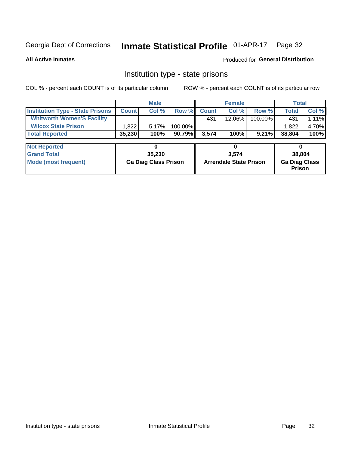#### Inmate Statistical Profile 01-APR-17 Page 32

**All Active Inmates** 

Produced for General Distribution

### Institution type - state prisons

COL % - percent each COUNT is of its particular column

|                                         |              | <b>Male</b>                 |         |              | <b>Female</b>                 |         | <b>Total</b>                   |        |
|-----------------------------------------|--------------|-----------------------------|---------|--------------|-------------------------------|---------|--------------------------------|--------|
| <b>Institution Type - State Prisons</b> | <b>Count</b> | Col %                       | Row %   | <b>Count</b> | Col %                         | Row %   | <b>Total</b>                   | Col %  |
| <b>Whitworth Women'S Facility</b>       |              |                             |         | 431          | $12.06\%$                     | 100.00% | 431                            | 1.11%  |
| <b>Wilcox State Prison</b>              | 1,822        | 5.17%                       | 100.00% |              |                               |         | 1,822                          | 4.70%  |
| <b>Total Reported</b>                   | 35,230       | 100%                        | 90.79%  | 3,574        | 100%                          | 9.21%   | 38,804                         | 100%   |
|                                         |              |                             |         |              |                               |         |                                |        |
| <b>Not Reported</b>                     |              | 0                           |         |              | 0                             |         | 0                              |        |
| <b>Grand Total</b>                      |              | 35,230                      |         |              | 3,574                         |         |                                | 38,804 |
| <b>Mode (most frequent)</b>             |              | <b>Ga Diag Class Prison</b> |         |              | <b>Arrendale State Prison</b> |         | <b>Ga Diag Class</b><br>Prison |        |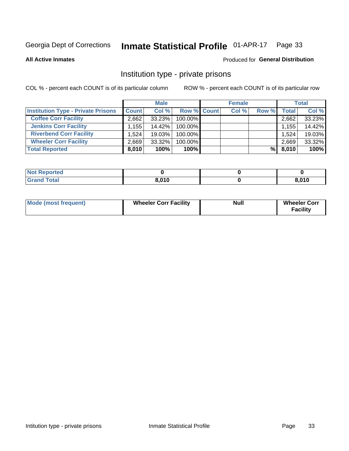## Inmate Statistical Profile 01-APR-17 Page 33

**All Active Inmates** 

#### Produced for General Distribution

### Institution type - private prisons

COL % - percent each COUNT is of its particular column

|                                           |                   | <b>Male</b> |                    | <b>Female</b> |       |       | <b>Total</b> |
|-------------------------------------------|-------------------|-------------|--------------------|---------------|-------|-------|--------------|
| <b>Institution Type - Private Prisons</b> | <b>Count</b>      | Col %       | <b>Row % Count</b> | Col %         | Row % | Total | Col %        |
| <b>Coffee Corr Facility</b>               | 2.662             | 33.23%      | 100.00%            |               |       | 2,662 | 33.23%       |
| <b>Jenkins Corr Facility</b>              | $.155$ $^{\circ}$ | 14.42%      | 100.00%            |               |       | 1,155 | 14.42%       |
| <b>Riverbend Corr Facility</b>            | 1.524             | 19.03%      | 100.00%            |               |       | 1,524 | 19.03%       |
| <b>Wheeler Corr Facility</b>              | 2.669             | 33.32%      | 100.00%            |               |       | 2,669 | 33.32%       |
| <b>Total Reported</b>                     | 8,010             | 100%        | $100\%$            |               | %     | 8,010 | 100%         |

| 'Noi<br><b>Reported</b> |       |       |
|-------------------------|-------|-------|
| <b>otal</b>             | 8,010 | 8,010 |

| <b>Mode (most frequent)</b> | <b>Wheeler Corr Facility</b> | <b>Null</b> | <b>Wheeler Corr</b><br><b>Facility</b> |
|-----------------------------|------------------------------|-------------|----------------------------------------|
|-----------------------------|------------------------------|-------------|----------------------------------------|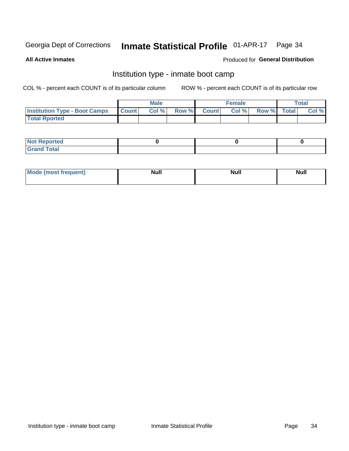#### Inmate Statistical Profile 01-APR-17 Page 34

**All Active Inmates** 

#### Produced for General Distribution

### Institution type - inmate boot camp

COL % - percent each COUNT is of its particular column

|                                      |              | <b>Male</b> |               |              | <b>Female</b> |             | <b>Total</b> |
|--------------------------------------|--------------|-------------|---------------|--------------|---------------|-------------|--------------|
| <b>Institution Type - Boot Camps</b> | <b>Count</b> | Col %       | <b>Row %I</b> | <b>Count</b> | Col %         | Row % Total | Col %        |
| <b>Total Rported</b>                 |              |             |               |              |               |             |              |

| <b>Not Reported</b>            |  |  |
|--------------------------------|--|--|
| <b>Total</b><br>C <sub>r</sub> |  |  |

| Mod<br>uamo | Nul.<br>$- - - - - -$ | <b>Null</b> | <br>uu.<br>------ |
|-------------|-----------------------|-------------|-------------------|
|             |                       |             |                   |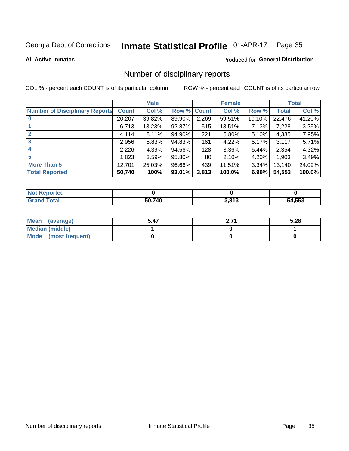#### Inmate Statistical Profile 01-APR-17 Page 35

**All Active Inmates** 

#### Produced for General Distribution

### Number of disciplinary reports

COL % - percent each COUNT is of its particular column

|                                       |              | <b>Male</b> |             |       | <b>Female</b> |          |              | <b>Total</b> |
|---------------------------------------|--------------|-------------|-------------|-------|---------------|----------|--------------|--------------|
| <b>Number of Disciplinary Reports</b> | <b>Count</b> | Col %       | Row % Count |       | Col %         | Row %    | <b>Total</b> | Col %        |
| $\bf{0}$                              | 20,207       | 39.82%      | 89.90%      | 2,269 | 59.51%        | 10.10%   | 22,476       | 41.20%       |
|                                       | 6,713        | 13.23%      | $92.87\%$   | 515   | 13.51%        | 7.13%    | 7,228        | 13.25%       |
| $\overline{2}$                        | 4,114        | 8.11%       | 94.90%      | 221   | 5.80%         | $5.10\%$ | 4,335        | 7.95%        |
| 3                                     | 2,956        | 5.83%       | 94.83%      | 161   | 4.22%         | 5.17%    | 3,117        | 5.71%        |
|                                       | 2,226        | 4.39%       | 94.56%      | 128   | 3.36%         | 5.44%    | 2,354        | 4.32%        |
| 5                                     | 1.8231       | 3.59%       | 95.80%      | 80    | 2.10%         | 4.20%    | 1,903        | 3.49%        |
| <b>More Than 5</b>                    | 12,701       | 25.03%      | 96.66%      | 439   | 11.51%        | 3.34%    | 13,140       | 24.09%       |
| <b>Total Reported</b>                 | 50,740       | 100%        | 93.01%      | 3,813 | 100.0%        | 6.99%    | 54,553       | 100.0%       |

| Reported<br>Not F |        |       |        |
|-------------------|--------|-------|--------|
| <b>Total</b>      | 50.740 | 3,813 | 54,553 |

| Mean (average)       | 5.47 | へっっ | 5.28 |
|----------------------|------|-----|------|
| Median (middle)      |      |     |      |
| Mode (most frequent) |      |     |      |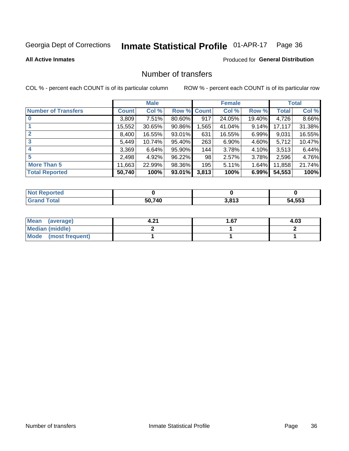## Inmate Statistical Profile 01-APR-17 Page 36

#### **All Active Inmates**

### **Produced for General Distribution**

### Number of transfers

COL % - percent each COUNT is of its particular column

|                            |         | <b>Male</b> |        |              | <b>Female</b> |          |              | <b>Total</b> |
|----------------------------|---------|-------------|--------|--------------|---------------|----------|--------------|--------------|
| <b>Number of Transfers</b> | Count l | Col %       | Row %  | <b>Count</b> | Col %         | Row %    | <b>Total</b> | Col %        |
|                            | 3,809   | 7.51%       | 80.60% | 917          | 24.05%        | 19.40%   | 4,726        | 8.66%        |
|                            | 15,552  | 30.65%      | 90.86% | 1,565        | 41.04%        | 9.14%    | 17,117       | 31.38%       |
| $\mathbf{2}$               | 8,400   | 16.55%      | 93.01% | 631          | 16.55%        | 6.99%    | 9,031        | 16.55%       |
| 3                          | 5,449   | 10.74%      | 95.40% | 263          | 6.90%         | 4.60%    | 5,712        | 10.47%       |
| 4                          | 3,369   | 6.64%       | 95.90% | 144          | 3.78%         | 4.10%    | 3,513        | 6.44%        |
| 5                          | 2,498   | 4.92%       | 96.22% | 98           | 2.57%         | 3.78%    | 2,596        | 4.76%        |
| <b>More Than 5</b>         | 11,663  | 22.99%      | 98.36% | 195          | 5.11%         | $1.64\%$ | 11,858       | 21.74%       |
| <b>Total Reported</b>      | 50,740  | 100%        | 93.01% | 3,813        | 100%          | 6.99%    | 54,553       | 100%         |

| orted<br>NOT I |        |       |        |
|----------------|--------|-------|--------|
| <b>Total</b>   | 50.740 | 3,813 | 54,553 |

| Mean (average)       | -94 | 1.67 | 4.03 |
|----------------------|-----|------|------|
| Median (middle)      |     |      |      |
| Mode (most frequent) |     |      |      |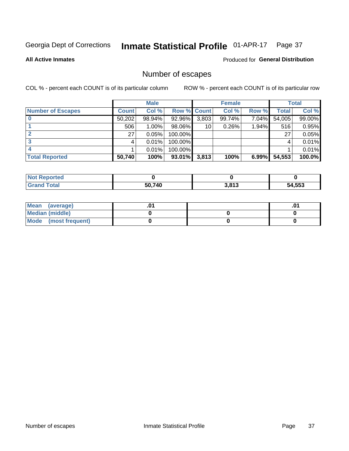## Inmate Statistical Profile 01-APR-17 Page 37

**All Active Inmates** 

#### Produced for General Distribution

### Number of escapes

COL % - percent each COUNT is of its particular column

|                          |              | <b>Male</b> |             |       | <b>Female</b> |       |        | <b>Total</b> |
|--------------------------|--------------|-------------|-------------|-------|---------------|-------|--------|--------------|
| <b>Number of Escapes</b> | <b>Count</b> | Col %       | Row % Count |       | Col %         | Row % | Total  | Col %        |
|                          | 50,202       | 98.94%      | 92.96%      | 3,803 | 99.74%        | 7.04% | 54,005 | 99.00%       |
|                          | 506          | 1.00%       | 98.06%      | 10    | 0.26%         | 1.94% | 516    | 0.95%        |
|                          | 27           | 0.05%       | 100.00%     |       |               |       | 27     | 0.05%        |
|                          |              | 0.01%       | 100.00%     |       |               |       |        | 0.01%        |
|                          |              | 0.01%       | 100.00%     |       |               |       |        | 0.01%        |
| <b>Total Reported</b>    | 50,740       | 100%        | 93.01%      | 3,813 | 100%          | 6.99% | 54,553 | 100.0%       |

| <b>Not Reported</b> |        |       |        |
|---------------------|--------|-------|--------|
| Total               | 50.740 | 3,813 | 54,553 |

| Mean (average)       |  | .0 <sup>1</sup> |
|----------------------|--|-----------------|
| Median (middle)      |  |                 |
| Mode (most frequent) |  |                 |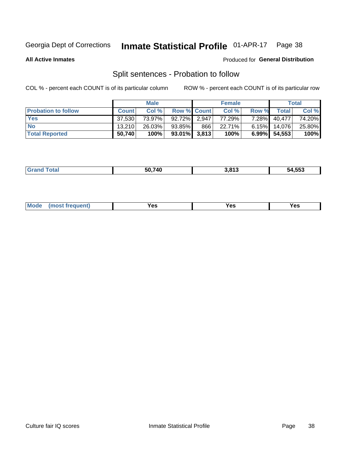#### Inmate Statistical Profile 01-APR-17 Page 38

**All Active Inmates** 

#### Produced for General Distribution

### Split sentences - Probation to follow

COL % - percent each COUNT is of its particular column

|                            |              | <b>Male</b> |                    |     | <b>Female</b> |          |                   | <b>Total</b> |
|----------------------------|--------------|-------------|--------------------|-----|---------------|----------|-------------------|--------------|
| <b>Probation to follow</b> | <b>Count</b> | Col %       | <b>Row % Count</b> |     | Col %         | Row %    | Total             | Col %        |
| <b>Yes</b>                 | 37.530       | 73.97%      | $92.72\%$ 2.947    |     | 77.29%        | $7.28\%$ | 40,477            | 74.20%       |
| <b>No</b>                  | 13.210       | 26.03%      | 93.85%             | 866 | 22.71%        |          | $6.15\%$   14,076 | 25.80%       |
| <b>Total Reported</b>      | 50,740       | 100%        | $93.01\%$ 3,813    |     | 100%          | $6.99\%$ | 54,553            | 100%         |

| ______ | 50 740 | 813<br>. . | $\overline{a}$ = = $\overline{a}$<br>╌<br>מר<br>. |
|--------|--------|------------|---------------------------------------------------|
|        |        |            |                                                   |

| $Moo$<br>requent<br>′es<br>Yes<br><b>YAC</b><br>. |
|---------------------------------------------------|
|---------------------------------------------------|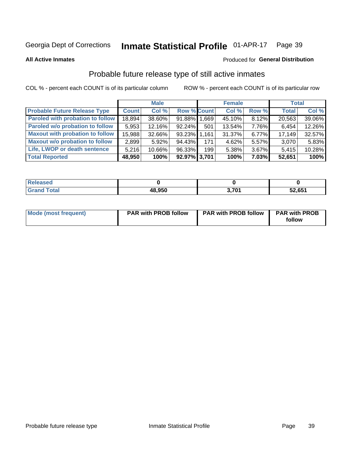#### Inmate Statistical Profile 01-APR-17 Page 39

**All Active Inmates** 

#### Produced for General Distribution

### Probable future release type of still active inmates

COL % - percent each COUNT is of its particular column

|                                         |              | <b>Male</b> |                    |     | <b>Female</b> |          | <b>Total</b> |        |
|-----------------------------------------|--------------|-------------|--------------------|-----|---------------|----------|--------------|--------|
| <b>Probable Future Release Type</b>     | <b>Count</b> | Col %       | <b>Row % Count</b> |     | Col %         | Row %    | <b>Total</b> | Col %  |
| <b>Paroled with probation to follow</b> | 18,894       | 38.60%      | 91.88% 1.669       |     | 45.10%        | 8.12%    | 20,563       | 39.06% |
| Paroled w/o probation to follow         | 5,953        | 12.16%      | 92.24%             | 501 | 13.54%        | 7.76%    | 6,454        | 12.26% |
| <b>Maxout with probation to follow</b>  | 15,988       | 32.66%      | 93.23% 1.161       |     | 31.37%        | $6.77\%$ | 17,149       | 32.57% |
| <b>Maxout w/o probation to follow</b>   | 2,899        | 5.92%       | 94.43%             | 171 | 4.62%         | 5.57%    | 3,070        | 5.83%  |
| Life, LWOP or death sentence            | 5,216        | 10.66%      | 96.33%             | 199 | 5.38%         | 3.67%    | 5,415        | 10.28% |
| <b>Total Reported</b>                   | 48,950       | 100%        | 92.97% 3,701       |     | 100%          | $7.03\%$ | 52,651       | 100%   |

| ased        |        |     |        |
|-------------|--------|-----|--------|
| <b>otal</b> | 48,950 | 704 | 52,651 |

| <b>Mode (most frequent)</b> | <b>PAR with PROB follow</b> | <b>PAR with PROB follow</b> | <b>PAR with PROB</b> |
|-----------------------------|-----------------------------|-----------------------------|----------------------|
|                             |                             |                             | follow               |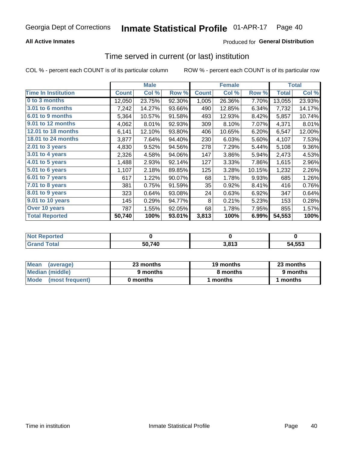## **All Active Inmates**

## Produced for General Distribution

## Time served in current (or last) institution

COL % - percent each COUNT is of its particular column

|                            |              | <b>Male</b> |        |              | <b>Female</b> |        |              | <b>Total</b> |
|----------------------------|--------------|-------------|--------|--------------|---------------|--------|--------------|--------------|
| <b>Time In Institution</b> | <b>Count</b> | Col %       | Row %  | <b>Count</b> | Col %         | Row %  | <b>Total</b> | Col %        |
| 0 to 3 months              | 12,050       | 23.75%      | 92.30% | 1,005        | 26.36%        | 7.70%  | 13,055       | 23.93%       |
| <b>3.01 to 6 months</b>    | 7,242        | 14.27%      | 93.66% | 490          | 12.85%        | 6.34%  | 7,732        | 14.17%       |
| 6.01 to 9 months           | 5,364        | 10.57%      | 91.58% | 493          | 12.93%        | 8.42%  | 5,857        | 10.74%       |
| 9.01 to 12 months          | 4,062        | 8.01%       | 92.93% | 309          | 8.10%         | 7.07%  | 4,371        | 8.01%        |
| 12.01 to 18 months         | 6,141        | 12.10%      | 93.80% | 406          | 10.65%        | 6.20%  | 6,547        | 12.00%       |
| <b>18.01 to 24 months</b>  | 3,877        | 7.64%       | 94.40% | 230          | 6.03%         | 5.60%  | 4,107        | 7.53%        |
| $2.01$ to 3 years          | 4,830        | 9.52%       | 94.56% | 278          | 7.29%         | 5.44%  | 5,108        | 9.36%        |
| $3.01$ to 4 years          | 2,326        | 4.58%       | 94.06% | 147          | 3.86%         | 5.94%  | 2,473        | 4.53%        |
| 4.01 to 5 years            | 1,488        | 2.93%       | 92.14% | 127          | 3.33%         | 7.86%  | 1,615        | 2.96%        |
| 5.01 to 6 years            | 1,107        | 2.18%       | 89.85% | 125          | 3.28%         | 10.15% | 1,232        | 2.26%        |
| $6.01$ to 7 years          | 617          | 1.22%       | 90.07% | 68           | 1.78%         | 9.93%  | 685          | 1.26%        |
| 7.01 to 8 years            | 381          | 0.75%       | 91.59% | 35           | 0.92%         | 8.41%  | 416          | 0.76%        |
| 8.01 to 9 years            | 323          | 0.64%       | 93.08% | 24           | 0.63%         | 6.92%  | 347          | 0.64%        |
| 9.01 to 10 years           | 145          | 0.29%       | 94.77% | 8            | 0.21%         | 5.23%  | 153          | 0.28%        |
| Over 10 years              | 787          | 1.55%       | 92.05% | 68           | 1.78%         | 7.95%  | 855          | 1.57%        |
| <b>Total Reported</b>      | 50,740       | 100%        | 93.01% | 3,813        | 100%          | 6.99%  | 54,553       | 100%         |

| neo<br>' NOT |        |                     |                 |
|--------------|--------|---------------------|-----------------|
|              | 50,740 | <b>040 פ</b><br>013 | $-4,553$<br>'nД |

| <b>Mean</b><br>(average) | 23 months | 19 months | 23 months |  |
|--------------------------|-----------|-----------|-----------|--|
| Median (middle)          | 9 months  | 8 months  | 9 months  |  |
| Mode<br>(most frequent)  | 0 months  | months    | ∖ months  |  |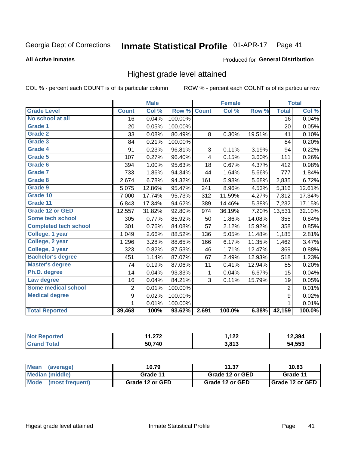### Inmate Statistical Profile 01-APR-17 Page 41

### **All Active Inmates**

# Produced for General Distribution

# Highest grade level attained

COL % - percent each COUNT is of its particular column

|                              |                  | <b>Male</b> |         |              | <b>Female</b> |        |                | <b>Total</b> |
|------------------------------|------------------|-------------|---------|--------------|---------------|--------|----------------|--------------|
| <b>Grade Level</b>           | <b>Count</b>     | Col %       | Row %   | <b>Count</b> | Col %         | Row %  | <b>Total</b>   | Col %        |
| No school at all             | 16               | 0.04%       | 100.00% |              |               |        | 16             | 0.04%        |
| <b>Grade 1</b>               | 20               | 0.05%       | 100.00% |              |               |        | 20             | 0.05%        |
| <b>Grade 2</b>               | 33               | 0.08%       | 80.49%  | 8            | 0.30%         | 19.51% | 41             | 0.10%        |
| Grade 3                      | 84               | 0.21%       | 100.00% |              |               |        | 84             | 0.20%        |
| <b>Grade 4</b>               | 91               | 0.23%       | 96.81%  | 3            | 0.11%         | 3.19%  | 94             | 0.22%        |
| Grade 5                      | 107              | 0.27%       | 96.40%  | 4            | 0.15%         | 3.60%  | 111            | 0.26%        |
| Grade 6                      | 394              | 1.00%       | 95.63%  | 18           | 0.67%         | 4.37%  | 412            | 0.98%        |
| <b>Grade 7</b>               | 733              | 1.86%       | 94.34%  | 44           | 1.64%         | 5.66%  | 777            | 1.84%        |
| Grade 8                      | 2,674            | 6.78%       | 94.32%  | 161          | 5.98%         | 5.68%  | 2,835          | 6.72%        |
| Grade 9                      | 5,075            | 12.86%      | 95.47%  | 241          | 8.96%         | 4.53%  | 5,316          | 12.61%       |
| Grade 10                     | 7,000            | 17.74%      | 95.73%  | 312          | 11.59%        | 4.27%  | 7,312          | 17.34%       |
| Grade 11                     | 6,843            | 17.34%      | 94.62%  | 389          | 14.46%        | 5.38%  | 7,232          | 17.15%       |
| Grade 12 or GED              | 12,557           | 31.82%      | 92.80%  | 974          | 36.19%        | 7.20%  | 13,531         | 32.10%       |
| <b>Some tech school</b>      | 305              | 0.77%       | 85.92%  | 50           | 1.86%         | 14.08% | 355            | 0.84%        |
| <b>Completed tech school</b> | 301              | 0.76%       | 84.08%  | 57           | 2.12%         | 15.92% | 358            | 0.85%        |
| College, 1 year              | 1,049            | 2.66%       | 88.52%  | 136          | 5.05%         | 11.48% | 1,185          | 2.81%        |
| College, 2 year              | 1,296            | 3.28%       | 88.65%  | 166          | 6.17%         | 11.35% | 1,462          | 3.47%        |
| College, 3 year              | 323              | 0.82%       | 87.53%  | 46           | 1.71%         | 12.47% | 369            | 0.88%        |
| <b>Bachelor's degree</b>     | 451              | 1.14%       | 87.07%  | 67           | 2.49%         | 12.93% | 518            | 1.23%        |
| <b>Master's degree</b>       | 74               | 0.19%       | 87.06%  | 11           | 0.41%         | 12.94% | 85             | 0.20%        |
| Ph.D. degree                 | 14               | 0.04%       | 93.33%  | 1            | 0.04%         | 6.67%  | 15             | 0.04%        |
| Law degree                   | 16               | 0.04%       | 84.21%  | 3            | 0.11%         | 15.79% | 19             | 0.05%        |
| <b>Some medical school</b>   | $\overline{2}$   | 0.01%       | 100.00% |              |               |        | $\overline{2}$ | 0.01%        |
| <b>Medical degree</b>        | $\boldsymbol{9}$ | 0.02%       | 100.00% |              |               |        | 9              | 0.02%        |
|                              | 1                | 0.01%       | 100.00% |              |               |        | 1              | 0.01%        |
| <b>Total Reported</b>        | 39,468           | 100%        | 93.62%  | 2,691        | 100.0%        | 6.38%  | 42,159         | 100.0%       |

| הדה<br>$\overline{\phantom{a}}$ | 122<br>, 144    | 2.394 |
|---------------------------------|-----------------|-------|
| 50.740                          | 2012<br>J.O I J | .553  |

| <b>Mean</b><br>(average) | 10.79           | 11.37           | 10.83             |
|--------------------------|-----------------|-----------------|-------------------|
| Median (middle)          | Grade 11        | Grade 12 or GED | Grade 11          |
| Mode<br>(most frequent)  | Grade 12 or GED | Grade 12 or GED | I Grade 12 or GED |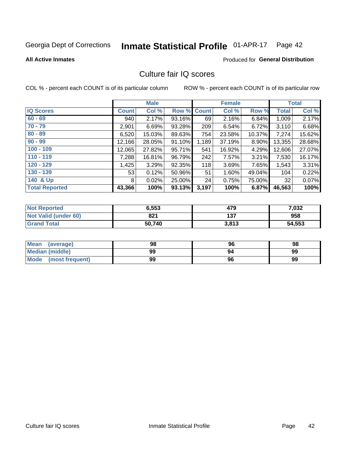# Inmate Statistical Profile 01-APR-17 Page 42

**All Active Inmates** 

## **Produced for General Distribution**

# Culture fair IQ scores

COL % - percent each COUNT is of its particular column

|                       |              | <b>Male</b> |             |       | <b>Female</b> |        |              | <b>Total</b> |
|-----------------------|--------------|-------------|-------------|-------|---------------|--------|--------------|--------------|
| <b>IQ Scores</b>      | <b>Count</b> | Col %       | Row % Count |       | Col %         | Row %  | <b>Total</b> | Col %        |
| $60 - 69$             | 940          | 2.17%       | 93.16%      | 69    | 2.16%         | 6.84%  | 1,009        | 2.17%        |
| $70 - 79$             | 2,901        | 6.69%       | 93.28%      | 209   | 6.54%         | 6.72%  | 3,110        | 6.68%        |
| $80 - 89$             | 6,520        | 15.03%      | 89.63%      | 754   | 23.58%        | 10.37% | 7,274        | 15.62%       |
| $90 - 99$             | 12,166       | 28.05%      | 91.10%      | 1,189 | 37.19%        | 8.90%  | 13,355       | 28.68%       |
| $100 - 109$           | 12,065       | 27.82%      | 95.71%      | 541   | 16.92%        | 4.29%  | 12,606       | 27.07%       |
| $110 - 119$           | 7,288        | 16.81%      | 96.79%      | 242   | 7.57%         | 3.21%  | 7,530        | 16.17%       |
| $120 - 129$           | 1,425        | 3.29%       | 92.35%      | 118   | 3.69%         | 7.65%  | 1,543        | 3.31%        |
| $130 - 139$           | 53           | 0.12%       | 50.96%      | 51    | 1.60%         | 49.04% | 104          | 0.22%        |
| 140 & Up              | 8            | 0.02%       | 25.00%      | 24    | 0.75%         | 75.00% | 32           | 0.07%        |
| <b>Total Reported</b> | 43,366       | 100%        | 93.13%      | 3,197 | 100%          | 6.87%  | 46,563       | 100%         |

| <b>Not Reported</b>         | 6,553  | 479   | 7,032  |
|-----------------------------|--------|-------|--------|
| <b>Not Valid (under 60)</b> | 821    | 137   | 958    |
| <b>Grand Total</b>          | 50,740 | 3,813 | 54,553 |

| <b>Mean</b><br>(average) | 98 | 96 | 98 |
|--------------------------|----|----|----|
| <b>Median (middle)</b>   | 99 | 94 | 99 |
| Mode<br>(most frequent)  | 99 | 96 | 99 |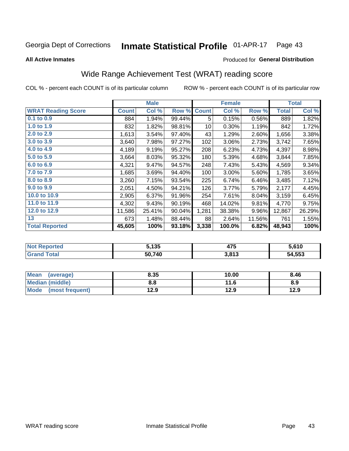### Inmate Statistical Profile 01-APR-17 Page 43

**All Active Inmates** 

## **Produced for General Distribution**

# Wide Range Achievement Test (WRAT) reading score

COL % - percent each COUNT is of its particular column

|                           |              | <b>Male</b> |        |              | <b>Female</b> |        |              | <b>Total</b> |
|---------------------------|--------------|-------------|--------|--------------|---------------|--------|--------------|--------------|
| <b>WRAT Reading Score</b> | <b>Count</b> | Col %       | Row %  | <b>Count</b> | Col %         | Row %  | <b>Total</b> | Col %        |
| $0.1$ to $0.9$            | 884          | 1.94%       | 99.44% | 5            | 0.15%         | 0.56%  | 889          | 1.82%        |
| 1.0 to 1.9                | 832          | 1.82%       | 98.81% | 10           | 0.30%         | 1.19%  | 842          | 1.72%        |
| 2.0 to 2.9                | 1,613        | 3.54%       | 97.40% | 43           | 1.29%         | 2.60%  | 1,656        | 3.38%        |
| 3.0 to 3.9                | 3,640        | 7.98%       | 97.27% | 102          | 3.06%         | 2.73%  | 3,742        | 7.65%        |
| 4.0 to 4.9                | 4,189        | 9.19%       | 95.27% | 208          | 6.23%         | 4.73%  | 4,397        | 8.98%        |
| 5.0 to 5.9                | 3,664        | 8.03%       | 95.32% | 180          | 5.39%         | 4.68%  | 3,844        | 7.85%        |
| 6.0 to 6.9                | 4,321        | 9.47%       | 94.57% | 248          | 7.43%         | 5.43%  | 4,569        | 9.34%        |
| 7.0 to 7.9                | 1,685        | 3.69%       | 94.40% | 100          | 3.00%         | 5.60%  | 1,785        | 3.65%        |
| 8.0 to 8.9                | 3,260        | 7.15%       | 93.54% | 225          | 6.74%         | 6.46%  | 3,485        | 7.12%        |
| 9.0 to 9.9                | 2,051        | 4.50%       | 94.21% | 126          | 3.77%         | 5.79%  | 2,177        | 4.45%        |
| 10.0 to 10.9              | 2,905        | 6.37%       | 91.96% | 254          | 7.61%         | 8.04%  | 3,159        | 6.45%        |
| 11.0 to 11.9              | 4,302        | 9.43%       | 90.19% | 468          | 14.02%        | 9.81%  | 4,770        | 9.75%        |
| 12.0 to 12.9              | 11,586       | 25.41%      | 90.04% | 1,281        | 38.38%        | 9.96%  | 12,867       | 26.29%       |
| 13                        | 673          | 1.48%       | 88.44% | 88           | 2.64%         | 11.56% | 761          | 1.55%        |
| <b>Total Reported</b>     | 45,605       | 100%        | 93.18% | 3,338        | 100.0%        | 6.82%  | 48,943       | 100%         |

| Reported<br><b>NOT</b> | 5,135  | .<br>41 J | 5.610  |
|------------------------|--------|-----------|--------|
| <b>otal</b>            | 50.740 | 3,813     | 54,553 |

| <b>Mean</b><br>(average) | 8.35 | 10.00 | 8.46 |
|--------------------------|------|-------|------|
| Median (middle)          | 8.8  | 11.6  | 8.9  |
| Mode<br>(most frequent)  | 12.9 | 12.9  | 12.9 |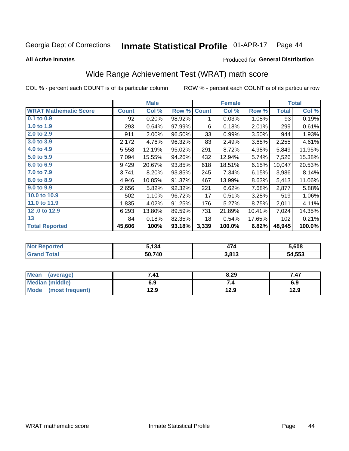### Inmate Statistical Profile 01-APR-17 Page 44

**All Active Inmates** 

## **Produced for General Distribution**

# Wide Range Achievement Test (WRAT) math score

COL % - percent each COUNT is of its particular column

|                              |              | <b>Male</b> |        |              | <b>Female</b> |        |              | <b>Total</b> |
|------------------------------|--------------|-------------|--------|--------------|---------------|--------|--------------|--------------|
| <b>WRAT Mathematic Score</b> | <b>Count</b> | Col %       | Row %  | <b>Count</b> | Col %         | Row %  | <b>Total</b> | Col %        |
| $0.1$ to $0.9$               | 92           | 0.20%       | 98.92% | 1            | 0.03%         | 1.08%  | 93           | 0.19%        |
| 1.0 to 1.9                   | 293          | 0.64%       | 97.99% | 6            | 0.18%         | 2.01%  | 299          | 0.61%        |
| 2.0 to 2.9                   | 911          | 2.00%       | 96.50% | 33           | 0.99%         | 3.50%  | 944          | 1.93%        |
| 3.0 to 3.9                   | 2,172        | 4.76%       | 96.32% | 83           | 2.49%         | 3.68%  | 2,255        | 4.61%        |
| 4.0 to 4.9                   | 5,558        | 12.19%      | 95.02% | 291          | 8.72%         | 4.98%  | 5,849        | 11.95%       |
| 5.0 to 5.9                   | 7,094        | 15.55%      | 94.26% | 432          | 12.94%        | 5.74%  | 7,526        | 15.38%       |
| 6.0 to 6.9                   | 9,429        | 20.67%      | 93.85% | 618          | 18.51%        | 6.15%  | 10,047       | 20.53%       |
| 7.0 to 7.9                   | 3,741        | 8.20%       | 93.85% | 245          | 7.34%         | 6.15%  | 3,986        | 8.14%        |
| 8.0 to 8.9                   | 4,946        | 10.85%      | 91.37% | 467          | 13.99%        | 8.63%  | 5,413        | 11.06%       |
| 9.0 to 9.9                   | 2,656        | 5.82%       | 92.32% | 221          | 6.62%         | 7.68%  | 2,877        | 5.88%        |
| 10.0 to 10.9                 | 502          | 1.10%       | 96.72% | 17           | 0.51%         | 3.28%  | 519          | 1.06%        |
| 11.0 to 11.9                 | 1,835        | 4.02%       | 91.25% | 176          | 5.27%         | 8.75%  | 2,011        | 4.11%        |
| 12.0 to 12.9                 | 6,293        | 13.80%      | 89.59% | 731          | 21.89%        | 10.41% | 7,024        | 14.35%       |
| 13                           | 84           | 0.18%       | 82.35% | 18           | 0.54%         | 17.65% | 102          | 0.21%        |
| <b>Total Reported</b>        | 45,606       | 100%        | 93.18% | 3,339        | 100.0%        | 6.82%  | 48,945       | 100.0%       |
|                              |              |             |        |              |               |        |              |              |

| <b>Not Reported</b>   | 5,134  | 47    | 5,608  |
|-----------------------|--------|-------|--------|
| <b>Total</b><br>Grand | 50,740 | 3,813 | 54,553 |

| Mean (average)         | 7.41 | 8.29 | 7.47 |
|------------------------|------|------|------|
| <b>Median (middle)</b> | 6.9  |      | 6.9  |
| Mode (most frequent)   | 12.9 | 12.9 | 12.9 |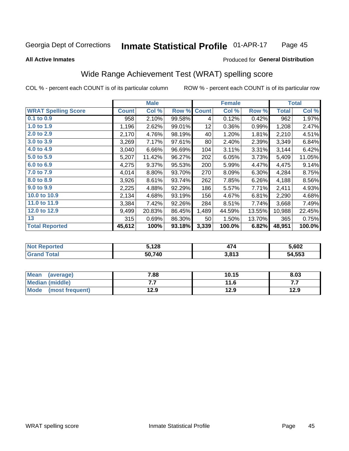### Inmate Statistical Profile 01-APR-17 Page 45

### **All Active Inmates**

## **Produced for General Distribution**

# Wide Range Achievement Test (WRAT) spelling score

COL % - percent each COUNT is of its particular column

|                            |              | <b>Male</b> |        |              | <b>Female</b> |        |              | <b>Total</b> |
|----------------------------|--------------|-------------|--------|--------------|---------------|--------|--------------|--------------|
| <b>WRAT Spelling Score</b> | <b>Count</b> | Col %       | Row %  | <b>Count</b> | Col %         | Row %  | <b>Total</b> | Col %        |
| $0.1$ to $0.9$             | 958          | 2.10%       | 99.58% | 4            | 0.12%         | 0.42%  | 962          | 1.97%        |
| 1.0 to 1.9                 | 1,196        | 2.62%       | 99.01% | 12           | 0.36%         | 0.99%  | 1,208        | 2.47%        |
| 2.0 to 2.9                 | 2,170        | 4.76%       | 98.19% | 40           | 1.20%         | 1.81%  | 2,210        | 4.51%        |
| 3.0 to 3.9                 | 3,269        | 7.17%       | 97.61% | 80           | 2.40%         | 2.39%  | 3,349        | 6.84%        |
| 4.0 to 4.9                 | 3,040        | 6.66%       | 96.69% | 104          | 3.11%         | 3.31%  | 3,144        | 6.42%        |
| 5.0 to 5.9                 | 5,207        | 11.42%      | 96.27% | 202          | 6.05%         | 3.73%  | 5,409        | 11.05%       |
| 6.0 to 6.9                 | 4,275        | 9.37%       | 95.53% | 200          | 5.99%         | 4.47%  | 4,475        | 9.14%        |
| 7.0 to 7.9                 | 4,014        | 8.80%       | 93.70% | 270          | 8.09%         | 6.30%  | 4,284        | 8.75%        |
| 8.0 to 8.9                 | 3,926        | 8.61%       | 93.74% | 262          | 7.85%         | 6.26%  | 4,188        | 8.56%        |
| 9.0 to 9.9                 | 2,225        | 4.88%       | 92.29% | 186          | 5.57%         | 7.71%  | 2,411        | 4.93%        |
| 10.0 to 10.9               | 2,134        | 4.68%       | 93.19% | 156          | 4.67%         | 6.81%  | 2,290        | 4.68%        |
| 11.0 to 11.9               | 3,384        | 7.42%       | 92.26% | 284          | 8.51%         | 7.74%  | 3,668        | 7.49%        |
| 12.0 to 12.9               | 9,499        | 20.83%      | 86.45% | 1,489        | 44.59%        | 13.55% | 10,988       | 22.45%       |
| 13                         | 315          | 0.69%       | 86.30% | 50           | 1.50%         | 13.70% | 365          | 0.75%        |
| <b>Total Reported</b>      | 45,612       | 100%        | 93.18% | 3,339        | 100.0%        | 6.82%  | 48,951       | 100.0%       |

| <u>າrtea</u><br>' NOT | 5,128  | . .   | 5.602  |
|-----------------------|--------|-------|--------|
| $F_{\mathbf{A}}$      | 50.740 | 3,813 | 54,553 |

| Mean<br>(average)       | 7.88 | 10.15 | 8.03 |
|-------------------------|------|-------|------|
| <b>Median (middle)</b>  | . .  | 11.6  | .    |
| Mode<br>(most frequent) | 12.9 | 12.9  | 12.9 |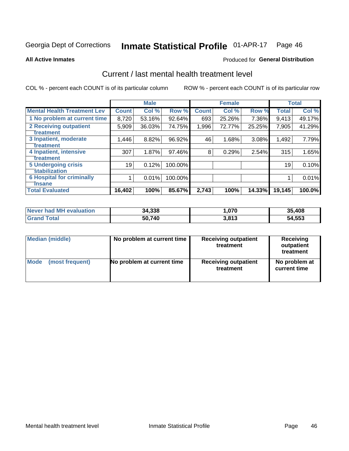### Inmate Statistical Profile 01-APR-17 Page 46

**All Active Inmates** 

### **Produced for General Distribution**

# Current / last mental health treatment level

COL % - percent each COUNT is of its particular column

|                                    |              | <b>Male</b> |         |              | <b>Female</b> |        |              | <b>Total</b> |
|------------------------------------|--------------|-------------|---------|--------------|---------------|--------|--------------|--------------|
| <b>Mental Health Treatment Lev</b> | <b>Count</b> | Col %       | Row %   | <b>Count</b> | Col %         | Row %  | <b>Total</b> | Col %        |
| 1 No problem at current time       | 8,720        | 53.16%      | 92.64%  | 693          | 25.26%        | 7.36%  | 9,413        | 49.17%       |
| 2 Receiving outpatient             | 5,909        | 36.03%      | 74.75%  | 1,996        | 72.77%        | 25.25% | 7,905        | 41.29%       |
| <b>Treatment</b>                   |              |             |         |              |               |        |              |              |
| 3 Inpatient, moderate              | 1,446        | 8.82%       | 96.92%  | 46           | 1.68%         | 3.08%  | 1,492        | 7.79%        |
| <b>Treatment</b>                   |              |             |         |              |               |        |              |              |
| 4 Inpatient, intensive             | 307          | 1.87%       | 97.46%  | 8            | 0.29%         | 2.54%  | 315          | 1.65%        |
| <b>Treatment</b>                   |              |             |         |              |               |        |              |              |
| <b>5 Undergoing crisis</b>         | 19           | 0.12%       | 100.00% |              |               |        | 19           | 0.10%        |
| <b>stabilization</b>               |              |             |         |              |               |        |              |              |
| <b>6 Hospital for criminally</b>   |              | 0.01%       | 100.00% |              |               |        |              | 0.01%        |
| <b>Tinsane</b>                     |              |             |         |              |               |        |              |              |
| <b>Total Evaluated</b>             | 16,402       | 100%        | 85.67%  | 2,743        | 100%          | 14.33% | 19,145       | 100.0%       |

| <b>Never had MH evaluation</b> | 34,338 | .,070 | 35,408 |
|--------------------------------|--------|-------|--------|
| Total                          | 50,740 | 3.813 | 54,553 |

| Median (middle) | No problem at current time | <b>Receiving outpatient</b><br>treatment | <b>Receiving</b><br>outpatient<br>treatment |
|-----------------|----------------------------|------------------------------------------|---------------------------------------------|
| <b>Mode</b>     | No problem at current time | <b>Receiving outpatient</b>              | No problem at                               |
| (most frequent) |                            | treatment                                | current time                                |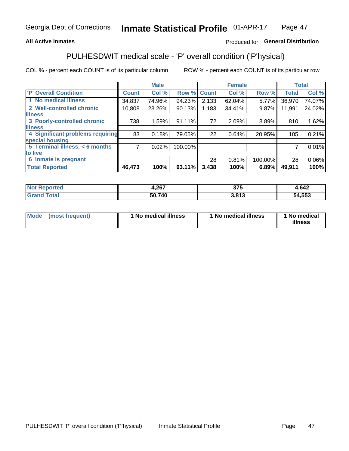## **All Active Inmates**

## Produced for General Distribution

# PULHESDWIT medical scale - 'P' overall condition ('P'hysical)

COL % - percent each COUNT is of its particular column

|                                  |                | <b>Male</b> |         |              | <b>Female</b> |         |              | <b>Total</b> |
|----------------------------------|----------------|-------------|---------|--------------|---------------|---------|--------------|--------------|
| 'P' Overall Condition            | <b>Count</b>   | Col %       | Row %   | <b>Count</b> | Col %         | Row %   | <b>Total</b> | Col %        |
| 1 No medical illness             | 34,837         | 74.96%      | 94.23%  | 2,133        | 62.04%        | 5.77%   | 36,970       | 74.07%       |
| 2 Well-controlled chronic        | 10,808         | 23.26%      | 90.13%  | 1,183        | 34.41%        | 9.87%   | 11,991       | 24.02%       |
| <b>illness</b>                   |                |             |         |              |               |         |              |              |
| 3 Poorly-controlled chronic      | 738            | 1.59%       | 91.11%  | 72           | 2.09%         | 8.89%   | 810          | 1.62%        |
| <b>illness</b>                   |                |             |         |              |               |         |              |              |
| 4 Significant problems requiring | 83             | 0.18%       | 79.05%  | 22           | 0.64%         | 20.95%  | 105          | 0.21%        |
| special housing                  |                |             |         |              |               |         |              |              |
| 5 Terminal illness, < 6 months   | $\overline{7}$ | 0.02%       | 100.00% |              |               |         | 7            | 0.01%        |
| to live                          |                |             |         |              |               |         |              |              |
| 6 Inmate is pregnant             |                |             |         | 28           | 0.81%         | 100.00% | 28           | 0.06%        |
| <b>Total Reported</b>            | 46,473         | 100%        | 93.11%  | 3,438        | 100%          | 6.89%   | 49,911       | 100%         |

| тео | ,267   | クフロ<br><u>JI J</u> | ,642   |
|-----|--------|--------------------|--------|
|     | 50,740 | <b>2.042</b>       | 54.553 |

| Mode | (most frequent) | 1 No medical illness | 1 No medical illness | 1 No medical<br>illness |
|------|-----------------|----------------------|----------------------|-------------------------|
|------|-----------------|----------------------|----------------------|-------------------------|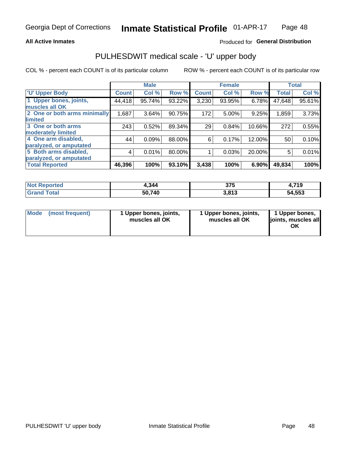### **All Active Inmates**

## Produced for General Distribution

# PULHESDWIT medical scale - 'U' upper body

COL % - percent each COUNT is of its particular column

|                              |              | <b>Male</b> |        |              | <b>Female</b> |        |              | <b>Total</b> |
|------------------------------|--------------|-------------|--------|--------------|---------------|--------|--------------|--------------|
| <b>U' Upper Body</b>         | <b>Count</b> | Col %       | Row %  | <b>Count</b> | Col %         | Row %  | <b>Total</b> | Col %        |
| 1 Upper bones, joints,       | 44,418       | 95.74%      | 93.22% | 3,230        | 93.95%        | 6.78%  | 47,648       | 95.61%       |
| muscles all OK               |              |             |        |              |               |        |              |              |
| 2 One or both arms minimally | 1,687        | 3.64%       | 90.75% | 172          | 5.00%         | 9.25%  | 1,859        | 3.73%        |
| limited                      |              |             |        |              |               |        |              |              |
| 3 One or both arms           | 243          | 0.52%       | 89.34% | 29           | 0.84%         | 10.66% | 272          | 0.55%        |
| <b>moderately limited</b>    |              |             |        |              |               |        |              |              |
| 4 One arm disabled,          | 44           | 0.09%       | 88.00% | 6            | 0.17%         | 12.00% | 50           | 0.10%        |
| paralyzed, or amputated      |              |             |        |              |               |        |              |              |
| 5 Both arms disabled,        | 4            | 0.01%       | 80.00% |              | 0.03%         | 20.00% | 5            | 0.01%        |
| paralyzed, or amputated      |              |             |        |              |               |        |              |              |
| <b>Total Reported</b>        | 46,396       | 100%        | 93.10% | 3,438        | 100%          | 6.90%  | 49,834       | 100%         |

| <b>Not Reported</b>   | 4.344  | 375   | <b>710</b><br>1.I IJ |
|-----------------------|--------|-------|----------------------|
| <b>Total</b><br>Grand | 50,740 | 3,813 | 54,553               |

| Mode<br>(most frequent) | 1 Upper bones, joints,<br>muscles all OK | 1 Upper bones, joints,<br>muscles all OK | 1 Upper bones,<br>joints, muscles all<br>ΟK |
|-------------------------|------------------------------------------|------------------------------------------|---------------------------------------------|
|-------------------------|------------------------------------------|------------------------------------------|---------------------------------------------|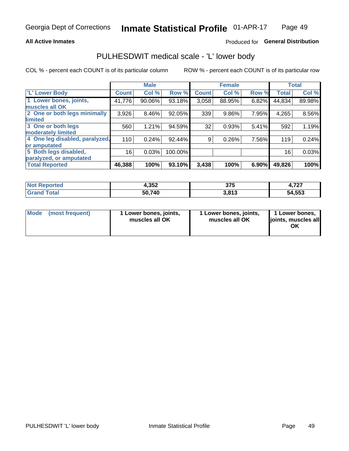### **All Active Inmates**

## Produced for General Distribution

# PULHESDWIT medical scale - 'L' lower body

COL % - percent each COUNT is of its particular column

|                                |              | <b>Male</b> |         |              | <b>Female</b> |       |              | <b>Total</b> |
|--------------------------------|--------------|-------------|---------|--------------|---------------|-------|--------------|--------------|
| 'L' Lower Body                 | <b>Count</b> | Col %       | Row %   | <b>Count</b> | Col %         | Row % | <b>Total</b> | Col %        |
| 1 Lower bones, joints,         | 41,776       | 90.06%      | 93.18%  | 3,058        | 88.95%        | 6.82% | 44,834       | 89.98%       |
| muscles all OK                 |              |             |         |              |               |       |              |              |
| 2 One or both legs minimally   | 3,926        | 8.46%       | 92.05%  | 339          | 9.86%         | 7.95% | 4,265        | 8.56%        |
| limited                        |              |             |         |              |               |       |              |              |
| 3 One or both legs             | 560          | 1.21%       | 94.59%  | 32           | 0.93%         | 5.41% | 592          | 1.19%        |
| moderately limited             |              |             |         |              |               |       |              |              |
| 4 One leg disabled, paralyzed, | 110          | 0.24%       | 92.44%  | 9            | 0.26%         | 7.56% | 119          | 0.24%        |
| or amputated                   |              |             |         |              |               |       |              |              |
| 5 Both legs disabled,          | 16           | 0.03%       | 100.00% |              |               |       | 16           | 0.03%        |
| paralyzed, or amputated        |              |             |         |              |               |       |              |              |
| <b>Total Reported</b>          | 46,388       | 100%        | 93.10%  | 3,438        | 100%          | 6.90% | 49,826       | 100%         |

| <b>Not Reported</b>          | ?「り<br>70.JY | 375   | 707<br>1. I <i>L</i> I |
|------------------------------|--------------|-------|------------------------|
| <b>Total</b><br><b>Grand</b> | 50,740       | 3,813 | 54,553                 |

|  | Mode (most frequent) | 1 Lower bones, joints,<br>muscles all OK | 1 Lower bones, joints,<br>muscles all OK | 1 Lower bones,<br>joints, muscles all<br>ΟK |
|--|----------------------|------------------------------------------|------------------------------------------|---------------------------------------------|
|--|----------------------|------------------------------------------|------------------------------------------|---------------------------------------------|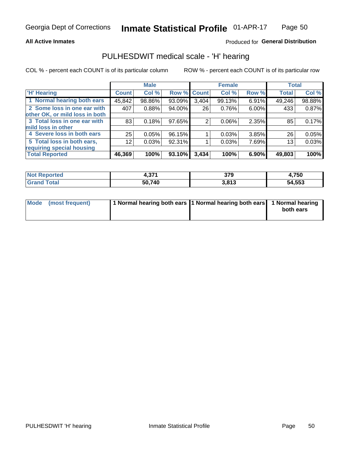### **All Active Inmates**

## Produced for General Distribution

# PULHESDWIT medical scale - 'H' hearing

COL % - percent each COUNT is of its particular column

|                                |                 | <b>Male</b> |        |             | <b>Female</b> |       | <b>Total</b> |        |
|--------------------------------|-----------------|-------------|--------|-------------|---------------|-------|--------------|--------|
| <b>H' Hearing</b>              | <b>Count</b>    | Col %       |        | Row % Count | Col %         | Row % | <b>Total</b> | Col %  |
| 1 Normal hearing both ears     | 45,842          | 98.86%      | 93.09% | 3,404       | 99.13%        | 6.91% | 49,246       | 98.88% |
| 2 Some loss in one ear with    | 407             | 0.88%       | 94.00% | 26          | 0.76%         | 6.00% | 433          | 0.87%  |
| other OK, or mild loss in both |                 |             |        |             |               |       |              |        |
| 3 Total loss in one ear with   | 83              | 0.18%       | 97.65% | 2           | $0.06\%$      | 2.35% | 85           | 0.17%  |
| mild loss in other             |                 |             |        |             |               |       |              |        |
| 4 Severe loss in both ears     | 25              | 0.05%       | 96.15% |             | 0.03%         | 3.85% | 26           | 0.05%  |
| 5 Total loss in both ears,     | 12 <sub>1</sub> | 0.03%       | 92.31% |             | 0.03%         | 7.69% | 13           | 0.03%  |
| requiring special housing      |                 |             |        |             |               |       |              |        |
| <b>Total Reported</b>          | 46,369          | 100%        | 93.10% | 3,434       | 100%          | 6.90% | 49,803       | 100%   |

| <b>Not Reno</b> | 274    | 270              | .750،  |
|-----------------|--------|------------------|--------|
| <b>ported</b>   | . .    | JI J             |        |
| Total           | 50,740 | 2.917<br>J.O I J | 54,553 |

| Mode (most frequent) | 1 Normal hearing both ears 11 Normal hearing both ears 1 Normal hearing | both ears |
|----------------------|-------------------------------------------------------------------------|-----------|
|                      |                                                                         |           |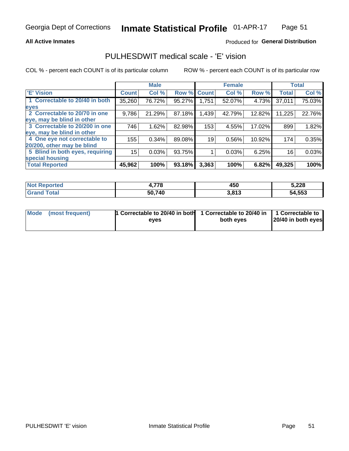### **All Active Inmates**

## Produced for General Distribution

# PULHESDWIT medical scale - 'E' vision

COL % - percent each COUNT is of its particular column

|                                 |              | <b>Male</b> |        |              | <b>Female</b> |        |              | <b>Total</b> |
|---------------------------------|--------------|-------------|--------|--------------|---------------|--------|--------------|--------------|
| <b>E' Vision</b>                | <b>Count</b> | Col %       | Row %  | <b>Count</b> | Col %         | Row %  | <b>Total</b> | Col %        |
| 1 Correctable to 20/40 in both  | 35,260       | 76.72%      | 95.27% | 1,751        | 52.07%        | 4.73%  | 37,011       | 75.03%       |
| eyes                            |              |             |        |              |               |        |              |              |
| 2 Correctable to 20/70 in one   | 9,786        | 21.29%      | 87.18% | 1,439        | 42.79%        | 12.82% | 11,225       | 22.76%       |
| eye, may be blind in other      |              |             |        |              |               |        |              |              |
| 3 Correctable to 20/200 in one  | 746          | 1.62%       | 82.98% | 153          | 4.55%         | 17.02% | 899          | 1.82%        |
| eye, may be blind in other      |              |             |        |              |               |        |              |              |
| 4 One eye not correctable to    | 155          | 0.34%       | 89.08% | 19           | 0.56%         | 10.92% | 174          | 0.35%        |
| 20/200, other may be blind      |              |             |        |              |               |        |              |              |
| 5 Blind in both eyes, requiring | 15           | 0.03%       | 93.75% |              | 0.03%         | 6.25%  | 16           | 0.03%        |
| special housing                 |              |             |        |              |               |        |              |              |
| <b>Total Reported</b>           | 45,962       | 100%        | 93.18% | 3,363        | 100%          | 6.82%  | 49,325       | 100%         |

| <b>Not Reported</b>               | 770    | 450   | 5,228  |
|-----------------------------------|--------|-------|--------|
| <b>Total</b><br>Gran <sub>(</sub> | 50,740 | 3,813 | 54,553 |

| Mode (most frequent) | 1 Correctable to 20/40 in both<br>eves | 1 Correctable to 20/40 in   1 Correctable to  <br>both eves | 20/40 in both eyes |
|----------------------|----------------------------------------|-------------------------------------------------------------|--------------------|
|                      |                                        |                                                             |                    |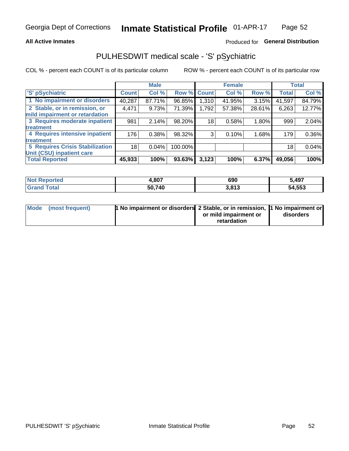### **All Active Inmates**

## Produced for General Distribution

# PULHESDWIT medical scale - 'S' pSychiatric

COL % - percent each COUNT is of its particular column

|                                        |              | <b>Male</b> |         |                 | <b>Female</b> |        |              | <b>Total</b> |
|----------------------------------------|--------------|-------------|---------|-----------------|---------------|--------|--------------|--------------|
| 'S' pSychiatric                        | <b>Count</b> | Col %       |         | Row % Count     | Col %         | Row %  | <b>Total</b> | Col %        |
| 1 No impairment or disorders           | 40,287       | 87.71%      | 96.85%  | 1,310           | 41.95%        | 3.15%  | 41,597       | 84.79%       |
| 2 Stable, or in remission, or          | 4,471        | 9.73%       | 71.39%  | 1,792           | 57.38%        | 28.61% | 6,263        | 12.77%       |
| mild impairment or retardation         |              |             |         |                 |               |        |              |              |
| 3 Requires moderate inpatient          | 981          | 2.14%       | 98.20%  | 18 <sub>1</sub> | 0.58%         | 1.80%  | 999          | 2.04%        |
| treatment                              |              |             |         |                 |               |        |              |              |
| 4 Requires intensive inpatient         | 176          | 0.38%       | 98.32%  | 3               | 0.10%         | 1.68%  | 179          | 0.36%        |
| treatment                              |              |             |         |                 |               |        |              |              |
| <b>5 Requires Crisis Stabilization</b> | 18           | 0.04%       | 100.00% |                 |               |        | 18           | 0.04%        |
| Unit (CSU) inpatient care              |              |             |         |                 |               |        |              |              |
| <b>Total Reported</b>                  | 45,933       | 100%        | 93.63%  | 3,123           | 100%          | 6.37%  | 49,056       | 100%         |

| <b>Not Reported</b> | 1,807  | 690   | 5,497  |
|---------------------|--------|-------|--------|
| Total<br>Grand      | 50,740 | 3,813 | 54,553 |

| Mode (most frequent) | <b>1 No impairment or disorders 2 Stable, or in remission, 1 No impairment or</b> |                       |           |
|----------------------|-----------------------------------------------------------------------------------|-----------------------|-----------|
|                      |                                                                                   | or mild impairment or | disorders |
|                      |                                                                                   | retardation           |           |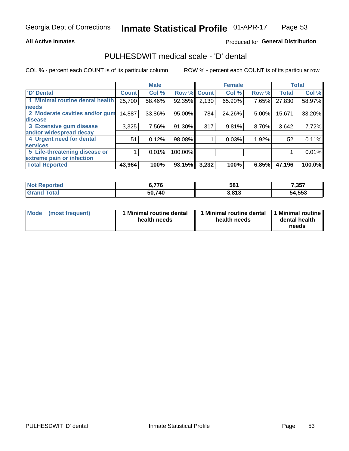### **All Active Inmates**

## Produced for General Distribution

# PULHESDWIT medical scale - 'D' dental

COL % - percent each COUNT is of its particular column

|                                 |              | <b>Male</b> |         |              | <b>Female</b> |       |              | <b>Total</b> |
|---------------------------------|--------------|-------------|---------|--------------|---------------|-------|--------------|--------------|
| 'D' Dental                      | <b>Count</b> | Col %       | Row %   | <b>Count</b> | Col %         | Row % | <b>Total</b> | Col %        |
| 1 Minimal routine dental health | 25,700       | 58.46%      | 92.35%  | 2,130        | 65.90%        | 7.65% | 27,830       | 58.97%       |
| <b>needs</b>                    |              |             |         |              |               |       |              |              |
| 2 Moderate cavities and/or gum  | 14,887       | 33.86%      | 95.00%  | 784          | 24.26%        | 5.00% | 15,671       | 33.20%       |
| disease                         |              |             |         |              |               |       |              |              |
| 3 Extensive gum disease         | 3,325        | 7.56%       | 91.30%  | 317          | 9.81%         | 8.70% | 3,642        | 7.72%        |
| and/or widespread decay         |              |             |         |              |               |       |              |              |
| 4 Urgent need for dental        | 51           | 0.12%       | 98.08%  |              | 0.03%         | 1.92% | 52           | 0.11%        |
| <b>services</b>                 |              |             |         |              |               |       |              |              |
| 5 Life-threatening disease or   |              | 0.01%       | 100.00% |              |               |       |              | 0.01%        |
| extreme pain or infection       |              |             |         |              |               |       |              |              |
| <b>Total Reported</b>           | 43,964       | 100%        | 93.15%  | 3,232        | 100%          | 6.85% | 47,196       | 100.0%       |

| <b>Not Reported</b> | R 77R<br>0. / / O | 581   | 7,357  |
|---------------------|-------------------|-------|--------|
| <b>Grand Total</b>  | 50,740            | 3,813 | 54,553 |

| 1 Minimal routine dental<br>Mode<br>(most frequent)<br>health needs | 1 Minimal routine dental 1 Minimal routine<br>health needs | dental health<br>needs |
|---------------------------------------------------------------------|------------------------------------------------------------|------------------------|
|---------------------------------------------------------------------|------------------------------------------------------------|------------------------|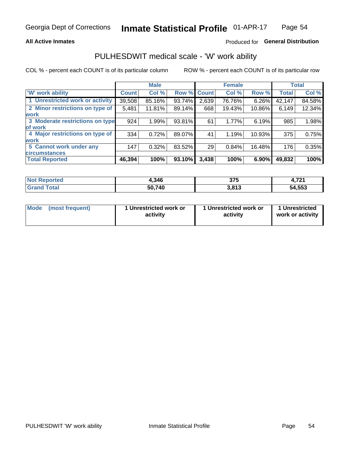### **All Active Inmates**

## Produced for General Distribution

# PULHESDWIT medical scale - 'W' work ability

COL % - percent each COUNT is of its particular column

|                                 |              | <b>Male</b> |        |             | <b>Female</b> |        |              | <b>Total</b> |
|---------------------------------|--------------|-------------|--------|-------------|---------------|--------|--------------|--------------|
| <b>W' work ability</b>          | <b>Count</b> | Col %       |        | Row % Count | Col %         | Row %  | <b>Total</b> | Col %        |
| 1 Unrestricted work or activity | 39,508       | 85.16%      | 93.74% | 2,639       | 76.76%        | 6.26%  | 42,147       | 84.58%       |
| 2 Minor restrictions on type of | 5,481        | 11.81%      | 89.14% | 668         | 19.43%        | 10.86% | 6,149        | 12.34%       |
| <b>work</b>                     |              |             |        |             |               |        |              |              |
| 3 Moderate restrictions on type | 924          | 1.99%       | 93.81% | 61          | 1.77%         | 6.19%  | 985          | 1.98%        |
| lof work                        |              |             |        |             |               |        |              |              |
| 4 Major restrictions on type of | 334          | 0.72%       | 89.07% | 41          | 1.19%         | 10.93% | 375          | 0.75%        |
| <b>work</b>                     |              |             |        |             |               |        |              |              |
| 5 Cannot work under any         | 147          | 0.32%       | 83.52% | 29          | 0.84%         | 16.48% | 176          | 0.35%        |
| <b>circumstances</b>            |              |             |        |             |               |        |              |              |
| <b>Total Reported</b>           | 46,394       | 100%        | 93.10% | 3,438       | 100%          | 6.90%  | 49,832       | 100%         |

| <b>Not Reported</b> | <b>.346</b> | ヘフに<br>ง เ ง | 704<br>. . |
|---------------------|-------------|--------------|------------|
| Total<br>oranu      | 50,740      | 3,813        | 54,553     |

| Mode            | 1 Unrestricted work or | 1 Unrestricted work or | 1 Unrestricted   |
|-----------------|------------------------|------------------------|------------------|
| (most frequent) | activity               | activity               | work or activity |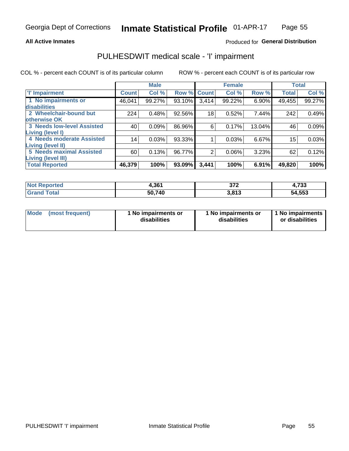### **All Active Inmates**

## Produced for General Distribution

# PULHESDWIT medical scale - 'I' impairment

COL % - percent each COUNT is of its particular column

|                                                       |              | <b>Male</b> |        |             | <b>Female</b> |        | <b>Total</b> |        |
|-------------------------------------------------------|--------------|-------------|--------|-------------|---------------|--------|--------------|--------|
| <b>T' Impairment</b>                                  | <b>Count</b> | Col %       |        | Row % Count | Col %         | Row %  | <b>Total</b> | Col %  |
| 1 No impairments or<br><b>disabilities</b>            | 46,041       | 99.27%      | 93.10% | 3,414       | 99.22%        | 6.90%  | 49,455       | 99.27% |
| 2 Wheelchair-bound but<br>otherwise OK                | 224          | 0.48%       | 92.56% | 18          | 0.52%         | 7.44%  | 242          | 0.49%  |
| <b>3 Needs low-level Assisted</b><br>Living (level I) | 40           | 0.09%       | 86.96% | 6           | 0.17%         | 13.04% | 46           | 0.09%  |
| 4 Needs moderate Assisted<br><b>Living (level II)</b> | 14           | 0.03%       | 93.33% |             | 0.03%         | 6.67%  | 15           | 0.03%  |
| <b>5 Needs maximal Assisted</b><br>Living (level III) | 60           | 0.13%       | 96.77% | 2           | 0.06%         | 3.23%  | 62           | 0.12%  |
| <b>Total Reported</b>                                 | 46,379       | 100%        | 93.09% | 3,441       | 100%          | 6.91%  | 49,820       | 100%   |

| Reported<br>NOT | 1.361  | ヘラヘ             | 4,733  |
|-----------------|--------|-----------------|--------|
| Total           | 50,740 | 2012<br>J.O I J | 54,553 |

| <b>Mode</b> | (most frequent) | <b>No impairments or</b><br>disabilities | 1 No impairments or<br>disabilities | 1 No impairments<br>or disabilities |
|-------------|-----------------|------------------------------------------|-------------------------------------|-------------------------------------|
|-------------|-----------------|------------------------------------------|-------------------------------------|-------------------------------------|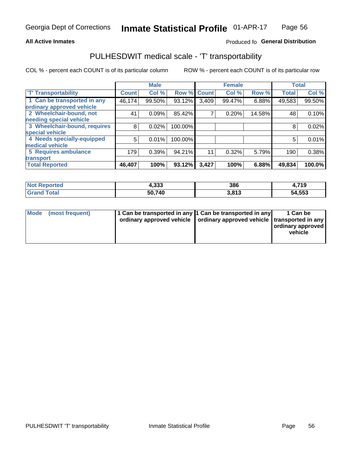### **All Active Inmates**

## Produced fo General Distribution

# PULHESDWIT medical scale - 'T' transportability

COL % - percent each COUNT is of its particular column

|                              |              | <b>Male</b> |                    |       | <b>Female</b> |        | <b>Total</b> |        |
|------------------------------|--------------|-------------|--------------------|-------|---------------|--------|--------------|--------|
| <b>T' Transportability</b>   | <b>Count</b> | Col %       | <b>Row % Count</b> |       | Col %         | Row %  | <b>Total</b> | Col %  |
| 1 Can be transported in any  | 46,174       | 99.50%      | 93.12%             | 3,409 | 99.47%        | 6.88%  | 49,583       | 99.50% |
| ordinary approved vehicle    |              |             |                    |       |               |        |              |        |
| 2 Wheelchair-bound, not      | 41           | 0.09%       | 85.42%             | ⇁     | 0.20%         | 14.58% | 48           | 0.10%  |
| needing special vehicle      |              |             |                    |       |               |        |              |        |
| 3 Wheelchair-bound, requires | 8            | 0.02%       | 100.00%            |       |               |        | 8            | 0.02%  |
| special vehicle              |              |             |                    |       |               |        |              |        |
| 4 Needs specially-equipped   | 5            | 0.01%       | 100.00%            |       |               |        | 5            | 0.01%  |
| medical vehicle              |              |             |                    |       |               |        |              |        |
| <b>5 Requires ambulance</b>  | 179          | 0.39%       | 94.21%             | 11    | 0.32%         | 5.79%  | 190          | 0.38%  |
| transport                    |              |             |                    |       |               |        |              |        |
| <b>Total Reported</b>        | 46,407       | 100%        | 93.12%             | 3,427 | 100%          | 6.88%  | 49,834       | 100.0% |

| <b>Not</b><br>Reported | 4,333  | 386   | 4,719  |
|------------------------|--------|-------|--------|
| <b>Total</b>           | 50,740 | 3.813 | 54,553 |

|  | Mode (most frequent) | 1 Can be transported in any 1 Can be transported in any<br>ordinary approved vehicle   ordinary approved vehicle   transported in any |  | 1 Can be<br>  ordinary approved  <br>vehicle |
|--|----------------------|---------------------------------------------------------------------------------------------------------------------------------------|--|----------------------------------------------|
|--|----------------------|---------------------------------------------------------------------------------------------------------------------------------------|--|----------------------------------------------|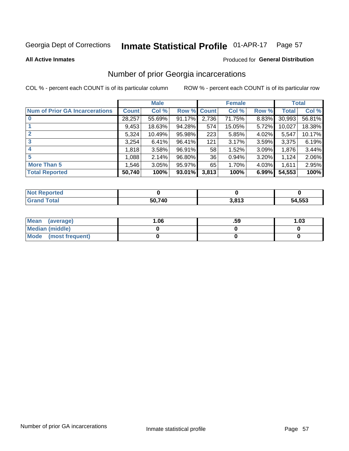### Inmate Statistical Profile 01-APR-17 Page 57

**All Active Inmates** 

### **Produced for General Distribution**

# Number of prior Georgia incarcerations

COL % - percent each COUNT is of its particular column

|                                       |              | <b>Male</b> |             |       | <b>Female</b> |       |        | <b>Total</b> |
|---------------------------------------|--------------|-------------|-------------|-------|---------------|-------|--------|--------------|
| <b>Num of Prior GA Incarcerations</b> | <b>Count</b> | Col %       | Row % Count |       | Col %         | Row % | Total  | Col %        |
|                                       | 28,257       | 55.69%      | 91.17%      | 2,736 | 71.75%        | 8.83% | 30,993 | 56.81%       |
|                                       | 9,453        | 18.63%      | 94.28%      | 574   | 15.05%        | 5.72% | 10,027 | 18.38%       |
| $\overline{2}$                        | 5,324        | 10.49%      | 95.98%      | 223   | 5.85%         | 4.02% | 5,547  | 10.17%       |
| 3                                     | 3,254        | 6.41%       | 96.41%      | 121   | 3.17%         | 3.59% | 3,375  | 6.19%        |
| $\boldsymbol{4}$                      | 1,818        | 3.58%       | 96.91%      | 58    | 1.52%         | 3.09% | 1,876  | 3.44%        |
| 5                                     | 1,088        | 2.14%       | 96.80%      | 36 I  | 0.94%         | 3.20% | 1,124  | 2.06%        |
| <b>More Than 5</b>                    | 1,546        | 3.05%       | 95.97%      | 65    | 1.70%         | 4.03% | 1,611  | 2.95%        |
| <b>Total Reported</b>                 | 50,740       | 100%        | 93.01%      | 3,813 | 100%          | 6.99% | 54,553 | 100%         |

| orted<br>NO.      |        |                      |        |
|-------------------|--------|----------------------|--------|
| <b>otal</b><br>Gr | 50.740 | <b>2012</b><br>. . U | 54,553 |

| Mean (average)       | .06 | .59 | 1.03 |
|----------------------|-----|-----|------|
| Median (middle)      |     |     |      |
| Mode (most frequent) |     |     |      |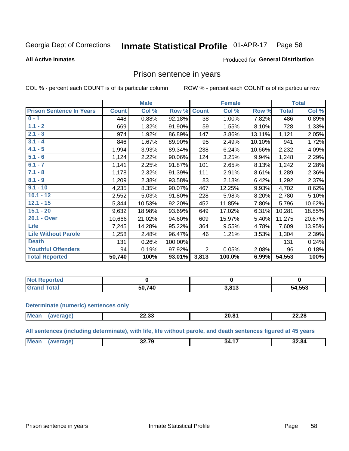#### Inmate Statistical Profile 01-APR-17 Page 58

### **All Active Inmates**

### Produced for General Distribution

## Prison sentence in years

COL % - percent each COUNT is of its particular column

ROW % - percent each COUNT is of its particular row

|                                 |              | <b>Male</b> |         |                 | <b>Female</b> |        |              | <b>Total</b> |
|---------------------------------|--------------|-------------|---------|-----------------|---------------|--------|--------------|--------------|
| <b>Prison Sentence In Years</b> | <b>Count</b> | Col %       | Row %   | <b>Count</b>    | Col %         | Row %  | <b>Total</b> | Col %        |
| $0 - 1$                         | 448          | 0.88%       | 92.18%  | $\overline{38}$ | 1.00%         | 7.82%  | 486          | 0.89%        |
| $1.1 - 2$                       | 669          | 1.32%       | 91.90%  | 59              | 1.55%         | 8.10%  | 728          | 1.33%        |
| $2.1 - 3$                       | 974          | 1.92%       | 86.89%  | 147             | 3.86%         | 13.11% | 1,121        | 2.05%        |
| $3.1 - 4$                       | 846          | 1.67%       | 89.90%  | 95              | 2.49%         | 10.10% | 941          | 1.72%        |
| $4.1 - 5$                       | 1,994        | 3.93%       | 89.34%  | 238             | 6.24%         | 10.66% | 2,232        | 4.09%        |
| $5.1 - 6$                       | 1,124        | 2.22%       | 90.06%  | 124             | 3.25%         | 9.94%  | 1,248        | 2.29%        |
| $6.1 - 7$                       | 1,141        | 2.25%       | 91.87%  | 101             | 2.65%         | 8.13%  | 1,242        | 2.28%        |
| $7.1 - 8$                       | 1,178        | 2.32%       | 91.39%  | 111             | 2.91%         | 8.61%  | 1,289        | 2.36%        |
| $8.1 - 9$                       | 1,209        | 2.38%       | 93.58%  | 83              | 2.18%         | 6.42%  | 1,292        | 2.37%        |
| $9.1 - 10$                      | 4,235        | 8.35%       | 90.07%  | 467             | 12.25%        | 9.93%  | 4,702        | 8.62%        |
| $10.1 - 12$                     | 2,552        | 5.03%       | 91.80%  | 228             | 5.98%         | 8.20%  | 2,780        | 5.10%        |
| $12.1 - 15$                     | 5,344        | 10.53%      | 92.20%  | 452             | 11.85%        | 7.80%  | 5,796        | 10.62%       |
| $15.1 - 20$                     | 9,632        | 18.98%      | 93.69%  | 649             | 17.02%        | 6.31%  | 10,281       | 18.85%       |
| 20.1 - Over                     | 10,666       | 21.02%      | 94.60%  | 609             | 15.97%        | 5.40%  | 11,275       | 20.67%       |
| <b>Life</b>                     | 7,245        | 14.28%      | 95.22%  | 364             | 9.55%         | 4.78%  | 7,609        | 13.95%       |
| <b>Life Without Parole</b>      | 1,258        | 2.48%       | 96.47%  | 46              | 1.21%         | 3.53%  | 1,304        | 2.39%        |
| <b>Death</b>                    | 131          | 0.26%       | 100.00% |                 |               |        | 131          | 0.24%        |
| <b>Youthful Offenders</b>       | 94           | 0.19%       | 97.92%  | $\overline{2}$  | 0.05%         | 2.08%  | 96           | 0.18%        |
| <b>Total Reported</b>           | 50,740       | 100%        | 93.01%  | 3,813           | 100.0%        | 6.99%  | 54,553       | 100%         |

| Reported<br>I NOT |              |                 |        |
|-------------------|--------------|-----------------|--------|
|                   | 50.740<br>50 | 2.91<br>د ۱ ه.د | 54,553 |

### **Determinate (numeric) sentences only**

| <b>Mean</b> | nn nn<br>22.JJ | <br>- U.U | 22.28 |
|-------------|----------------|-----------|-------|
|             |                |           |       |

All sentences (including determinate), with life, life without parole, and death sentences figured at 45 years

| $M\Omega$ :<br>ss 70<br>$\overline{\phantom{a}}$<br>32.84<br>7 u<br>.54<br><br>___<br>____ |  |  |  |
|--------------------------------------------------------------------------------------------|--|--|--|
|                                                                                            |  |  |  |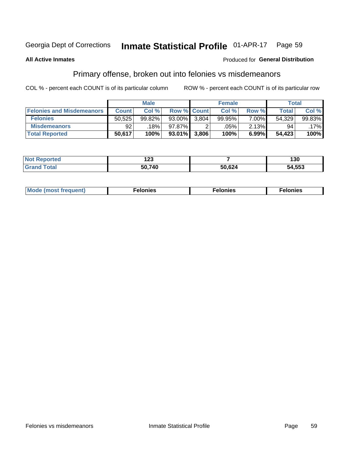#### Inmate Statistical Profile 01-APR-17 Page 59

### **All Active Inmates**

## **Produced for General Distribution**

# Primary offense, broken out into felonies vs misdemeanors

COL % - percent each COUNT is of its particular column

|                                  |              | <b>Male</b> |                    |       | <b>Female</b> |       | Total        |           |
|----------------------------------|--------------|-------------|--------------------|-------|---------------|-------|--------------|-----------|
| <b>Felonies and Misdemeanors</b> | <b>Count</b> | Col %       | <b>Row % Count</b> |       | Col %1        | Row % | <b>Total</b> | Col %     |
| <b>Felonies</b>                  | 50.525       | 99.82%      | $93.00\%$          | 3.804 | 99.95%        | 7.00% | 54,329       | $99.83\%$ |
| <b>Misdemeanors</b>              | 92           | 18%         | 97.87%             |       | .05%          | 2.13% | 94           | .17%      |
| <b>Total Reported</b>            | 50,617       | 100%        | $93.01\%$          | 3,806 | 100%          | 6.99% | 54,423       | 100%      |

| <b>Not</b><br>ted | י ה<br>$\sim$ |        | 30     |
|-------------------|---------------|--------|--------|
| Gran<br>⊺otar     | 50.740        | 50,624 | 54,553 |

| M      | .    | nes | onies |
|--------|------|-----|-------|
| nuenti | ____ | .   | .     |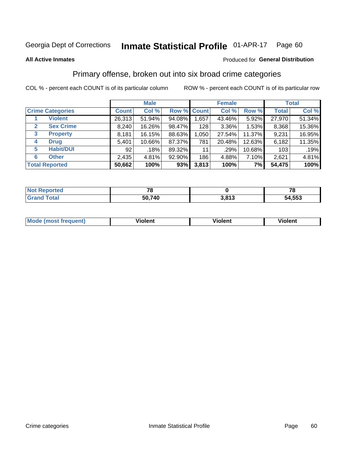#### Inmate Statistical Profile 01-APR-17 Page 60

### **All Active Inmates**

## **Produced for General Distribution**

# Primary offense, broken out into six broad crime categories

COL % - percent each COUNT is of its particular column

|                                 |              | <b>Male</b> |        |             | <b>Female</b> |        |              | <b>Total</b> |
|---------------------------------|--------------|-------------|--------|-------------|---------------|--------|--------------|--------------|
| <b>Crime Categories</b>         | <b>Count</b> | Col %       |        | Row % Count | Col %         | Row %  | <b>Total</b> | Col %        |
| <b>Violent</b>                  | 26,313       | 51.94%      | 94.08% | 1,657       | 43.46%        | 5.92%  | 27,970       | 51.34%       |
| <b>Sex Crime</b><br>2           | 8,240        | 16.26%      | 98.47% | 128         | $3.36\%$      | 1.53%  | 8,368        | 15.36%       |
| $\mathbf{3}$<br><b>Property</b> | 8,181        | 16.15%      | 88.63% | 1,050       | 27.54%        | 11.37% | 9,231        | 16.95%       |
| <b>Drug</b><br>4                | 5,401        | 10.66%      | 87.37% | 781         | 20.48%        | 12.63% | 6,182        | 11.35%       |
| <b>Habit/DUI</b><br>5           | 92           | .18%        | 89.32% | 11          | $.29\%$       | 10.68% | 103          | .19%         |
| <b>Other</b><br>6               | 2,435        | 4.81%       | 92.90% | 186         | 4.88%         | 7.10%  | 2,621        | 4.81%        |
| <b>Total Reported</b>           | 50,662       | 100%        | 93%    | 3,813       | 100%          | 7%     | 54,475       | 100%         |

| <b>orteg</b><br><b>NOT</b> |              |                 | 70<br>o |
|----------------------------|--------------|-----------------|---------|
| Eata                       | ,740<br>50,7 | 2042<br>J.U I J | 54,553  |

| Mode<br>freauent)<br>anst tr | .<br>/iolent | <br>Violent | .<br><b>Tiolent</b> |
|------------------------------|--------------|-------------|---------------------|
|                              |              |             |                     |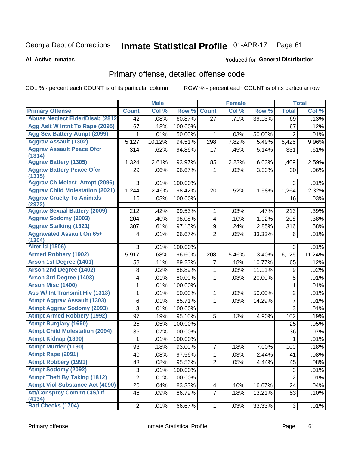### Inmate Statistical Profile 01-APR-17 Page 61

### **All Active Inmates**

## **Produced for General Distribution**

# Primary offense, detailed offense code

COL % - percent each COUNT is of its particular column

|                                            |                 | <b>Male</b> |         |                         | <b>Female</b> |        |                | <b>Total</b> |
|--------------------------------------------|-----------------|-------------|---------|-------------------------|---------------|--------|----------------|--------------|
| <b>Primary Offense</b>                     | <b>Count</b>    | Col %       | Row %   | <b>Count</b>            | Col %         | Row %  | <b>Total</b>   | Col %        |
| <b>Abuse Neglect Elder/Disab (2812)</b>    | $\overline{42}$ | .08%        | 60.87%  | 27                      | .71%          | 39.13% | 69             | .13%         |
| Agg Aslt W Intnt To Rape (2095)            | 67              | .13%        | 100.00% |                         |               |        | 67             | .12%         |
| <b>Agg Sex Battery Atmpt (2099)</b>        | 1               | .01%        | 50.00%  | 1                       | .03%          | 50.00% | 2              | .01%         |
| <b>Aggrav Assault (1302)</b>               | 5,127           | 10.12%      | 94.51%  | 298                     | 7.82%         | 5.49%  | 5,425          | 9.96%        |
| <b>Aggrav Assault Peace Ofcr</b><br>(1314) | 314             | .62%        | 94.86%  | 17                      | .45%          | 5.14%  | 331            | .61%         |
| <b>Aggrav Battery (1305)</b>               | 1,324           | 2.61%       | 93.97%  | 85                      | 2.23%         | 6.03%  | 1,409          | 2.59%        |
| <b>Aggrav Battery Peace Ofcr</b><br>(1315) | 29              | .06%        | 96.67%  | 1                       | .03%          | 3.33%  | 30             | .06%         |
| <b>Aggrav Ch Molest Atmpt (2096)</b>       | 3               | .01%        | 100.00% |                         |               |        | 3              | .01%         |
| <b>Aggrav Child Molestation (2021)</b>     | 1,244           | 2.46%       | 98.42%  | 20                      | .52%          | 1.58%  | 1,264          | 2.32%        |
| <b>Aggrav Cruelty To Animals</b><br>(2972) | 16              | .03%        | 100.00% |                         |               |        | 16             | .03%         |
| <b>Aggrav Sexual Battery (2009)</b>        | 212             | .42%        | 99.53%  | 1                       | .03%          | .47%   | 213            | .39%         |
| <b>Aggrav Sodomy (2003)</b>                | 204             | .40%        | 98.08%  | $\overline{\mathbf{4}}$ | .10%          | 1.92%  | 208            | .38%         |
| <b>Aggrav Stalking (1321)</b>              | 307             | .61%        | 97.15%  | 9                       | .24%          | 2.85%  | 316            | .58%         |
| <b>Aggravated Assault On 65+</b><br>(1304) | 4               | .01%        | 66.67%  | $\overline{2}$          | .05%          | 33.33% | 6              | .01%         |
| <b>Alter Id (1506)</b>                     | 3               | .01%        | 100.00% |                         |               |        | 3              | .01%         |
| <b>Armed Robbery (1902)</b>                | 5,917           | 11.68%      | 96.60%  | 208                     | 5.46%         | 3.40%  | 6,125          | 11.24%       |
| Arson 1st Degree (1401)                    | 58              | .11%        | 89.23%  | 7                       | .18%          | 10.77% | 65             | .12%         |
| <b>Arson 2nd Degree (1402)</b>             | 8               | .02%        | 88.89%  | 1                       | .03%          | 11.11% | 9              | .02%         |
| <b>Arson 3rd Degree (1403)</b>             | 4               | .01%        | 80.00%  | 1                       | .03%          | 20.00% | 5              | .01%         |
| <b>Arson Misc (1400)</b>                   | 1               | .01%        | 100.00% |                         |               |        | 1              | .01%         |
| Ass W/ Int Transmit Hiv (1313)             | 1               | .01%        | 50.00%  | 1                       | .03%          | 50.00% | $\overline{2}$ | .01%         |
| <b>Atmpt Aggrav Assault (1303)</b>         | 6               | .01%        | 85.71%  | 1                       | .03%          | 14.29% | $\overline{7}$ | .01%         |
| <b>Atmpt Aggrav Sodomy (2093)</b>          | 3               | .01%        | 100.00% |                         |               |        | 3              | .01%         |
| <b>Atmpt Armed Robbery (1992)</b>          | 97              | .19%        | 95.10%  | 5                       | .13%          | 4.90%  | 102            | .19%         |
| <b>Atmpt Burglary (1690)</b>               | 25              | .05%        | 100.00% |                         |               |        | 25             | .05%         |
| <b>Atmpt Child Molestation (2094)</b>      | 36              | .07%        | 100.00% |                         |               |        | 36             | .07%         |
| <b>Atmpt Kidnap (1390)</b>                 | 1               | .01%        | 100.00% |                         |               |        | 1              | .01%         |
| <b>Atmpt Murder (1190)</b>                 | 93              | .18%        | 93.00%  | 7                       | .18%          | 7.00%  | 100            | .18%         |
| Atmpt Rape (2091)                          | 40              | .08%        | 97.56%  | $\mathbf{1}$            | .03%          | 2.44%  | 41             | .08%         |
| <b>Atmpt Robbery (1991)</b>                | 43              | .08%        | 95.56%  | $\overline{2}$          | .05%          | 4.44%  | 45             | .08%         |
| <b>Atmpt Sodomy (2092)</b>                 | 3               | .01%        | 100.00% |                         |               |        | 3              | .01%         |
| <b>Atmpt Theft By Taking (1812)</b>        | $\overline{2}$  | .01%        | 100.00% |                         |               |        | $\overline{2}$ | .01%         |
| <b>Atmpt Viol Substance Act (4090)</b>     | 20              | .04%        | 83.33%  | 4                       | .10%          | 16.67% | 24             | .04%         |
| <b>Att/Consprcy Commt C/S/Of</b><br>(4134) | 46              | .09%        | 86.79%  | $\overline{7}$          | .18%          | 13.21% | 53             | .10%         |
| <b>Bad Checks (1704)</b>                   | $\overline{2}$  | .01%        | 66.67%  | $\mathbf{1}$            | .03%          | 33.33% | $\mathbf{3}$   | .01%         |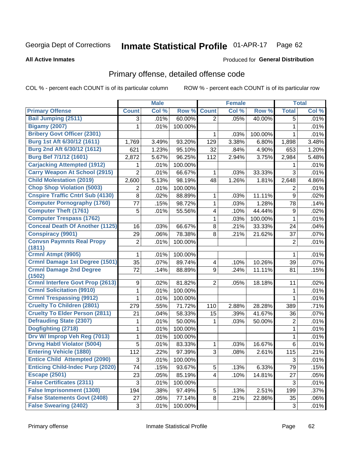### Inmate Statistical Profile 01-APR-17 Page 62

### **All Active Inmates**

### **Produced for General Distribution**

# Primary offense, detailed offense code

COL % - percent each COUNT is of its particular column

|                                          |                | <b>Male</b> |         |                         | <b>Female</b> |         |                  | <b>Total</b> |
|------------------------------------------|----------------|-------------|---------|-------------------------|---------------|---------|------------------|--------------|
| <b>Primary Offense</b>                   | <b>Count</b>   | Col %       | Row %   | <b>Count</b>            | Col %         | Row %   | <b>Total</b>     | Col %        |
| <b>Bail Jumping (2511)</b>               | 3              | .01%        | 60.00%  | $\overline{2}$          | .05%          | 40.00%  | 5                | .01%         |
| <b>Bigamy (2007)</b>                     | 1              | .01%        | 100.00% |                         |               |         | 1                | .01%         |
| <b>Bribery Govt Officer (2301)</b>       |                |             |         | 1                       | .03%          | 100.00% | 1                | .01%         |
| Burg 1st Aft 6/30/12 (1611)              | 1,769          | 3.49%       | 93.20%  | 129                     | 3.38%         | 6.80%   | 1,898            | 3.48%        |
| Burg 2nd Aft 6/30/12 (1612)              | 621            | 1.23%       | 95.10%  | 32                      | .84%          | 4.90%   | 653              | 1.20%        |
| <b>Burg Bef 7/1/12 (1601)</b>            | 2,872          | 5.67%       | 96.25%  | 112                     | 2.94%         | 3.75%   | 2,984            | 5.48%        |
| <b>Carjacking Attempted (1912)</b>       | 1              | .01%        | 100.00% |                         |               |         | 1                | .01%         |
| <b>Carry Weapon At School (2915)</b>     | $\overline{2}$ | .01%        | 66.67%  | 1                       | .03%          | 33.33%  | 3                | .01%         |
| <b>Child Molestation (2019)</b>          | 2,600          | 5.13%       | 98.19%  | 48                      | 1.26%         | 1.81%   | 2,648            | 4.86%        |
| <b>Chop Shop Violation (5003)</b>        | 2              | .01%        | 100.00% |                         |               |         | 2                | .01%         |
| <b>Cnspire Traffic Cntrl Sub (4130)</b>  | 8              | .02%        | 88.89%  | 1                       | .03%          | 11.11%  | 9                | .02%         |
| <b>Computer Pornography (1760)</b>       | 77             | .15%        | 98.72%  | 1                       | .03%          | 1.28%   | 78               | .14%         |
| <b>Computer Theft (1761)</b>             | 5              | .01%        | 55.56%  | 4                       | .10%          | 44.44%  | $\boldsymbol{9}$ | .02%         |
| <b>Computer Trespass (1762)</b>          |                |             |         | 1                       | .03%          | 100.00% | $\mathbf{1}$     | .01%         |
| <b>Conceal Death Of Another (1125)</b>   | 16             | .03%        | 66.67%  | 8                       | .21%          | 33.33%  | 24               | .04%         |
| <b>Conspiracy (9901)</b>                 | 29             | .06%        | 78.38%  | 8                       | .21%          | 21.62%  | 37               | .07%         |
| <b>Convsn Paymnts Real Propy</b>         | $\overline{c}$ | .01%        | 100.00% |                         |               |         | $\overline{2}$   | .01%         |
| (1811)                                   |                |             |         |                         |               |         |                  |              |
| Crmnl Atmpt (9905)                       | 1              | .01%        | 100.00% |                         |               |         | 1                | .01%         |
| Crmnl Damage 1st Degree (1501)           | 35             | .07%        | 89.74%  | $\overline{\mathbf{4}}$ | .10%          | 10.26%  | 39               | .07%         |
| <b>Crmnl Damage 2nd Degree</b><br>(1502) | 72             | .14%        | 88.89%  | 9                       | .24%          | 11.11%  | 81               | .15%         |
| <b>Crmnl Interfere Govt Prop (2613)</b>  | 9              | .02%        | 81.82%  | $\overline{2}$          | .05%          | 18.18%  | 11               | .02%         |
| <b>Crmnl Solicitation (9910)</b>         | 1              | .01%        | 100.00% |                         |               |         | 1                | .01%         |
| <b>Crmnl Trespassing (9912)</b>          | 1              | .01%        | 100.00% |                         |               |         | 1                | .01%         |
| <b>Cruelty To Children (2801)</b>        | 279            | .55%        | 71.72%  | 110                     | 2.88%         | 28.28%  | 389              | .71%         |
| <b>Cruelty To Elder Person (2811)</b>    | 21             | .04%        | 58.33%  | 15                      | .39%          | 41.67%  | 36               | .07%         |
| <b>Defrauding State (2307)</b>           | 1              | .01%        | 50.00%  | 1                       | .03%          | 50.00%  | $\mathbf 2$      | .01%         |
| Dogfighting (2718)                       | 1              | .01%        | 100.00% |                         |               |         | 1                | .01%         |
| Drv W/ Improp Veh Reg (7013)             | $\mathbf{1}$   | .01%        | 100.00% |                         |               |         | $\mathbf 1$      | .01%         |
| <b>Drvng Habtl Violator (5004)</b>       | 5              | .01%        | 83.33%  | 1                       | .03%          | 16.67%  | 6                | .01%         |
| <b>Entering Vehicle (1880)</b>           | 112            | 22%         | 97.39%  | 3                       | $.08\%$       | 2.61%   | 115              | .21%         |
| <b>Entice Child Attempted (2090)</b>     | 3              | .01%        | 100.00% |                         |               |         | $\sqrt{3}$       | .01%         |
| <b>Enticing Child-Indec Purp (2020)</b>  | 74             | .15%        | 93.67%  | 5                       | .13%          | 6.33%   | 79               | .15%         |
| <b>Escape (2501)</b>                     | 23             | .05%        | 85.19%  | $\overline{\mathbf{4}}$ | .10%          | 14.81%  | 27               | .05%         |
| <b>False Certificates (2311)</b>         | 3              | .01%        | 100.00% |                         |               |         | 3                | .01%         |
| <b>False Imprisonment (1308)</b>         | 194            | .38%        | 97.49%  | 5                       | .13%          | 2.51%   | 199              | .37%         |
| <b>False Statements Govt (2408)</b>      | 27             | .05%        | 77.14%  | 8                       | .21%          | 22.86%  | 35               | .06%         |
| <b>False Swearing (2402)</b>             | 3              | .01%        | 100.00% |                         |               |         | 3                | .01%         |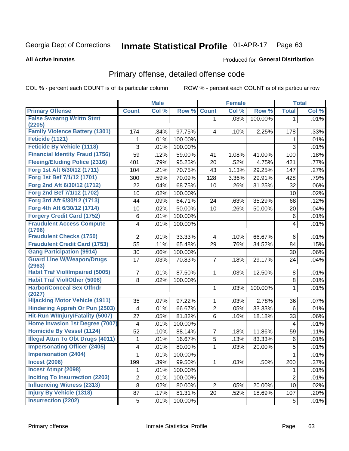### Inmate Statistical Profile 01-APR-17 Page 63

**All Active Inmates** 

## **Produced for General Distribution**

# Primary offense, detailed offense code

COL % - percent each COUNT is of its particular column

|                                            |                | <b>Male</b> |         |                | <b>Female</b> |         |                         | <b>Total</b> |
|--------------------------------------------|----------------|-------------|---------|----------------|---------------|---------|-------------------------|--------------|
| <b>Primary Offense</b>                     | <b>Count</b>   | Col %       | Row %   | <b>Count</b>   | Col %         | Row %   | <b>Total</b>            | Col %        |
| <b>False Swearng Writtn Stmt</b>           |                |             |         | $\mathbf{1}$   | .03%          | 100.00% | $\mathbf 1$             | .01%         |
| (2205)                                     |                |             |         |                |               |         |                         |              |
| <b>Family Violence Battery (1301)</b>      | 174            | .34%        | 97.75%  | 4              | .10%          | 2.25%   | 178                     | .33%         |
| Feticide (1121)                            | 1              | .01%        | 100.00% |                |               |         | 1                       | .01%         |
| <b>Feticide By Vehicle (1118)</b>          | 3              | .01%        | 100.00% |                |               |         | 3                       | .01%         |
| <b>Financial Identity Fraud (1756)</b>     | 59             | .12%        | 59.00%  | 41             | 1.08%         | 41.00%  | 100                     | .18%         |
| <b>Fleeing/Eluding Police (2316)</b>       | 401            | .79%        | 95.25%  | 20             | .52%          | 4.75%   | 421                     | .77%         |
| Forg 1st Aft 6/30/12 (1711)                | 104            | .21%        | 70.75%  | 43             | 1.13%         | 29.25%  | 147                     | .27%         |
| Forg 1st Bef 7/1/12 (1701)                 | 300            | .59%        | 70.09%  | 128            | 3.36%         | 29.91%  | 428                     | .79%         |
| Forg 2nd Aft 6/30/12 (1712)                | 22             | .04%        | 68.75%  | 10             | .26%          | 31.25%  | 32                      | .06%         |
| Forg 2nd Bef 7/1/12 (1702)                 | 10             | .02%        | 100.00% |                |               |         | 10                      | .02%         |
| Forg 3rd Aft 6/30/12 (1713)                | 44             | .09%        | 64.71%  | 24             | .63%          | 35.29%  | 68                      | .12%         |
| Forg 4th Aft 6/30/12 (1714)                | 10             | .02%        | 50.00%  | 10             | .26%          | 50.00%  | 20                      | .04%         |
| <b>Forgery Credit Card (1752)</b>          | 6              | .01%        | 100.00% |                |               |         | 6                       | .01%         |
| <b>Fraudulent Access Compute</b>           | 4              | .01%        | 100.00% |                |               |         | $\overline{\mathbf{4}}$ | .01%         |
| (1796)                                     |                |             |         |                |               |         |                         |              |
| <b>Fraudulent Checks (1750)</b>            | $\overline{2}$ | .01%        | 33.33%  | 4              | .10%          | 66.67%  | 6                       | .01%         |
| <b>Fraudulent Credit Card (1753)</b>       | 55             | .11%        | 65.48%  | 29             | .76%          | 34.52%  | 84                      | .15%         |
| <b>Gang Participation (9914)</b>           | 30             | .06%        | 100.00% |                |               |         | 30                      | .06%         |
| <b>Guard Line W/Weapon/Drugs</b><br>(2963) | 17             | .03%        | 70.83%  | 7              | .18%          | 29.17%  | 24                      | .04%         |
| <b>Habit Traf Viol/Impaired (5005)</b>     | 7              | .01%        | 87.50%  | 1              | .03%          | 12.50%  | 8                       | .01%         |
| <b>Habit Traf Viol/Other (5006)</b>        | 8              | .02%        | 100.00% |                |               |         | 8                       | .01%         |
| <b>Harbor/Conceal Sex Offndr</b><br>(2027) |                |             |         | 1              | .03%          | 100.00% | 1                       | .01%         |
| <b>Hijacking Motor Vehicle (1911)</b>      | 35             | .07%        | 97.22%  | 1              | .03%          | 2.78%   | 36                      | .07%         |
| <b>Hindering Appreh Or Pun (2503)</b>      | 4              | .01%        | 66.67%  | 2              | .05%          | 33.33%  | 6                       | .01%         |
| Hit-Run W/Injury/Fatality (5007)           | 27             | .05%        | 81.82%  | $6\phantom{a}$ | .16%          | 18.18%  | 33                      | .06%         |
| Home Invasion 1st Degree (7007)            | 4              | .01%        | 100.00% |                |               |         | $\overline{4}$          | .01%         |
| <b>Homicide By Vessel (1124)</b>           | 52             | .10%        | 88.14%  | 7              | .18%          | 11.86%  | 59                      | .11%         |
| <b>Illegal Attm To Obt Drugs (4011)</b>    | 1              | .01%        | 16.67%  | 5              | .13%          | 83.33%  | 6                       | .01%         |
| <b>Impersonating Officer (2405)</b>        | 4              | .01%        | 80.00%  | 1              | .03%          | 20.00%  | 5                       | .01%         |
| <b>Impersonation (2404)</b>                | $\mathbf{1}$   | .01%        | 100.00% |                |               |         | $\mathbf{1}$            | .01%         |
| <b>Incest (2006)</b>                       | 199            | .39%        | 99.50%  | 1              | .03%          | .50%    | 200                     | .37%         |
| <b>Incest Atmpt (2098)</b>                 | 1              | .01%        | 100.00% |                |               |         | 1                       | .01%         |
| <b>Inciting To Insurrection (2203)</b>     | $\overline{2}$ | .01%        | 100.00% |                |               |         | $\overline{2}$          | .01%         |
| <b>Influencing Witness (2313)</b>          | 8              | .02%        | 80.00%  | $\overline{2}$ | .05%          | 20.00%  | 10                      | .02%         |
| <b>Injury By Vehicle (1318)</b>            | 87             | .17%        | 81.31%  | 20             | .52%          | 18.69%  | 107                     | .20%         |
| <b>Insurrection (2202)</b>                 | 5              | .01%        | 100.00% |                |               |         | $\sqrt{5}$              | .01%         |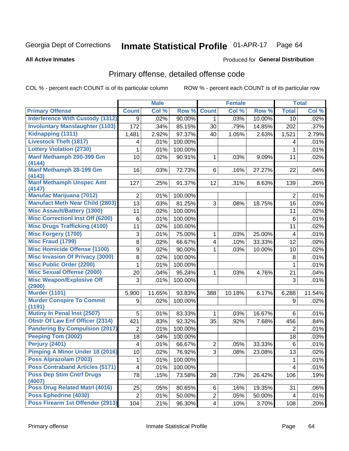### Inmate Statistical Profile 01-APR-17 Page 64

### **All Active Inmates**

## **Produced for General Distribution**

# Primary offense, detailed offense code

COL % - percent each COUNT is of its particular column

|                                            |                   | <b>Male</b> |         |                | <b>Female</b> |        |                         | <b>Total</b> |
|--------------------------------------------|-------------------|-------------|---------|----------------|---------------|--------|-------------------------|--------------|
| <b>Primary Offense</b>                     | <b>Count</b>      | Col %       | Row %   | <b>Count</b>   | Col %         | Row %  | <b>Total</b>            | Col %        |
| <b>Interference With Custody (1312)</b>    | 9                 | .02%        | 90.00%  | $\mathbf{1}$   | .03%          | 10.00% | 10                      | .02%         |
| <b>Involuntary Manslaughter (1103)</b>     | $\overline{1}$ 72 | .34%        | 85.15%  | 30             | .79%          | 14.85% | 202                     | .37%         |
| Kidnapping (1311)                          | 1,481             | 2.92%       | 97.37%  | 40             | 1.05%         | 2.63%  | 1,521                   | 2.79%        |
| <b>Livestock Theft (1817)</b>              | 4                 | .01%        | 100.00% |                |               |        | 4                       | .01%         |
| <b>Lottery Violation (2730)</b>            | 1                 | .01%        | 100.00% |                |               |        | 1                       | .01%         |
| Manf Methamph 200-399 Gm                   | 10                | .02%        | 90.91%  | 1              | .03%          | 9.09%  | 11                      | .02%         |
| (4144)                                     |                   |             |         |                |               |        |                         |              |
| Manf Methamph 28-199 Gm<br>(4143)          | 16                | .03%        | 72.73%  | 6              | .16%          | 27.27% | 22                      | .04%         |
| <b>Manf Methamph Unspec Amt</b>            | 127               | .25%        | 91.37%  | 12             | .31%          | 8.63%  | 139                     | .26%         |
| (4147)                                     |                   |             |         |                |               |        |                         |              |
| <b>Manufac Marijuana (7012)</b>            | $\overline{2}$    | .01%        | 100.00% |                |               |        | $\overline{2}$          | .01%         |
| <b>Manufact Meth Near Child (2803)</b>     | 13                | .03%        | 81.25%  | 3              | .08%          | 18.75% | 16                      | .03%         |
| <b>Misc Assault/Battery (1300)</b>         | 11                | .02%        | 100.00% |                |               |        | 11                      | .02%         |
| <b>Misc Correctionl Inst Off (6200)</b>    | 6                 | .01%        | 100.00% |                |               |        | 6                       | .01%         |
| <b>Misc Drugs Trafficking (4100)</b>       | 11                | .02%        | 100.00% |                |               |        | 11                      | .02%         |
| <b>Misc Forgery (1700)</b>                 | 3                 | .01%        | 75.00%  | 1              | .03%          | 25.00% | $\overline{\mathbf{4}}$ | .01%         |
| Misc Fraud (1799)                          | 8                 | .02%        | 66.67%  | 4              | .10%          | 33.33% | 12                      | .02%         |
| <b>Misc Homicide Offense (1100)</b>        | 9                 | .02%        | 90.00%  | 1              | .03%          | 10.00% | 10                      | .02%         |
| <b>Misc Invasion Of Privacy (3000)</b>     | 8                 | .02%        | 100.00% |                |               |        | 8                       | .01%         |
| <b>Misc Public Order (2200)</b>            | 1                 | .01%        | 100.00% |                |               |        | 1                       | .01%         |
| <b>Misc Sexual Offense (2000)</b>          | 20                | .04%        | 95.24%  | 1              | .03%          | 4.76%  | 21                      | .04%         |
| <b>Misc Weapon/Explosive Off</b>           | 3                 | .01%        | 100.00% |                |               |        | 3                       | .01%         |
| (2900)                                     |                   |             |         |                |               |        |                         |              |
| <b>Murder (1101)</b>                       | 5,900             | 11.65%      | 93.83%  | 388            | 10.18%        | 6.17%  | 6,288                   | 11.54%       |
| <b>Murder Conspire To Commit</b><br>(1191) | 9                 | .02%        | 100.00% |                |               |        | 9                       | .02%         |
| <b>Mutiny In Penal Inst (2507)</b>         | 5                 | .01%        | 83.33%  | 1              | .03%          | 16.67% | 6                       | .01%         |
| <b>Obstr Of Law Enf Officer (2314)</b>     | 421               | .83%        | 92.32%  | 35             | .92%          | 7.68%  | 456                     | .84%         |
| <b>Pandering By Compulsion (2017)</b>      | $\overline{2}$    | .01%        | 100.00% |                |               |        | 2                       | .01%         |
| Peeping Tom (3002)                         | 18                | .04%        | 100.00% |                |               |        | 18                      | .03%         |
| Perjury (2401)                             | 4                 | .01%        | 66.67%  | $\overline{2}$ | .05%          | 33.33% | 6                       | .01%         |
| Pimping A Minor Under 18 (2016)            | 10 <sup>1</sup>   | .02%        | 76.92%  | 3              | .08%          | 23.08% | 13                      | .02%         |
| Poss Alprazolam (7003)                     | 1                 | .01%        | 100.00% |                |               |        | 1                       | .01%         |
| <b>Poss Contraband Articles (5171)</b>     | 4                 | .01%        | 100.00% |                |               |        | $\overline{\mathbf{4}}$ | .01%         |
| <b>Poss Dep Stim Cntrf Drugs</b>           | 78                | .15%        | 73.58%  | 28             | .73%          | 26.42% | 106                     | .19%         |
| (4007)                                     |                   |             |         |                |               |        |                         |              |
| <b>Poss Drug Related Matri (4016)</b>      | 25                | .05%        | 80.65%  | 6              | .16%          | 19.35% | 31                      | .06%         |
| Poss Ephedrine (4030)                      | $\overline{2}$    | .01%        | 50.00%  | $\overline{2}$ | .05%          | 50.00% | 4                       | .01%         |
| Poss Firearm 1st Offender (2913)           | 104               | .21%        | 96.30%  | 4              | .10%          | 3.70%  | 108                     | .20%         |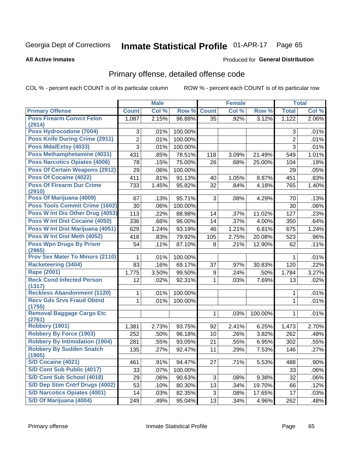### Inmate Statistical Profile 01-APR-17 Page 65

### **All Active Inmates**

## **Produced for General Distribution**

# Primary offense, detailed offense code

COL % - percent each COUNT is of its particular column

| Col %<br><b>Primary Offense</b><br>Col %<br>Row %<br><b>Count</b><br>Col %<br>Row %<br><b>Total</b><br><b>Count</b><br><b>Poss Firearm Convct Felon</b><br>2.15%<br>96.88%<br>.92%<br>2.06%<br>1,087<br>35<br>3.12%<br>1,122<br>(2914)<br>Poss Hydrocodone (7004)<br>100.00%<br>3<br>.01%<br>.01%<br>3<br><b>Poss Knife During Crime (2911)</b><br>$\overline{2}$<br>.01%<br>$\overline{2}$<br>.01%<br>100.00%<br>Poss Mda/Extsy (4033)<br>3<br>3<br>100.00%<br>.01%<br>.01%<br>Poss Methamphetamine (4031)<br>.85%<br>78.51%<br>1.01%<br>431<br>3.09%<br>21.49%<br>549<br>118<br>Poss Narcotics Opiates (4006)<br>78<br>75.00%<br>.15%<br>26<br>.68%<br>25.00%<br>.19%<br>104<br><b>Poss Of Certain Weapons (2912)</b><br>29<br>100.00%<br>.05%<br>.06%<br>29<br><b>Poss Of Cocaine (4022)</b><br>.81%<br>91.13%<br>1.05%<br>451<br>411<br>40<br>8.87%<br>.83%<br><b>Poss Of Firearm Dur Crime</b><br>1.45%<br>95.82%<br>733<br>32<br>.84%<br>4.18%<br>765<br>1.40%<br>(2910)<br>Poss Of Marijuana (4009)<br>95.71%<br>3<br>67<br>.13%<br>.08%<br>4.29%<br>.13%<br>70<br><b>Poss Tools Commit Crime (1602)</b><br>30<br>.06%<br>100.00%<br>.06%<br>30<br>Poss W Int Dis Other Drug (4053)<br>113<br>88.98%<br>11.02%<br>.22%<br>.37%<br>127<br>.23%<br>14<br>Poss W Int Dist Cocaine (4050)<br>336<br>.66%<br>96.00%<br>.37%<br>4.00%<br>.64%<br>14<br>350<br>Poss W Int Dist Marijuana (4051)<br>1.24%<br>93.19%<br>6.81%<br>629<br>46<br>1.21%<br>675<br>1.24%<br>Poss W Int Dist Meth (4052)<br>418<br>79.92%<br>20.08%<br>.83%<br>105<br>2.75%<br>523<br>.96%<br><b>Poss Wpn Drugs By Prisnr</b><br>54<br>.11%<br>87.10%<br>8<br>.21%<br>12.90%<br>62<br>.11%<br>(2965)<br><b>Prov Sex Mater To Minors (2110)</b><br>100.00%<br>.01%<br>.01%<br>1<br><b>Racketeering (3404)</b><br>83<br>69.17%<br>.16%<br>37<br>.97%<br>30.83%<br>120<br>.22%<br><b>Rape (2001)</b><br>99.50%<br>3.50%<br>.24%<br>.50%<br>3.27%<br>1,775<br>9<br>1,784<br><b>Reck Cond Infected Person</b><br>92.31%<br>7.69%<br>12<br>1<br>.03%<br>13<br>.02%<br>.02%<br>(1317)<br><b>Reckless Abandonment (1120)</b><br>100.00%<br>.01%<br>.01%<br>1<br>1<br><b>Recv Gds Srvs Fraud Obtnd</b><br>.01%<br>1<br>.01%<br>100.00%<br>1 |
|------------------------------------------------------------------------------------------------------------------------------------------------------------------------------------------------------------------------------------------------------------------------------------------------------------------------------------------------------------------------------------------------------------------------------------------------------------------------------------------------------------------------------------------------------------------------------------------------------------------------------------------------------------------------------------------------------------------------------------------------------------------------------------------------------------------------------------------------------------------------------------------------------------------------------------------------------------------------------------------------------------------------------------------------------------------------------------------------------------------------------------------------------------------------------------------------------------------------------------------------------------------------------------------------------------------------------------------------------------------------------------------------------------------------------------------------------------------------------------------------------------------------------------------------------------------------------------------------------------------------------------------------------------------------------------------------------------------------------------------------------------------------------------------------------------------------------------------------------------------------------------------------------------------------------------------------------------------------------------------------------------------------------------------------------------------------------------------------------------------------------------------------------------------------------------------------------------|
|                                                                                                                                                                                                                                                                                                                                                                                                                                                                                                                                                                                                                                                                                                                                                                                                                                                                                                                                                                                                                                                                                                                                                                                                                                                                                                                                                                                                                                                                                                                                                                                                                                                                                                                                                                                                                                                                                                                                                                                                                                                                                                                                                                                                            |
|                                                                                                                                                                                                                                                                                                                                                                                                                                                                                                                                                                                                                                                                                                                                                                                                                                                                                                                                                                                                                                                                                                                                                                                                                                                                                                                                                                                                                                                                                                                                                                                                                                                                                                                                                                                                                                                                                                                                                                                                                                                                                                                                                                                                            |
|                                                                                                                                                                                                                                                                                                                                                                                                                                                                                                                                                                                                                                                                                                                                                                                                                                                                                                                                                                                                                                                                                                                                                                                                                                                                                                                                                                                                                                                                                                                                                                                                                                                                                                                                                                                                                                                                                                                                                                                                                                                                                                                                                                                                            |
|                                                                                                                                                                                                                                                                                                                                                                                                                                                                                                                                                                                                                                                                                                                                                                                                                                                                                                                                                                                                                                                                                                                                                                                                                                                                                                                                                                                                                                                                                                                                                                                                                                                                                                                                                                                                                                                                                                                                                                                                                                                                                                                                                                                                            |
|                                                                                                                                                                                                                                                                                                                                                                                                                                                                                                                                                                                                                                                                                                                                                                                                                                                                                                                                                                                                                                                                                                                                                                                                                                                                                                                                                                                                                                                                                                                                                                                                                                                                                                                                                                                                                                                                                                                                                                                                                                                                                                                                                                                                            |
|                                                                                                                                                                                                                                                                                                                                                                                                                                                                                                                                                                                                                                                                                                                                                                                                                                                                                                                                                                                                                                                                                                                                                                                                                                                                                                                                                                                                                                                                                                                                                                                                                                                                                                                                                                                                                                                                                                                                                                                                                                                                                                                                                                                                            |
|                                                                                                                                                                                                                                                                                                                                                                                                                                                                                                                                                                                                                                                                                                                                                                                                                                                                                                                                                                                                                                                                                                                                                                                                                                                                                                                                                                                                                                                                                                                                                                                                                                                                                                                                                                                                                                                                                                                                                                                                                                                                                                                                                                                                            |
|                                                                                                                                                                                                                                                                                                                                                                                                                                                                                                                                                                                                                                                                                                                                                                                                                                                                                                                                                                                                                                                                                                                                                                                                                                                                                                                                                                                                                                                                                                                                                                                                                                                                                                                                                                                                                                                                                                                                                                                                                                                                                                                                                                                                            |
|                                                                                                                                                                                                                                                                                                                                                                                                                                                                                                                                                                                                                                                                                                                                                                                                                                                                                                                                                                                                                                                                                                                                                                                                                                                                                                                                                                                                                                                                                                                                                                                                                                                                                                                                                                                                                                                                                                                                                                                                                                                                                                                                                                                                            |
|                                                                                                                                                                                                                                                                                                                                                                                                                                                                                                                                                                                                                                                                                                                                                                                                                                                                                                                                                                                                                                                                                                                                                                                                                                                                                                                                                                                                                                                                                                                                                                                                                                                                                                                                                                                                                                                                                                                                                                                                                                                                                                                                                                                                            |
|                                                                                                                                                                                                                                                                                                                                                                                                                                                                                                                                                                                                                                                                                                                                                                                                                                                                                                                                                                                                                                                                                                                                                                                                                                                                                                                                                                                                                                                                                                                                                                                                                                                                                                                                                                                                                                                                                                                                                                                                                                                                                                                                                                                                            |
|                                                                                                                                                                                                                                                                                                                                                                                                                                                                                                                                                                                                                                                                                                                                                                                                                                                                                                                                                                                                                                                                                                                                                                                                                                                                                                                                                                                                                                                                                                                                                                                                                                                                                                                                                                                                                                                                                                                                                                                                                                                                                                                                                                                                            |
|                                                                                                                                                                                                                                                                                                                                                                                                                                                                                                                                                                                                                                                                                                                                                                                                                                                                                                                                                                                                                                                                                                                                                                                                                                                                                                                                                                                                                                                                                                                                                                                                                                                                                                                                                                                                                                                                                                                                                                                                                                                                                                                                                                                                            |
|                                                                                                                                                                                                                                                                                                                                                                                                                                                                                                                                                                                                                                                                                                                                                                                                                                                                                                                                                                                                                                                                                                                                                                                                                                                                                                                                                                                                                                                                                                                                                                                                                                                                                                                                                                                                                                                                                                                                                                                                                                                                                                                                                                                                            |
|                                                                                                                                                                                                                                                                                                                                                                                                                                                                                                                                                                                                                                                                                                                                                                                                                                                                                                                                                                                                                                                                                                                                                                                                                                                                                                                                                                                                                                                                                                                                                                                                                                                                                                                                                                                                                                                                                                                                                                                                                                                                                                                                                                                                            |
|                                                                                                                                                                                                                                                                                                                                                                                                                                                                                                                                                                                                                                                                                                                                                                                                                                                                                                                                                                                                                                                                                                                                                                                                                                                                                                                                                                                                                                                                                                                                                                                                                                                                                                                                                                                                                                                                                                                                                                                                                                                                                                                                                                                                            |
|                                                                                                                                                                                                                                                                                                                                                                                                                                                                                                                                                                                                                                                                                                                                                                                                                                                                                                                                                                                                                                                                                                                                                                                                                                                                                                                                                                                                                                                                                                                                                                                                                                                                                                                                                                                                                                                                                                                                                                                                                                                                                                                                                                                                            |
|                                                                                                                                                                                                                                                                                                                                                                                                                                                                                                                                                                                                                                                                                                                                                                                                                                                                                                                                                                                                                                                                                                                                                                                                                                                                                                                                                                                                                                                                                                                                                                                                                                                                                                                                                                                                                                                                                                                                                                                                                                                                                                                                                                                                            |
|                                                                                                                                                                                                                                                                                                                                                                                                                                                                                                                                                                                                                                                                                                                                                                                                                                                                                                                                                                                                                                                                                                                                                                                                                                                                                                                                                                                                                                                                                                                                                                                                                                                                                                                                                                                                                                                                                                                                                                                                                                                                                                                                                                                                            |
|                                                                                                                                                                                                                                                                                                                                                                                                                                                                                                                                                                                                                                                                                                                                                                                                                                                                                                                                                                                                                                                                                                                                                                                                                                                                                                                                                                                                                                                                                                                                                                                                                                                                                                                                                                                                                                                                                                                                                                                                                                                                                                                                                                                                            |
|                                                                                                                                                                                                                                                                                                                                                                                                                                                                                                                                                                                                                                                                                                                                                                                                                                                                                                                                                                                                                                                                                                                                                                                                                                                                                                                                                                                                                                                                                                                                                                                                                                                                                                                                                                                                                                                                                                                                                                                                                                                                                                                                                                                                            |
|                                                                                                                                                                                                                                                                                                                                                                                                                                                                                                                                                                                                                                                                                                                                                                                                                                                                                                                                                                                                                                                                                                                                                                                                                                                                                                                                                                                                                                                                                                                                                                                                                                                                                                                                                                                                                                                                                                                                                                                                                                                                                                                                                                                                            |
|                                                                                                                                                                                                                                                                                                                                                                                                                                                                                                                                                                                                                                                                                                                                                                                                                                                                                                                                                                                                                                                                                                                                                                                                                                                                                                                                                                                                                                                                                                                                                                                                                                                                                                                                                                                                                                                                                                                                                                                                                                                                                                                                                                                                            |
|                                                                                                                                                                                                                                                                                                                                                                                                                                                                                                                                                                                                                                                                                                                                                                                                                                                                                                                                                                                                                                                                                                                                                                                                                                                                                                                                                                                                                                                                                                                                                                                                                                                                                                                                                                                                                                                                                                                                                                                                                                                                                                                                                                                                            |
| (1755)                                                                                                                                                                                                                                                                                                                                                                                                                                                                                                                                                                                                                                                                                                                                                                                                                                                                                                                                                                                                                                                                                                                                                                                                                                                                                                                                                                                                                                                                                                                                                                                                                                                                                                                                                                                                                                                                                                                                                                                                                                                                                                                                                                                                     |
| <b>Removal Baggage Cargo Etc</b><br>100.00%<br>.01%<br>1<br>.03%<br>1<br>(2761)                                                                                                                                                                                                                                                                                                                                                                                                                                                                                                                                                                                                                                                                                                                                                                                                                                                                                                                                                                                                                                                                                                                                                                                                                                                                                                                                                                                                                                                                                                                                                                                                                                                                                                                                                                                                                                                                                                                                                                                                                                                                                                                            |
| <b>Robbery (1901)</b><br>2.73%<br>93.75%<br>92<br>2.41%<br>6.25%<br>2.70%<br>1,381<br>1,473                                                                                                                                                                                                                                                                                                                                                                                                                                                                                                                                                                                                                                                                                                                                                                                                                                                                                                                                                                                                                                                                                                                                                                                                                                                                                                                                                                                                                                                                                                                                                                                                                                                                                                                                                                                                                                                                                                                                                                                                                                                                                                                |
| <b>Robbery By Force (1903)</b><br>252<br>.50%<br>96.18%<br>10<br>.26%<br>3.82%<br>262<br>.48%                                                                                                                                                                                                                                                                                                                                                                                                                                                                                                                                                                                                                                                                                                                                                                                                                                                                                                                                                                                                                                                                                                                                                                                                                                                                                                                                                                                                                                                                                                                                                                                                                                                                                                                                                                                                                                                                                                                                                                                                                                                                                                              |
| <b>Robbery By Intimidation (1904)</b><br>21<br>281<br>.55%<br>93.05%<br>.55%<br>6.95%<br>302<br>.55%                                                                                                                                                                                                                                                                                                                                                                                                                                                                                                                                                                                                                                                                                                                                                                                                                                                                                                                                                                                                                                                                                                                                                                                                                                                                                                                                                                                                                                                                                                                                                                                                                                                                                                                                                                                                                                                                                                                                                                                                                                                                                                       |
| <b>Robbery By Sudden Snatch</b><br>135<br>.27%<br>92.47%<br>11<br>7.53%<br>.27%<br>.29%<br>146<br>(1905)                                                                                                                                                                                                                                                                                                                                                                                                                                                                                                                                                                                                                                                                                                                                                                                                                                                                                                                                                                                                                                                                                                                                                                                                                                                                                                                                                                                                                                                                                                                                                                                                                                                                                                                                                                                                                                                                                                                                                                                                                                                                                                   |
| <b>S/D Cocaine (4021)</b><br>5.53%<br>$.90\%$<br>.91%<br>94.47%<br>27<br>.71%<br>488<br>461                                                                                                                                                                                                                                                                                                                                                                                                                                                                                                                                                                                                                                                                                                                                                                                                                                                                                                                                                                                                                                                                                                                                                                                                                                                                                                                                                                                                                                                                                                                                                                                                                                                                                                                                                                                                                                                                                                                                                                                                                                                                                                                |
| S/D Cont Sub Public (4017)<br>33<br>.07%<br>100.00%<br>33<br>.06%                                                                                                                                                                                                                                                                                                                                                                                                                                                                                                                                                                                                                                                                                                                                                                                                                                                                                                                                                                                                                                                                                                                                                                                                                                                                                                                                                                                                                                                                                                                                                                                                                                                                                                                                                                                                                                                                                                                                                                                                                                                                                                                                          |
| S/D Cont Sub School (4018)<br>29<br>.06%<br>90.63%<br>3<br>9.38%<br>32<br>.06%<br>.08%                                                                                                                                                                                                                                                                                                                                                                                                                                                                                                                                                                                                                                                                                                                                                                                                                                                                                                                                                                                                                                                                                                                                                                                                                                                                                                                                                                                                                                                                                                                                                                                                                                                                                                                                                                                                                                                                                                                                                                                                                                                                                                                     |
| S/D Dep Stim Cntrf Drugs (4002)<br>13<br>53<br>.10%<br>.34%<br>.12%<br>80.30%<br>19.70%<br>66                                                                                                                                                                                                                                                                                                                                                                                                                                                                                                                                                                                                                                                                                                                                                                                                                                                                                                                                                                                                                                                                                                                                                                                                                                                                                                                                                                                                                                                                                                                                                                                                                                                                                                                                                                                                                                                                                                                                                                                                                                                                                                              |
| <b>S/D Narcotics Opiates (4001)</b><br>3<br>14<br>.03%<br>82.35%<br>.08%<br>17.65%<br>17<br>.03%                                                                                                                                                                                                                                                                                                                                                                                                                                                                                                                                                                                                                                                                                                                                                                                                                                                                                                                                                                                                                                                                                                                                                                                                                                                                                                                                                                                                                                                                                                                                                                                                                                                                                                                                                                                                                                                                                                                                                                                                                                                                                                           |
| S/D Of Marijuana (4004)<br>13<br>249<br>.49%<br>95.04%<br>.34%<br>4.96%<br>262<br>.48%                                                                                                                                                                                                                                                                                                                                                                                                                                                                                                                                                                                                                                                                                                                                                                                                                                                                                                                                                                                                                                                                                                                                                                                                                                                                                                                                                                                                                                                                                                                                                                                                                                                                                                                                                                                                                                                                                                                                                                                                                                                                                                                     |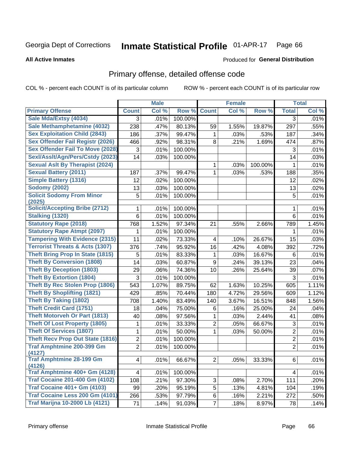### Inmate Statistical Profile 01-APR-17 Page 66

**All Active Inmates** 

### Produced for General Distribution

# Primary offense, detailed offense code

COL % - percent each COUNT is of its particular column

|                                            |                | <b>Male</b> |         |                         | <b>Female</b> |         |                | <b>Total</b> |
|--------------------------------------------|----------------|-------------|---------|-------------------------|---------------|---------|----------------|--------------|
| <b>Primary Offense</b>                     | <b>Count</b>   | Col %       | Row %   | <b>Count</b>            | Col %         | Row %   | <b>Total</b>   | Col %        |
| Sale Mda/Extsy (4034)                      | 3              | .01%        | 100.00% |                         |               |         | 3              | .01%         |
| Sale Methamphetamine (4032)                | 238            | .47%        | 80.13%  | 59                      | 1.55%         | 19.87%  | 297            | .55%         |
| <b>Sex Exploitation Child (2843)</b>       | 186            | .37%        | 99.47%  | 1                       | .03%          | .53%    | 187            | .34%         |
| Sex Offender Fail Registr (2026)           | 466            | .92%        | 98.31%  | 8                       | .21%          | 1.69%   | 474            | .87%         |
| <b>Sex Offender Fail To Move (2028)</b>    | 3              | .01%        | 100.00% |                         |               |         | 3              | .01%         |
| Sexl/Asslt/Agn/Pers/Cstdy (2023)           | 14             | .03%        | 100.00% |                         |               |         | 14             | .03%         |
| <b>Sexual Aslt By Therapist (2024)</b>     |                |             |         | 1                       | .03%          | 100.00% | 1              | .01%         |
| <b>Sexual Battery (2011)</b>               | 187            | .37%        | 99.47%  | $\mathbf{1}$            | .03%          | .53%    | 188            | .35%         |
| <b>Simple Battery (1316)</b>               | 12             | .02%        | 100.00% |                         |               |         | 12             | .02%         |
| <b>Sodomy (2002)</b>                       | 13             | .03%        | 100.00% |                         |               |         | 13             | .02%         |
| <b>Solicit Sodomy From Minor</b>           | 5              | .01%        | 100.00% |                         |               |         | 5              | .01%         |
| (2025)                                     |                |             |         |                         |               |         |                |              |
| <b>Solicit/Accepting Bribe (2712)</b>      | 1              | .01%        | 100.00% |                         |               |         | 1              | .01%         |
| <b>Stalking (1320)</b>                     | 6              | .01%        | 100.00% |                         |               |         | 6              | .01%         |
| <b>Statutory Rape (2018)</b>               | 768            | 1.52%       | 97.34%  | 21                      | .55%          | 2.66%   | 789            | 1.45%        |
| <b>Statutory Rape Atmpt (2097)</b>         | 1              | .01%        | 100.00% |                         |               |         | 1              | .01%         |
| <b>Tampering With Evidence (2315)</b>      | 11             | .02%        | 73.33%  | $\overline{\mathbf{4}}$ | .10%          | 26.67%  | 15             | .03%         |
| <b>Terrorist Threats &amp; Acts (1307)</b> | 376            | .74%        | 95.92%  | 16                      | .42%          | 4.08%   | 392            | .72%         |
| <b>Theft Bring Prop In State (1815)</b>    | 5              | .01%        | 83.33%  | 1                       | .03%          | 16.67%  | 6              | .01%         |
| <b>Theft By Conversion (1808)</b>          | 14             | .03%        | 60.87%  | 9                       | .24%          | 39.13%  | 23             | .04%         |
| <b>Theft By Deception (1803)</b>           | 29             | .06%        | 74.36%  | 10                      | .26%          | 25.64%  | 39             | .07%         |
| <b>Theft By Extortion (1804)</b>           | 3              | .01%        | 100.00% |                         |               |         | 3              | .01%         |
| <b>Theft By Rec Stolen Prop (1806)</b>     | 543            | 1.07%       | 89.75%  | 62                      | 1.63%         | 10.25%  | 605            | 1.11%        |
| <b>Theft By Shoplifting (1821)</b>         | 429            | .85%        | 70.44%  | 180                     | 4.72%         | 29.56%  | 609            | 1.12%        |
| <b>Theft By Taking (1802)</b>              | 708            | 1.40%       | 83.49%  | 140                     | 3.67%         | 16.51%  | 848            | 1.56%        |
| <b>Theft Credit Card (1751)</b>            | 18             | .04%        | 75.00%  | 6                       | .16%          | 25.00%  | 24             | .04%         |
| <b>Theft Motorveh Or Part (1813)</b>       | 40             | .08%        | 97.56%  | 1                       | .03%          | 2.44%   | 41             | .08%         |
| <b>Theft Of Lost Property (1805)</b>       | 1              | .01%        | 33.33%  | $\overline{2}$          | .05%          | 66.67%  | 3              | .01%         |
| <b>Theft Of Services (1807)</b>            | 1              | .01%        | 50.00%  | 1                       | .03%          | 50.00%  | $\overline{2}$ | .01%         |
| <b>Theft Recv Prop Out State (1816)</b>    | $\overline{c}$ | .01%        | 100.00% |                         |               |         | $\overline{2}$ | .01%         |
| <b>Traf Amphtmine 200-399 Gm</b><br>(4127) | $\overline{2}$ | .01%        | 100.00% |                         |               |         | $\overline{2}$ | .01%         |
| <b>Traf Amphtmine 28-199 Gm</b><br>(4126)  | $\overline{4}$ | .01%        | 66.67%  | 2                       | .05%          | 33.33%  | 6              | .01%         |
| Traf Amphtmine 400+ Gm (4128)              | 4              | .01%        | 100.00% |                         |               |         | 4              | .01%         |
| <b>Traf Cocaine 201-400 Gm (4102)</b>      | 108            | .21%        | 97.30%  | 3                       | $.08\%$       | 2.70%   | 111            | .20%         |
| <b>Traf Cocaine 401+ Gm (4103)</b>         | 99             | .20%        | 95.19%  | 5                       | .13%          | 4.81%   | 104            | .19%         |
| Traf Cocaine Less 200 Gm (4101)            | 266            | .53%        | 97.79%  | 6                       | .16%          | 2.21%   | 272            | .50%         |
| <b>Traf Marijna 10-2000 Lb (4121)</b>      | 71             | .14%        | 91.03%  | $\overline{7}$          | .18%          | 8.97%   | 78             | .14%         |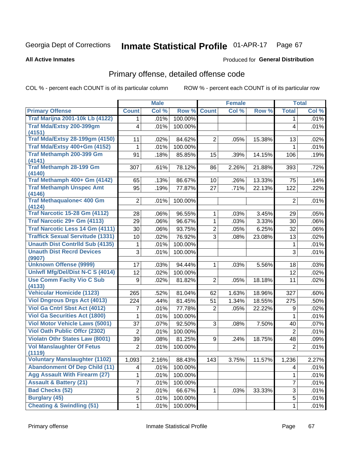### Inmate Statistical Profile 01-APR-17 Page 67

**All Active Inmates** 

### Produced for General Distribution

# Primary offense, detailed offense code

COL % - percent each COUNT is of its particular column

|                                                |                         | <b>Male</b> |         |                | <b>Female</b> |        |                           | <b>Total</b> |
|------------------------------------------------|-------------------------|-------------|---------|----------------|---------------|--------|---------------------------|--------------|
| <b>Primary Offense</b>                         | <b>Count</b>            | Col %       | Row %   | <b>Count</b>   | Col %         | Row %  | <b>Total</b>              | Col %        |
| <b>Traf Marijna 2001-10k Lb (4122)</b>         | $\mathbf 1$             | .01%        | 100.00% |                |               |        | 1.                        | .01%         |
| Traf Mda/Extsy 200-399gm                       | $\overline{\mathbf{4}}$ | .01%        | 100.00% |                |               |        | 4                         | .01%         |
| (4151)                                         |                         |             |         |                |               |        |                           |              |
| <b>Traf Mda/Extsy 28-199gm (4150)</b>          | 11                      | .02%        | 84.62%  | $\overline{2}$ | .05%          | 15.38% | 13                        | .02%         |
| Traf Mda/Extsy 400+Gm (4152)                   | 1                       | .01%        | 100.00% |                |               |        | 1                         | .01%         |
| Traf Methamph 200-399 Gm                       | 91                      | .18%        | 85.85%  | 15             | .39%          | 14.15% | 106                       | .19%         |
| (4141)<br><b>Traf Methamph 28-199 Gm</b>       | 307                     | .61%        | 78.12%  | 86             | 2.26%         | 21.88% | 393                       | .72%         |
| (4140)                                         |                         |             |         |                |               |        |                           |              |
| Traf Methamph 400+ Gm (4142)                   | 65                      | .13%        | 86.67%  | 10             | .26%          | 13.33% | 75                        | .14%         |
| <b>Traf Methamph Unspec Amt</b>                | 95                      | .19%        | 77.87%  | 27             | .71%          | 22.13% | 122                       | .22%         |
| (4146)                                         |                         |             |         |                |               |        |                           |              |
| <b>Traf Methaqualone&lt; 400 Gm</b>            | $\overline{2}$          | .01%        | 100.00% |                |               |        | $\overline{2}$            | .01%         |
| (4124)<br><b>Traf Narcotic 15-28 Gm (4112)</b> | 28                      | .06%        | 96.55%  | 1              | .03%          | 3.45%  | 29                        | .05%         |
| Traf Narcotic 29+ Gm (4113)                    | 29                      | .06%        | 96.67%  | 1              | .03%          | 3.33%  | 30                        | $.06\%$      |
| <b>Traf Narcotic Less 14 Gm (4111)</b>         | 30                      | .06%        | 93.75%  | $\overline{2}$ | .05%          | 6.25%  | 32                        | .06%         |
| <b>Traffick Sexual Servitude (1331)</b>        | 10                      | .02%        | 76.92%  | $\overline{3}$ | .08%          | 23.08% | 13                        | .02%         |
| <b>Unauth Dist Contrild Sub (4135)</b>         |                         | .01%        | 100.00% |                |               |        | 1                         | .01%         |
| <b>Unauth Dist Recrd Devices</b>               | 1                       |             |         |                |               |        | 3                         |              |
| (9907)                                         | 3                       | .01%        | 100.00% |                |               |        |                           | .01%         |
| <b>Unknown Offense (9999)</b>                  | 17                      | .03%        | 94.44%  | 1              | .03%          | 5.56%  | 18                        | .03%         |
| Uniwfl Mfg/Del/Dist N-C S (4014)               | 12                      | .02%        | 100.00% |                |               |        | 12                        | .02%         |
| <b>Use Comm Facity Vio C Sub</b>               | 9                       | .02%        | 81.82%  | $\overline{2}$ | .05%          | 18.18% | 11                        | .02%         |
| (4133)                                         |                         |             |         |                |               |        |                           |              |
| <b>Vehicular Homicide (1123)</b>               | 265                     | .52%        | 81.04%  | 62             | 1.63%         | 18.96% | 327                       | .60%         |
| <b>Viol Dngrous Drgs Act (4013)</b>            | 224                     | .44%        | 81.45%  | 51             | 1.34%         | 18.55% | 275                       | .50%         |
| <b>Viol Ga Cntrl Sbst Act (4012)</b>           | 7                       | .01%        | 77.78%  | $\overline{2}$ | .05%          | 22.22% | 9                         | .02%         |
| <b>Viol Ga Securities Act (1800)</b>           | 1                       | .01%        | 100.00% |                |               |        | 1                         | .01%         |
| <b>Viol Motor Vehicle Laws (5001)</b>          | 37                      | .07%        | 92.50%  | 3              | .08%          | 7.50%  | 40                        | .07%         |
| <b>Viol Oath Public Offcr (2302)</b>           | $\overline{2}$          | .01%        | 100.00% |                |               |        | $\overline{2}$            | .01%         |
| Violatn Othr States Law (8001)                 | 39                      | .08%        | 81.25%  | 9              | .24%          | 18.75% | 48                        | .09%         |
| <b>Vol Manslaughter Of Fetus</b>               | $\overline{2}$          | .01%        | 100.00% |                |               |        | $\overline{2}$            | .01%         |
| (1119)                                         |                         |             |         |                |               |        |                           |              |
| <b>Voluntary Manslaughter (1102)</b>           | 1,093                   | 2.16%       | 88.43%  | 143            | 3.75%         | 11.57% | 1,236                     | 2.27%        |
| <b>Abandonment Of Dep Child (11)</b>           | 4                       | .01%        | 100.00% |                |               |        | 4                         | .01%         |
| <b>Agg Assault With Firearm (27)</b>           | 1                       | .01%        | 100.00% |                |               |        | 1                         | .01%         |
| <b>Assault &amp; Battery (21)</b>              | $\overline{7}$          | .01%        | 100.00% |                |               |        | $\overline{7}$            | .01%         |
| <b>Bad Checks (52)</b>                         | $\overline{c}$          | .01%        | 66.67%  | 1.             | .03%          | 33.33% | $\ensuremath{\mathsf{3}}$ | .01%         |
| <b>Burglary (45)</b>                           | $\overline{5}$          | .01%        | 100.00% |                |               |        | 5                         | .01%         |
| <b>Cheating &amp; Swindling (51)</b>           | $\mathbf{1}$            | .01%        | 100.00% |                |               |        | 1                         | .01%         |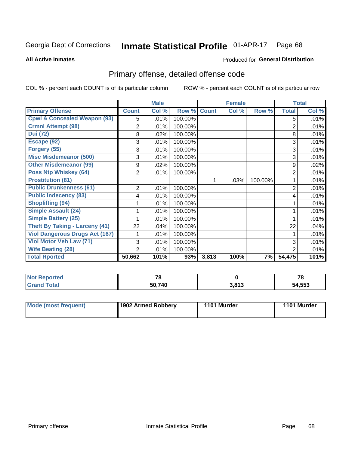### Inmate Statistical Profile 01-APR-17 Page 68

**All Active Inmates** 

### Produced for General Distribution

# Primary offense, detailed offense code

COL % - percent each COUNT is of its particular column

|                                         |                | <b>Male</b> |         |              | <b>Female</b> |         |                | <b>Total</b> |
|-----------------------------------------|----------------|-------------|---------|--------------|---------------|---------|----------------|--------------|
| <b>Primary Offense</b>                  | <b>Count</b>   | Col %       | Row %   | <b>Count</b> | Col %         | Row %   | <b>Total</b>   | Col %        |
| <b>Cpwl &amp; Concealed Weapon (93)</b> | 5              | .01%        | 100.00% |              |               |         | 5              | .01%         |
| <b>Crmnl Attempt (98)</b>               | 2              | .01%        | 100.00% |              |               |         | 2              | .01%         |
| <b>Dui (72)</b>                         | 8              | .02%        | 100.00% |              |               |         | 8              | .01%         |
| Escape (92)                             | 3              | .01%        | 100.00% |              |               |         | 3              | .01%         |
| Forgery (55)                            | 3              | .01%        | 100.00% |              |               |         | 3              | .01%         |
| <b>Misc Misdemeanor (500)</b>           | 3              | .01%        | 100.00% |              |               |         | 3              | .01%         |
| <b>Other Misdemeanor (99)</b>           | 9              | .02%        | 100.00% |              |               |         | 9              | .02%         |
| <b>Poss Ntp Whiskey (64)</b>            | 2              | .01%        | 100.00% |              |               |         | 2              | .01%         |
| <b>Prostitution (81)</b>                |                |             |         |              | .03%          | 100.00% |                | .01%         |
| <b>Public Drunkenness (61)</b>          | 2              | .01%        | 100.00% |              |               |         | 2              | .01%         |
| <b>Public Indecency (83)</b>            | 4              | .01%        | 100.00% |              |               |         | 4              | .01%         |
| <b>Shoplifting (94)</b>                 |                | .01%        | 100.00% |              |               |         |                | .01%         |
| <b>Simple Assault (24)</b>              |                | .01%        | 100.00% |              |               |         |                | .01%         |
| <b>Simple Battery (25)</b>              |                | .01%        | 100.00% |              |               |         |                | .01%         |
| <b>Theft By Taking - Larceny (41)</b>   | 22             | .04%        | 100.00% |              |               |         | 22             | .04%         |
| <b>Viol Dangerous Drugs Act (167)</b>   |                | .01%        | 100.00% |              |               |         |                | .01%         |
| Viol Motor Veh Law (71)                 | 3              | .01%        | 100.00% |              |               |         | 3              | .01%         |
| <b>Wife Beating (28)</b>                | $\overline{2}$ | .01%        | 100.00% |              |               |         | $\overline{2}$ | .01%         |
| <b>Total Rported</b>                    | 50,662         | 101%        | 93%     | 3,813        | 100%          | 7%      | 54,475         | 101%         |

| <b>Not Reported</b> | 70     |       | 1 O    |
|---------------------|--------|-------|--------|
| <b>Total</b>        | 50.740 | 3.813 | 54,553 |

| <b>Mode (most frequent)</b> | 1902 Armed Robbery | 1101 Murder | 1101 Murder |
|-----------------------------|--------------------|-------------|-------------|
|-----------------------------|--------------------|-------------|-------------|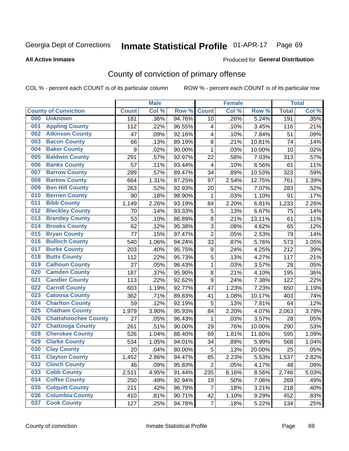#### Inmate Statistical Profile 01-APR-17 Page 69

**All Active Inmates** 

### Produced for General Distribution

# County of conviction of primary offense

COL % - percent each COUNT is of its particular column

|     |                             |              | <b>Male</b> |        |                         | <b>Female</b> |        |              | <b>Total</b> |
|-----|-----------------------------|--------------|-------------|--------|-------------------------|---------------|--------|--------------|--------------|
|     | <b>County of Conviction</b> | <b>Count</b> | Col %       | Row %  | <b>Count</b>            | Col %         | Row %  | <b>Total</b> | Col %        |
| 000 | <b>Unknown</b>              | 181          | .36%        | 94.76% | 10                      | .26%          | 5.24%  | 191          | .35%         |
| 001 | <b>Appling County</b>       | 112          | .22%        | 96.55% | 4                       | .10%          | 3.45%  | 116          | .21%         |
| 002 | <b>Atkinson County</b>      | 47           | .09%        | 92.16% | 4                       | .10%          | 7.84%  | 51           | .09%         |
| 003 | <b>Bacon County</b>         | 66           | .13%        | 89.19% | 8                       | .21%          | 10.81% | 74           | .14%         |
| 004 | <b>Baker County</b>         | 9            | .02%        | 90.00% | $\mathbf{1}$            | .03%          | 10.00% | 10           | .02%         |
| 005 | <b>Baldwin County</b>       | 291          | .57%        | 92.97% | 22                      | .58%          | 7.03%  | 313          | .57%         |
| 006 | <b>Banks County</b>         | 57           | .11%        | 93.44% | $\overline{\mathbf{4}}$ | .10%          | 6.56%  | 61           | .11%         |
| 007 | <b>Barrow County</b>        | 289          | .57%        | 89.47% | 34                      | .89%          | 10.53% | 323          | .59%         |
| 008 | <b>Bartow County</b>        | 664          | 1.31%       | 87.25% | 97                      | 2.54%         | 12.75% | 761          | 1.39%        |
| 009 | <b>Ben Hill County</b>      | 263          | .52%        | 92.93% | 20                      | .52%          | 7.07%  | 283          | .52%         |
| 010 | <b>Berrien County</b>       | 90           | .18%        | 98.90% | 1                       | .03%          | 1.10%  | 91           | .17%         |
| 011 | <b>Bibb County</b>          | 1,149        | 2.26%       | 93.19% | 84                      | 2.20%         | 6.81%  | 1,233        | 2.26%        |
| 012 | <b>Bleckley County</b>      | 70           | .14%        | 93.33% | $\mathbf 5$             | .13%          | 6.67%  | 75           | .14%         |
| 013 | <b>Brantley County</b>      | 53           | .10%        | 86.89% | 8                       | .21%          | 13.11% | 61           | .11%         |
| 014 | <b>Brooks County</b>        | 62           | .12%        | 95.38% | 3                       | .08%          | 4.62%  | 65           | .12%         |
| 015 | <b>Bryan County</b>         | 77           | .15%        | 97.47% | $\overline{2}$          | .05%          | 2.53%  | 79           | .14%         |
| 016 | <b>Bulloch County</b>       | 540          | 1.06%       | 94.24% | 33                      | .87%          | 5.76%  | 573          | 1.05%        |
| 017 | <b>Burke County</b>         | 203          | .40%        | 95.75% | 9                       | .24%          | 4.25%  | 212          | .39%         |
| 018 | <b>Butts County</b>         | 112          | .22%        | 95.73% | 5                       | .13%          | 4.27%  | 117          | .21%         |
| 019 | <b>Calhoun County</b>       | 27           | .05%        | 96.43% | $\mathbf{1}$            | .03%          | 3.57%  | 28           | .05%         |
| 020 | <b>Camden County</b>        | 187          | .37%        | 95.90% | 8                       | .21%          | 4.10%  | 195          | .36%         |
| 021 | <b>Candler County</b>       | 113          | .22%        | 92.62% | 9                       | .24%          | 7.38%  | 122          | .22%         |
| 022 | <b>Carroll County</b>       | 603          | 1.19%       | 92.77% | 47                      | 1.23%         | 7.23%  | 650          | 1.19%        |
| 023 | <b>Catoosa County</b>       | 362          | .71%        | 89.83% | 41                      | 1.08%         | 10.17% | 403          | .74%         |
| 024 | <b>Charlton County</b>      | 59           | .12%        | 92.19% | 5                       | .13%          | 7.81%  | 64           | .12%         |
| 025 | <b>Chatham County</b>       | 1,979        | 3.90%       | 95.93% | 84                      | 2.20%         | 4.07%  | 2,063        | 3.78%        |
| 026 | <b>Chattahoochee County</b> | 27           | .05%        | 96.43% | 1                       | .03%          | 3.57%  | 28           | .05%         |
| 027 | <b>Chattooga County</b>     | 261          | .51%        | 90.00% | 29                      | .76%          | 10.00% | 290          | .53%         |
| 028 | <b>Cherokee County</b>      | 526          | 1.04%       | 88.40% | 69                      | 1.81%         | 11.60% | 595          | 1.09%        |
| 029 | <b>Clarke County</b>        | 534          | 1.05%       | 94.01% | 34                      | .89%          | 5.99%  | 568          | 1.04%        |
| 030 | <b>Clay County</b>          | 20           | .04%        | 80.00% | 5                       | .13%          | 20.00% | 25           | .05%         |
| 031 | <b>Clayton County</b>       | 1,452        | 2.86%       | 94.47% | 85                      | 2.23%         | 5.53%  | 1,537        | 2.82%        |
| 032 | <b>Clinch County</b>        | 46           | .09%        | 95.83% | $\overline{2}$          | .05%          | 4.17%  | 48           | .09%         |
| 033 | <b>Cobb County</b>          | 2,511        | 4.95%       | 91.44% | 235                     | 6.16%         | 8.56%  | 2,746        | 5.03%        |
| 034 | <b>Coffee County</b>        | 250          | .49%        | 92.94% | 19                      | .50%          | 7.06%  | 269          | .49%         |
| 035 | <b>Colquitt County</b>      | 211          | .42%        | 96.79% | $\overline{7}$          | .18%          | 3.21%  | 218          | .40%         |
| 036 | <b>Columbia County</b>      | 410          | .81%        | 90.71% | 42                      | 1.10%         | 9.29%  | 452          | .83%         |
| 037 | <b>Cook County</b>          | 127          | .25%        | 94.78% | $\overline{7}$          | .18%          | 5.22%  | 134          | .25%         |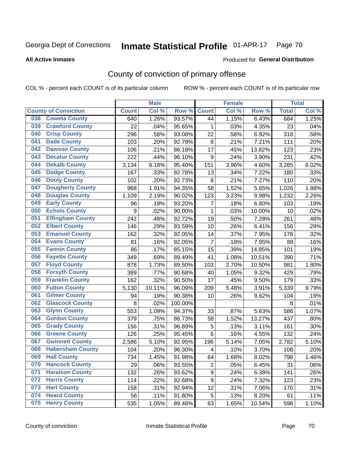### Inmate Statistical Profile 01-APR-17 Page 70

Produced for General Distribution

### **All Active Inmates**

# County of conviction of primary offense

COL % - percent each COUNT is of its particular column

|     |                             |              | <b>Male</b> |         |                | <b>Female</b> |        |              | <b>Total</b> |
|-----|-----------------------------|--------------|-------------|---------|----------------|---------------|--------|--------------|--------------|
|     | <b>County of Conviction</b> | <b>Count</b> | Col %       | Row %   | <b>Count</b>   | Col%          | Row %  | <b>Total</b> | Col %        |
| 038 | <b>Coweta County</b>        | 640          | 1.26%       | 93.57%  | 44             | 1.15%         | 6.43%  | 684          | 1.25%        |
| 039 | <b>Crawford County</b>      | 22           | .04%        | 95.65%  | $\mathbf{1}$   | .03%          | 4.35%  | 23           | .04%         |
| 040 | <b>Crisp County</b>         | 296          | .58%        | 93.08%  | 22             | .58%          | 6.92%  | 318          | .58%         |
| 041 | <b>Dade County</b>          | 103          | .20%        | 92.79%  | 8              | .21%          | 7.21%  | 111          | .20%         |
| 042 | <b>Dawson County</b>        | 106          | .21%        | 86.18%  | 17             | .45%          | 13.82% | 123          | .23%         |
| 043 | <b>Decatur County</b>       | 222          | .44%        | 96.10%  | 9              | .24%          | 3.90%  | 231          | .42%         |
| 044 | <b>Dekalb County</b>        | 3,134        | 6.18%       | 95.40%  | 151            | 3.96%         | 4.60%  | 3,285        | 6.02%        |
| 045 | <b>Dodge County</b>         | 167          | .33%        | 92.78%  | 13             | .34%          | 7.22%  | 180          | .33%         |
| 046 | <b>Dooly County</b>         | 102          | .20%        | 92.73%  | 8              | .21%          | 7.27%  | 110          | .20%         |
| 047 | <b>Dougherty County</b>     | 968          | 1.91%       | 94.35%  | 58             | 1.52%         | 5.65%  | 1,026        | 1.88%        |
| 048 | <b>Douglas County</b>       | 1,109        | 2.19%       | 90.02%  | 123            | 3.23%         | 9.98%  | 1,232        | 2.26%        |
| 049 | <b>Early County</b>         | 96           | .19%        | 93.20%  | 7              | .18%          | 6.80%  | 103          | .19%         |
| 050 | <b>Echols County</b>        | 9            | .02%        | 90.00%  | $\mathbf{1}$   | .03%          | 10.00% | 10           | .02%         |
| 051 | <b>Effingham County</b>     | 242          | .48%        | 92.72%  | 19             | .50%          | 7.28%  | 261          | .48%         |
| 052 | <b>Elbert County</b>        | 146          | .29%        | 93.59%  | 10             | .26%          | 6.41%  | 156          | .29%         |
| 053 | <b>Emanuel County</b>       | 162          | .32%        | 92.05%  | 14             | .37%          | 7.95%  | 176          | .32%         |
| 054 | <b>Evans County</b>         | 81           | .16%        | 92.05%  | $\overline{7}$ | .18%          | 7.95%  | 88           | .16%         |
| 055 | <b>Fannin County</b>        | 86           | .17%        | 85.15%  | 15             | .39%          | 14.85% | 101          | .19%         |
| 056 | <b>Fayette County</b>       | 349          | .69%        | 89.49%  | 41             | 1.08%         | 10.51% | 390          | .71%         |
| 057 | <b>Floyd County</b>         | 878          | 1.73%       | 89.50%  | 103            | 2.70%         | 10.50% | 981          | 1.80%        |
| 058 | <b>Forsyth County</b>       | 389          | .77%        | 90.68%  | 40             | 1.05%         | 9.32%  | 429          | .79%         |
| 059 | <b>Franklin County</b>      | 162          | .32%        | 90.50%  | 17             | .45%          | 9.50%  | 179          | .33%         |
| 060 | <b>Fulton County</b>        | 5,130        | 10.11%      | 96.09%  | 209            | 5.48%         | 3.91%  | 5,339        | 9.79%        |
| 061 | <b>Gilmer County</b>        | 94           | .19%        | 90.38%  | 10             | .26%          | 9.62%  | 104          | .19%         |
| 062 | <b>Glascock County</b>      | 8            | .02%        | 100.00% |                |               |        | 8            | .01%         |
| 063 | <b>Glynn County</b>         | 553          | 1.09%       | 94.37%  | 33             | .87%          | 5.63%  | 586          | 1.07%        |
| 064 | <b>Gordon County</b>        | 379          | .75%        | 86.73%  | 58             | 1.52%         | 13.27% | 437          | .80%         |
| 065 | <b>Grady County</b>         | 156          | .31%        | 96.89%  | 5              | .13%          | 3.11%  | 161          | .30%         |
| 066 | <b>Greene County</b>        | 126          | .25%        | 95.45%  | 6              | .16%          | 4.55%  | 132          | .24%         |
| 067 | <b>Gwinnett County</b>      | 2,586        | 5.10%       | 92.95%  | 196            | 5.14%         | 7.05%  | 2,782        | 5.10%        |
| 068 | <b>Habersham County</b>     | 104          | .20%        | 96.30%  | 4              | .10%          | 3.70%  | 108          | .20%         |
| 069 | <b>Hall County</b>          | 734          | 1.45%       | 91.98%  | 64             | 1.68%         | 8.02%  | 798          | 1.46%        |
| 070 | <b>Hancock County</b>       | 29           | .06%        | 93.55%  | $\overline{2}$ | .05%          | 6.45%  | 31           | .06%         |
| 071 | <b>Haralson County</b>      | 132          | .26%        | 93.62%  | 9              | .24%          | 6.38%  | 141          | .26%         |
| 072 | <b>Harris County</b>        | 114          | .22%        | 92.68%  | 9              | .24%          | 7.32%  | 123          | .23%         |
| 073 | <b>Hart County</b>          | 158          | .31%        | 92.94%  | 12             | .31%          | 7.06%  | 170          | .31%         |
| 074 | <b>Heard County</b>         | 56           | .11%        | 91.80%  | 5              | .13%          | 8.20%  | 61           | .11%         |
| 075 | <b>Henry County</b>         | 535          | 1.05%       | 89.46%  | 63             | 1.65%         | 10.54% | 598          | 1.10%        |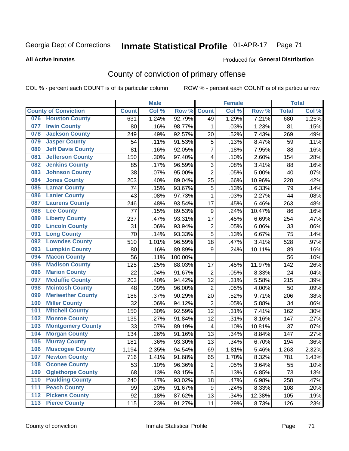### Inmate Statistical Profile 01-APR-17 Page 71

### **All Active Inmates**

### Produced for General Distribution

# County of conviction of primary offense

COL % - percent each COUNT is of its particular column

|                  |                             |              | <b>Male</b> |         |                         | <b>Female</b> |        |              | <b>Total</b> |
|------------------|-----------------------------|--------------|-------------|---------|-------------------------|---------------|--------|--------------|--------------|
|                  | <b>County of Conviction</b> | <b>Count</b> | Col %       | Row %   | <b>Count</b>            | Col %         | Row %  | <b>Total</b> | Col %        |
|                  | 076 Houston County          | 631          | 1.24%       | 92.79%  | 49                      | 1.29%         | 7.21%  | 680          | 1.25%        |
| 077              | <b>Irwin County</b>         | 80           | .16%        | 98.77%  | 1                       | .03%          | 1.23%  | 81           | .15%         |
| 078              | <b>Jackson County</b>       | 249          | .49%        | 92.57%  | 20                      | .52%          | 7.43%  | 269          | .49%         |
| 079              | <b>Jasper County</b>        | 54           | .11%        | 91.53%  | 5                       | .13%          | 8.47%  | 59           | .11%         |
| 080              | <b>Jeff Davis County</b>    | 81           | .16%        | 92.05%  | $\overline{7}$          | .18%          | 7.95%  | 88           | .16%         |
| 081              | <b>Jefferson County</b>     | 150          | .30%        | 97.40%  | 4                       | .10%          | 2.60%  | 154          | .28%         |
| 082              | <b>Jenkins County</b>       | 85           | .17%        | 96.59%  | 3                       | .08%          | 3.41%  | 88           | .16%         |
| 083              | <b>Johnson County</b>       | 38           | .07%        | 95.00%  | $\overline{2}$          | .05%          | 5.00%  | 40           | .07%         |
| 084              | <b>Jones County</b>         | 203          | .40%        | 89.04%  | 25                      | .66%          | 10.96% | 228          | .42%         |
| 085              | <b>Lamar County</b>         | 74           | .15%        | 93.67%  | 5                       | .13%          | 6.33%  | 79           | .14%         |
| 086              | <b>Lanier County</b>        | 43           | .08%        | 97.73%  | 1                       | .03%          | 2.27%  | 44           | .08%         |
| 087              | <b>Laurens County</b>       | 246          | .48%        | 93.54%  | 17                      | .45%          | 6.46%  | 263          | .48%         |
| 088              | <b>Lee County</b>           | 77           | .15%        | 89.53%  | $\boldsymbol{9}$        | .24%          | 10.47% | 86           | .16%         |
| 089              | <b>Liberty County</b>       | 237          | .47%        | 93.31%  | 17                      | .45%          | 6.69%  | 254          | .47%         |
| 090              | <b>Lincoln County</b>       | 31           | .06%        | 93.94%  | $\mathbf 2$             | .05%          | 6.06%  | 33           | .06%         |
| 091              | <b>Long County</b>          | 70           | .14%        | 93.33%  | 5                       | .13%          | 6.67%  | 75           | .14%         |
| 092              | <b>Lowndes County</b>       | 510          | 1.01%       | 96.59%  | 18                      | .47%          | 3.41%  | 528          | .97%         |
| 093              | <b>Lumpkin County</b>       | 80           | .16%        | 89.89%  | $\boldsymbol{9}$        | .24%          | 10.11% | 89           | .16%         |
| 094              | <b>Macon County</b>         | 56           | .11%        | 100.00% |                         |               |        | 56           | .10%         |
| 095              | <b>Madison County</b>       | 125          | .25%        | 88.03%  | 17                      | .45%          | 11.97% | 142          | .26%         |
| 096              | <b>Marion County</b>        | 22           | .04%        | 91.67%  | $\overline{2}$          | .05%          | 8.33%  | 24           | .04%         |
| 097              | <b>Mcduffie County</b>      | 203          | .40%        | 94.42%  | 12                      | .31%          | 5.58%  | 215          | .39%         |
| 098              | <b>Mcintosh County</b>      | 48           | .09%        | 96.00%  | $\overline{2}$          | .05%          | 4.00%  | 50           | .09%         |
| 099              | <b>Meriwether County</b>    | 186          | .37%        | 90.29%  | 20                      | .52%          | 9.71%  | 206          | .38%         |
| 100              | <b>Miller County</b>        | 32           | .06%        | 94.12%  | $\overline{2}$          | .05%          | 5.88%  | 34           | .06%         |
| 101              | <b>Mitchell County</b>      | 150          | .30%        | 92.59%  | 12                      | .31%          | 7.41%  | 162          | .30%         |
| 102              | <b>Monroe County</b>        | 135          | .27%        | 91.84%  | 12                      | .31%          | 8.16%  | 147          | .27%         |
| 103              | <b>Montgomery County</b>    | 33           | .07%        | 89.19%  | $\overline{\mathbf{4}}$ | .10%          | 10.81% | 37           | .07%         |
| 104              | <b>Morgan County</b>        | 134          | .26%        | 91.16%  | 13                      | .34%          | 8.84%  | 147          | .27%         |
| 105              | <b>Murray County</b>        | 181          | .36%        | 93.30%  | 13                      | .34%          | 6.70%  | 194          | .36%         |
| 106              | <b>Muscogee County</b>      | 1,194        | 2.35%       | 94.54%  | 69                      | 1.81%         | 5.46%  | 1,263        | 2.32%        |
| 107              | <b>Newton County</b>        | 716          | 1.41%       | 91.68%  | 65                      | 1.70%         | 8.32%  | 781          | 1.43%        |
| 108              | <b>Oconee County</b>        | 53           | .10%        | 96.36%  | 2                       | .05%          | 3.64%  | 55           | .10%         |
| 109              | <b>Oglethorpe County</b>    | 68           | .13%        | 93.15%  | 5                       | .13%          | 6.85%  | 73           | .13%         |
| 110              | <b>Paulding County</b>      | 240          | .47%        | 93.02%  | 18                      | .47%          | 6.98%  | 258          | .47%         |
| 111              | <b>Peach County</b>         | 99           | .20%        | 91.67%  | 9                       | .24%          | 8.33%  | 108          | .20%         |
| $\overline{112}$ | <b>Pickens County</b>       | 92           | .18%        | 87.62%  | 13                      | .34%          | 12.38% | 105          | .19%         |
| 113              | <b>Pierce County</b>        | 115          | .23%        | 91.27%  | 11                      | .29%          | 8.73%  | 126          | .23%         |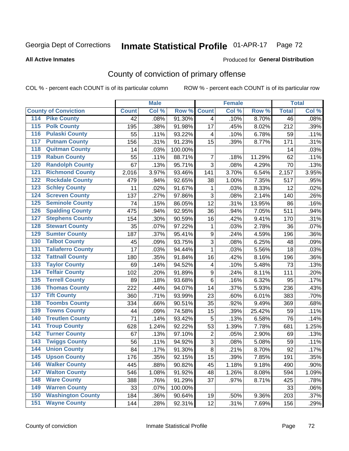#### Inmate Statistical Profile 01-APR-17 Page 72

### **All Active Inmates**

### Produced for General Distribution

# County of conviction of primary offense

COL % - percent each COUNT is of its particular column

|                                          |              | <b>Male</b> |         |                         | <b>Female</b> |        |                 | <b>Total</b> |
|------------------------------------------|--------------|-------------|---------|-------------------------|---------------|--------|-----------------|--------------|
| <b>County of Conviction</b>              | <b>Count</b> | Col %       | Row %   | <b>Count</b>            | Col %         | Row %  | <b>Total</b>    | Col %        |
| <b>Pike County</b><br>114                | 42           | .08%        | 91.30%  | $\overline{4}$          | .10%          | 8.70%  | $\overline{46}$ | .08%         |
| <b>Polk County</b><br>$\overline{115}$   | 195          | .38%        | 91.98%  | 17                      | .45%          | 8.02%  | 212             | .39%         |
| <b>Pulaski County</b><br>116             | 55           | .11%        | 93.22%  | 4                       | .10%          | 6.78%  | 59              | .11%         |
| <b>Putnam County</b><br>117              | 156          | .31%        | 91.23%  | 15                      | .39%          | 8.77%  | 171             | .31%         |
| <b>Quitman County</b><br>118             | 14           | .03%        | 100.00% |                         |               |        | 14              | .03%         |
| <b>Rabun County</b><br>119               | 55           | .11%        | 88.71%  | $\overline{7}$          | .18%          | 11.29% | 62              | .11%         |
| <b>Randolph County</b><br>120            | 67           | .13%        | 95.71%  | 3                       | .08%          | 4.29%  | 70              | .13%         |
| <b>Richmond County</b><br>121            | 2,016        | 3.97%       | 93.46%  | 141                     | 3.70%         | 6.54%  | 2,157           | 3.95%        |
| <b>Rockdale County</b><br>122            | 479          | .94%        | 92.65%  | 38                      | 1.00%         | 7.35%  | 517             | .95%         |
| <b>Schley County</b><br>123              | 11           | .02%        | 91.67%  | 1                       | .03%          | 8.33%  | 12              | .02%         |
| <b>Screven County</b><br>124             | 137          | .27%        | 97.86%  | 3                       | .08%          | 2.14%  | 140             | .26%         |
| <b>Seminole County</b><br>125            | 74           | .15%        | 86.05%  | 12                      | .31%          | 13.95% | 86              | .16%         |
| <b>Spalding County</b><br>126            | 475          | .94%        | 92.95%  | 36                      | .94%          | 7.05%  | 511             | .94%         |
| <b>Stephens County</b><br>127            | 154          | .30%        | 90.59%  | 16                      | .42%          | 9.41%  | 170             | .31%         |
| <b>Stewart County</b><br>128             | 35           | .07%        | 97.22%  | 1                       | .03%          | 2.78%  | 36              | .07%         |
| <b>Sumter County</b><br>129              | 187          | .37%        | 95.41%  | 9                       | .24%          | 4.59%  | 196             | .36%         |
| <b>Talbot County</b><br>130              | 45           | .09%        | 93.75%  | 3                       | .08%          | 6.25%  | 48              | .09%         |
| <b>Taliaferro County</b><br>131          | 17           | .03%        | 94.44%  | 1                       | .03%          | 5.56%  | 18              | .03%         |
| <b>Tattnall County</b><br>132            | 180          | .35%        | 91.84%  | 16                      | .42%          | 8.16%  | 196             | .36%         |
| <b>Taylor County</b><br>133              | 69           | .14%        | 94.52%  | $\overline{\mathbf{4}}$ | .10%          | 5.48%  | 73              | .13%         |
| <b>Telfair County</b><br>134             | 102          | .20%        | 91.89%  | $\boldsymbol{9}$        | .24%          | 8.11%  | 111             | .20%         |
| <b>Terrell County</b><br>135             | 89           | .18%        | 93.68%  | 6                       | .16%          | 6.32%  | 95              | .17%         |
| <b>Thomas County</b><br>136              | 222          | .44%        | 94.07%  | 14                      | .37%          | 5.93%  | 236             | .43%         |
| <b>Tift County</b><br>137                | 360          | .71%        | 93.99%  | 23                      | .60%          | 6.01%  | 383             | .70%         |
| <b>Toombs County</b><br>138              | 334          | .66%        | 90.51%  | 35                      | .92%          | 9.49%  | 369             | .68%         |
| <b>Towns County</b><br>139               | 44           | .09%        | 74.58%  | 15                      | .39%          | 25.42% | 59              | .11%         |
| <b>Treutlen County</b><br>140            | 71           | .14%        | 93.42%  | 5                       | .13%          | 6.58%  | 76              | .14%         |
| <b>Troup County</b><br>141               | 628          | 1.24%       | 92.22%  | 53                      | 1.39%         | 7.78%  | 681             | 1.25%        |
| <b>Turner County</b><br>142              | 67           | .13%        | 97.10%  | $\overline{2}$          | .05%          | 2.90%  | 69              | .13%         |
| <b>Twiggs County</b><br>$\overline{143}$ | 56           | .11%        | 94.92%  | $\overline{3}$          | .08%          | 5.08%  | 59              | .11%         |
| <b>Union County</b><br>144               | 84           | .17%        | 91.30%  | 8                       | .21%          | 8.70%  | 92              | .17%         |
| 145<br><b>Upson County</b>               | 176          | .35%        | 92.15%  | 15                      | .39%          | 7.85%  | 191             | .35%         |
| <b>Walker County</b><br>146              | 445          | .88%        | 90.82%  | 45                      | 1.18%         | 9.18%  | 490             | .90%         |
| <b>Walton County</b><br>147              | 546          | 1.08%       | 91.92%  | 48                      | 1.26%         | 8.08%  | 594             | 1.09%        |
| <b>Ware County</b><br>148                | 388          | .76%        | 91.29%  | 37                      | .97%          | 8.71%  | 425             | .78%         |
| <b>Warren County</b><br>149              | 33           | .07%        | 100.00% |                         |               |        | 33              | .06%         |
| <b>Washington County</b><br>150          | 184          | .36%        | 90.64%  | 19                      | .50%          | 9.36%  | 203             | .37%         |
| <b>Wayne County</b><br>151               | 144          | .28%        | 92.31%  | 12                      | .31%          | 7.69%  | 156             | .29%         |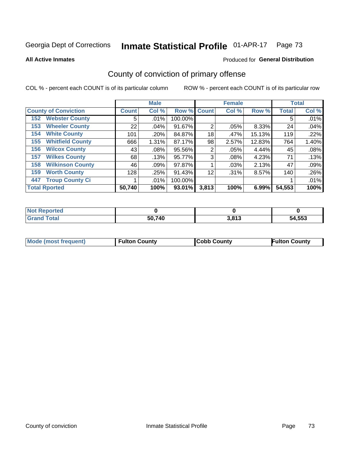### Inmate Statistical Profile 01-APR-17 Page 73

**All Active Inmates** 

### Produced for General Distribution

# County of conviction of primary offense

COL % - percent each COUNT is of its particular column

|                                |              | <b>Male</b> |             |                | <b>Female</b> |          |              | <b>Total</b> |
|--------------------------------|--------------|-------------|-------------|----------------|---------------|----------|--------------|--------------|
| <b>County of Conviction</b>    | <b>Count</b> | Col %       | Row % Count |                | Col %         | Row %    | <b>Total</b> | Col %        |
| <b>Webster County</b><br>152   | 5            | .01%        | 100.00%     |                |               |          | 5            | .01%         |
| <b>Wheeler County</b><br>153   | 22           | .04%        | 91.67%      | $\overline{2}$ | .05%          | 8.33%    | 24           | .04%         |
| <b>White County</b><br>154     | 101          | .20%        | 84.87%      | 18             | .47%          | 15.13%   | 119          | .22%         |
| <b>Whitfield County</b><br>155 | 666          | 1.31%       | 87.17%      | 98             | 2.57%         | 12.83%   | 764          | 1.40%        |
| <b>Wilcox County</b><br>156    | 43           | $.08\%$     | 95.56%      | 2              | .05%          | 4.44%    | 45           | .08%         |
| <b>Wilkes County</b><br>157    | 68           | .13%        | 95.77%      | 3              | $.08\%$       | 4.23%    | 71           | .13%         |
| <b>Wilkinson County</b><br>158 | 46           | $.09\%$     | 97.87%      |                | .03%          | 2.13%    | 47           | .09%         |
| <b>Worth County</b><br>159     | 128          | .25%        | 91.43%      | 12             | .31%          | 8.57%    | 140          | .26%         |
| <b>Troup County Ci</b><br>447  |              | $.01\%$     | 100.00%     |                |               |          |              | .01%         |
| <b>Total Rported</b>           | 50,740       | 100%        | 93.01%      | 3,813          | 100%          | $6.99\%$ | 54,553       | 100%         |

| <b>Not Reported</b> |        |                 |        |
|---------------------|--------|-----------------|--------|
| <b>Grand Total</b>  | 50,740 | 2012<br>J.O I J | 54,553 |

|  | <b>Mode (most frequent)</b> | <b>Fulton County</b> | <b>Cobb County</b> | <b>Fulton County</b> |
|--|-----------------------------|----------------------|--------------------|----------------------|
|--|-----------------------------|----------------------|--------------------|----------------------|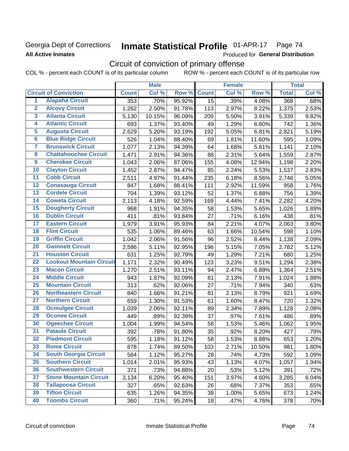## Georgia Dept of Corrections **All Active Inmates**

### Inmate Statistical Profile 01-APR-17 Page 74

Produced for General Distribution

# Circuit of conviction of primary offense

COL % - percent each COUNT is of its particular column ROW % - percent each COUNT is of its particular row

|                         |                                 |              | <b>Male</b> |        |                 | <b>Female</b> |        |              | <b>Total</b> |
|-------------------------|---------------------------------|--------------|-------------|--------|-----------------|---------------|--------|--------------|--------------|
|                         | <b>Circuit of Conviction</b>    | <b>Count</b> | Col %       | Row %  | <b>Count</b>    | Col %         | Row %  | <b>Total</b> | Col %        |
| 1                       | <b>Alapaha Circuit</b>          | 353          | .70%        | 95.92% | $\overline{15}$ | .39%          | 4.08%  | 368          | .68%         |
| $\overline{2}$          | <b>Alcovy Circuit</b>           | 1,262        | 2.50%       | 91.78% | 113             | 2.97%         | 8.22%  | 1,375        | 2.53%        |
| $\overline{\mathbf{3}}$ | <b>Atlanta Circuit</b>          | 5,130        | 10.15%      | 96.09% | 209             | 5.50%         | 3.91%  | 5,339        | 9.82%        |
| 4                       | <b>Atlantic Circuit</b>         | 693          | 1.37%       | 93.40% | 49              | 1.29%         | 6.60%  | 742          | 1.36%        |
| 5                       | <b>Augusta Circuit</b>          | 2,629        | 5.20%       | 93.19% | 192             | 5.05%         | 6.81%  | 2,821        | 5.19%        |
| $\overline{6}$          | <b>Blue Ridge Circuit</b>       | 526          | 1.04%       | 88.40% | 69              | 1.81%         | 11.60% | 595          | 1.09%        |
| 7                       | <b>Brunswick Circuit</b>        | 1,077        | 2.13%       | 94.39% | 64              | 1.68%         | 5.61%  | 1,141        | 2.10%        |
| 8                       | <b>Chattahoochee Circuit</b>    | 1,471        | 2.91%       | 94.36% | 88              | 2.31%         | 5.64%  | 1,559        | 2.87%        |
| 9                       | <b>Cherokee Circuit</b>         | 1,043        | 2.06%       | 87.06% | 155             | 4.08%         | 12.94% | 1,198        | 2.20%        |
| 10                      | <b>Clayton Circuit</b>          | 1,452        | 2.87%       | 94.47% | 85              | 2.24%         | 5.53%  | 1,537        | 2.83%        |
| $\overline{11}$         | <b>Cobb Circuit</b>             | 2,511        | 4.97%       | 91.44% | 235             | 6.18%         | 8.56%  | 2,746        | 5.05%        |
| 12                      | <b>Conasauga Circuit</b>        | 847          | 1.68%       | 88.41% | 111             | 2.92%         | 11.59% | 958          | 1.76%        |
| 13                      | <b>Cordele Circuit</b>          | 704          | 1.39%       | 93.12% | 52              | 1.37%         | 6.88%  | 756          | 1.39%        |
| $\overline{14}$         | <b>Coweta Circuit</b>           | 2,113        | 4.18%       | 92.59% | 169             | 4.44%         | 7.41%  | 2,282        | 4.20%        |
| 15                      | <b>Dougherty Circuit</b>        | 968          | 1.91%       | 94.35% | 58              | 1.53%         | 5.65%  | 1,026        | 1.89%        |
| 16                      | <b>Dublin Circuit</b>           | 411          | .81%        | 93.84% | 27              | .71%          | 6.16%  | 438          | .81%         |
| 17                      | <b>Eastern Circuit</b>          | 1,979        | 3.91%       | 95.93% | 84              | 2.21%         | 4.07%  | 2,063        | 3.80%        |
| 18                      | <b>Flint Circuit</b>            | 535          | 1.06%       | 89.46% | 63              | 1.66%         | 10.54% | 598          | 1.10%        |
| 19                      | <b>Griffin Circuit</b>          | 1,042        | 2.06%       | 91.56% | 96              | 2.52%         | 8.44%  | 1,138        | 2.09%        |
| 20                      | <b>Gwinnett Circuit</b>         | 2,586        | 5.11%       | 92.95% | 196             | 5.15%         | 7.05%  | 2,782        | 5.12%        |
| $\overline{21}$         | <b>Houston Circuit</b>          | 631          | 1.25%       | 92.79% | 49              | 1.29%         | 7.21%  | 680          | 1.25%        |
| $\overline{22}$         | <b>Lookout Mountain Circuit</b> | 1,171        | 2.32%       | 90.49% | 123             | 3.23%         | 9.51%  | 1,294        | 2.38%        |
| 23                      | <b>Macon Circuit</b>            | 1,270        | 2.51%       | 93.11% | 94              | 2.47%         | 6.89%  | 1,364        | 2.51%        |
| 24                      | <b>Middle Circuit</b>           | 943          | 1.87%       | 92.09% | 81              | 2.13%         | 7.91%  | 1,024        | 1.88%        |
| $\overline{25}$         | <b>Mountain Circuit</b>         | 313          | .62%        | 92.06% | 27              | .71%          | 7.94%  | 340          | .63%         |
| 26                      | <b>Northeastern Circuit</b>     | 840          | 1.66%       | 91.21% | 81              | 2.13%         | 8.79%  | 921          | 1.69%        |
| $\overline{27}$         | <b>Northern Circuit</b>         | 659          | 1.30%       | 91.53% | 61              | 1.60%         | 8.47%  | 720          | 1.32%        |
| 28                      | <b>Ocmulgee Circuit</b>         | 1,039        | 2.06%       | 92.11% | 89              | 2.34%         | 7.89%  | 1,128        | 2.08%        |
| 29                      | <b>Oconee Circuit</b>           | 449          | .89%        | 92.39% | 37              | .97%          | 7.61%  | 486          | .89%         |
| 30                      | <b>Ogeechee Circuit</b>         | 1,004        | 1.99%       | 94.54% | 58              | 1.53%         | 5.46%  | 1,062        | 1.95%        |
| $\overline{31}$         | <b>Pataula Circuit</b>          | 392          | .78%        | 91.80% | 35              | .92%          | 8.20%  | 427          | .79%         |
| 32                      | <b>Piedmont Circuit</b>         | 595          | 1.18%       | 91.12% | 58              | 1.53%         | 8.88%  | 653          | 1.20%        |
| 33                      | <b>Rome Circuit</b>             | 878          | 1.74%       | 89.50% | 103             | 2.71%         | 10.50% | 981          | 1.80%        |
| 34                      | <b>South Georgia Circuit</b>    | 564          | 1.12%       | 95.27% | 28              | .74%          | 4.73%  | 592          | 1.09%        |
| 35                      | <b>Southern Circuit</b>         | 1,014        | 2.01%       | 95.93% | 43              | 1.13%         | 4.07%  | 1,057        | 1.94%        |
| 36                      | <b>Southwestern Circuit</b>     | 371          | .73%        | 94.88% | 20              | .53%          | 5.12%  | 391          | .72%         |
| 37                      | <b>Stone Mountain Circuit</b>   | 3,134        | 6.20%       | 95.40% | 151             | 3.97%         | 4.60%  | 3,285        | 6.04%        |
| 38                      | <b>Tallapoosa Circuit</b>       | 327          | .65%        | 92.63% | 26              | .68%          | 7.37%  | 353          | .65%         |
| 39                      | <b>Tifton Circuit</b>           | 635          | 1.26%       | 94.35% | 38              | 1.00%         | 5.65%  | 673          | 1.24%        |
| 40                      | <b>Toombs Circuit</b>           | 360          | .71%        | 95.24% | 18              | .47%          | 4.76%  | 378          | .70%         |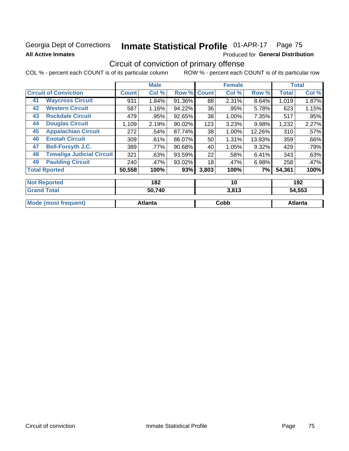# Georgia Dept of Corrections **All Active Inmates**

# Inmate Statistical Profile 01-APR-17 Page 75

Produced for General Distribution

# Circuit of conviction of primary offense

COL % - percent each COUNT is of its particular column ROW % - percent each COUNT is of its particular row

|                                        |              | <b>Male</b>                   |        |              | <b>Female</b> |        |        | <b>Total</b>   |
|----------------------------------------|--------------|-------------------------------|--------|--------------|---------------|--------|--------|----------------|
| <b>Circuit of Conviction</b>           | <b>Count</b> | Col %                         | Row %  | <b>Count</b> | Col %         | Row %  | Total  | Col %          |
| <b>Waycross Circuit</b><br>41          | 931          | 1.84%                         | 91.36% | 88           | 2.31%         | 8.64%  | 1,019  | 1.87%          |
| <b>Western Circuit</b><br>42           | 587          | 1.16%                         | 94.22% | 36           | .95%          | 5.78%  | 623    | 1.15%          |
| <b>Rockdale Circuit</b><br>43          | 479          | .95%                          | 92.65% | 38           | 1.00%         | 7.35%  | 517    | .95%           |
| <b>Douglas Circuit</b><br>44           | 1,109        | 2.19%                         | 90.02% | 123          | 3.23%         | 9.98%  | 1,232  | 2.27%          |
| <b>Appalachian Circuit</b><br>45       | 272          | .54%                          | 87.74% | 38           | 1.00%         | 12.26% | 310    | .57%           |
| <b>Enotah Circuit</b><br>46            | 309          | .61%                          | 86.07% | 50           | 1.31%         | 13.93% | 359    | .66%           |
| 47<br><b>Bell-Forsyth J.C.</b>         | 389          | .77%                          | 90.68% | 40           | 1.05%         | 9.32%  | 429    | .79%           |
| <b>Towaliga Judicial Circuit</b><br>48 | 321          | .63%                          | 93.59% | 22           | .58%          | 6.41%  | 343    | .63%           |
| <b>Paulding Circuit</b><br>49          | 240          | .47%                          | 93.02% | 18           | .47%          | 6.98%  | 258    | .47%           |
| <b>Total Rported</b>                   | 50,558       | 100%                          | 93%    | 3,803        | 100%          | 7%     | 54,361 | 100%           |
| <b>Not Reported</b>                    |              | 182                           |        |              | 10            |        |        | 192            |
| Concert Tradell                        |              | $F^{\prime}$ $\rightarrow$ 10 |        |              | 0.010         |        |        | F <i>i</i> FFA |

|                             | 50,740  | , 64, 5<br>J.O I J | 54.553  |
|-----------------------------|---------|--------------------|---------|
| <b>Mode (most frequent)</b> | Atlanta | Cobb               | Atlanta |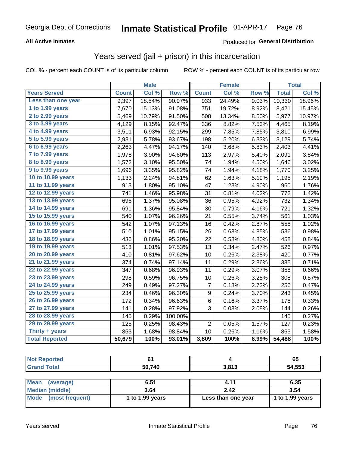### **All Active Inmates**

### Produced for **General Distribution**

## Years served (jail + prison) in this incarceration

|                        |              | <b>Male</b> |         |                | <b>Female</b> |                  |              | <b>Total</b> |
|------------------------|--------------|-------------|---------|----------------|---------------|------------------|--------------|--------------|
| <b>Years Served</b>    | <b>Count</b> | Col %       | Row %   | <b>Count</b>   | Col %         | Row <sub>%</sub> | <b>Total</b> | Col %        |
| Less than one year     | 9,397        | 18.54%      | 90.97%  | 933            | 24.49%        | 9.03%            | 10,330       | 18.96%       |
| 1 to 1.99 years        | 7,670        | 15.13%      | 91.08%  | 751            | 19.72%        | 8.92%            | 8,421        | 15.45%       |
| 2 to 2.99 years        | 5,469        | 10.79%      | 91.50%  | 508            | 13.34%        | 8.50%            | 5,977        | 10.97%       |
| 3 to 3.99 years        | 4,129        | 8.15%       | 92.47%  | 336            | 8.82%         | 7.53%            | 4,465        | 8.19%        |
| 4 to 4.99 years        | 3,511        | 6.93%       | 92.15%  | 299            | 7.85%         | 7.85%            | 3,810        | 6.99%        |
| 5 to 5.99 years        | 2,931        | 5.78%       | 93.67%  | 198            | 5.20%         | 6.33%            | 3,129        | 5.74%        |
| $6$ to $6.99$ years    | 2,263        | 4.47%       | 94.17%  | 140            | 3.68%         | 5.83%            | 2,403        | 4.41%        |
| 7 to 7.99 years        | 1,978        | 3.90%       | 94.60%  | 113            | 2.97%         | 5.40%            | 2,091        | 3.84%        |
| <b>8 to 8.99 years</b> | 1,572        | 3.10%       | 95.50%  | 74             | 1.94%         | 4.50%            | 1,646        | 3.02%        |
| 9 to 9.99 years        | 1,696        | 3.35%       | 95.82%  | 74             | 1.94%         | 4.18%            | 1,770        | 3.25%        |
| 10 to 10.99 years      | 1,133        | 2.24%       | 94.81%  | 62             | 1.63%         | 5.19%            | 1,195        | 2.19%        |
| 11 to 11.99 years      | 913          | 1.80%       | 95.10%  | 47             | 1.23%         | 4.90%            | 960          | 1.76%        |
| 12 to 12.99 years      | 741          | 1.46%       | 95.98%  | 31             | 0.81%         | 4.02%            | 772          | 1.42%        |
| 13 to 13.99 years      | 696          | 1.37%       | 95.08%  | 36             | 0.95%         | 4.92%            | 732          | 1.34%        |
| 14 to 14.99 years      | 691          | 1.36%       | 95.84%  | 30             | 0.79%         | 4.16%            | 721          | 1.32%        |
| 15 to 15.99 years      | 540          | 1.07%       | 96.26%  | 21             | 0.55%         | 3.74%            | 561          | 1.03%        |
| 16 to 16.99 years      | 542          | 1.07%       | 97.13%  | 16             | 0.42%         | 2.87%            | 558          | 1.02%        |
| 17 to 17.99 years      | 510          | 1.01%       | 95.15%  | 26             | 0.68%         | 4.85%            | 536          | 0.98%        |
| 18 to 18.99 years      | 436          | 0.86%       | 95.20%  | 22             | 0.58%         | 4.80%            | 458          | 0.84%        |
| 19 to 19.99 years      | 513          | 1.01%       | 97.53%  | 13             | 0.34%         | 2.47%            | 526          | 0.97%        |
| 20 to 20.99 years      | 410          | 0.81%       | 97.62%  | 10             | 0.26%         | 2.38%            | 420          | 0.77%        |
| 21 to 21.99 years      | 374          | 0.74%       | 97.14%  | 11             | 0.29%         | 2.86%            | 385          | 0.71%        |
| 22 to 22.99 years      | 347          | 0.68%       | 96.93%  | 11             | 0.29%         | 3.07%            | 358          | 0.66%        |
| 23 to 23.99 years      | 298          | 0.59%       | 96.75%  | 10             | 0.26%         | 3.25%            | 308          | 0.57%        |
| 24 to 24.99 years      | 249          | 0.49%       | 97.27%  | 7              | 0.18%         | 2.73%            | 256          | 0.47%        |
| 25 to 25.99 years      | 234          | 0.46%       | 96.30%  | 9              | 0.24%         | 3.70%            | 243          | 0.45%        |
| 26 to 26.99 years      | 172          | 0.34%       | 96.63%  | 6              | 0.16%         | 3.37%            | 178          | 0.33%        |
| 27 to 27.99 years      | 141          | 0.28%       | 97.92%  | 3              | 0.08%         | 2.08%            | 144          | 0.26%        |
| 28 to 28.99 years      | 145          | 0.29%       | 100.00% |                |               |                  | 145          | 0.27%        |
| 29 to 29.99 years      | 125          | 0.25%       | 98.43%  | $\overline{2}$ | 0.05%         | 1.57%            | 127          | 0.23%        |
| Thirty + years         | 853          | 1.68%       | 98.84%  | 10             | 0.26%         | 1.16%            | 863          | 1.58%        |
| <b>Total Reported</b>  | 50,679       | 100%        | 93.01%  | 3,809          | 100%          | 6.99%            | 54,488       | 100%         |

| <b>Not Reported</b>      | 61              |                    | 65              |  |  |
|--------------------------|-----------------|--------------------|-----------------|--|--|
| <b>Grand Total</b>       | 50,740          | 3,813              | 54,553          |  |  |
|                          |                 |                    |                 |  |  |
| <b>Mean</b><br>(average) | 6.51            | 4.11               | 6.35            |  |  |
| <b>Median (middle)</b>   | 3.64            | 2.42               | 3.54            |  |  |
| Mode (most frequent)     | 1 to 1.99 years | Less than one year | 1 to 1.99 years |  |  |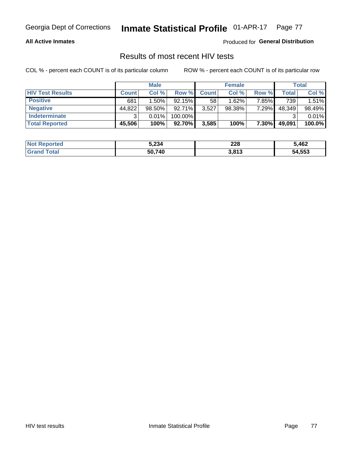### **All Active Inmates**

Produced for **General Distribution**

## Results of most recent HIV tests

|                         | <b>Male</b>  |           |         | <b>Female</b> |           |          | Total  |        |
|-------------------------|--------------|-----------|---------|---------------|-----------|----------|--------|--------|
| <b>HIV Test Results</b> | <b>Count</b> | Col %     | Row %I  | <b>Count</b>  | Col %     | Row %    | Total  | Col %  |
| <b>Positive</b>         | 681          | 1.50%     | 92.15%  | 58            | 1.62%     | 7.85%    | 739    | 1.51%  |
| <b>Negative</b>         | 44,822       | $98.50\%$ | 92.71%  | 3,527         | $98.38\%$ | 7.29%    | 48,349 | 98.49% |
| Indeterminate           | ົ            | 0.01%     | 100.00% |               |           |          |        | 0.01%  |
| <b>Total Reported</b>   | 45,506       | 100%      | 92.70%  | 3,585         | 100%      | $7.30\%$ | 49,091 | 100.0% |

| <b>Not Reported</b> | 5,234  | 228   | 5,462  |
|---------------------|--------|-------|--------|
| Total<br>' Grand    | 50,740 | 3,813 | 54,553 |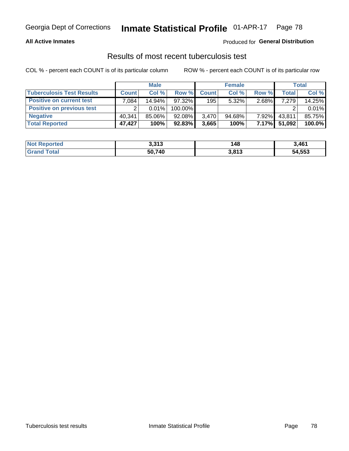### **All Active Inmates**

### Produced for **General Distribution**

### Results of most recent tuberculosis test

|                                  | <b>Male</b>  |          |           | <b>Female</b> |           |          | Total  |        |
|----------------------------------|--------------|----------|-----------|---------------|-----------|----------|--------|--------|
| <b>Tuberculosis Test Results</b> | <b>Count</b> | Col%     | Row %     | <b>Count</b>  | Col %     | Row %    | Total  | Col %  |
| <b>Positive on current test</b>  | .084         | 14.94%   | $97.32\%$ | 195           | $5.32\%$  | $2.68\%$ | 7,279  | 14.25% |
| <b>Positive on previous test</b> | ົ            | $0.01\%$ | 100.00%   |               |           |          |        | 0.01%  |
| <b>Negative</b>                  | 40.341       | 85.06%   | 92.08%    | 3.470         | $94.68\%$ | $7.92\%$ | 43,811 | 85.75% |
| <b>Total Reported</b>            | 47,427       | 100%     | 92.83%    | 3,665         | 100%      | $7.17\%$ | 51,092 | 100.0% |

| <b>Not Reported</b>          | 3,313  | 48    | 3,461  |
|------------------------------|--------|-------|--------|
| <b>Total</b><br><b>Grand</b> | 50,740 | 3,813 | 54,553 |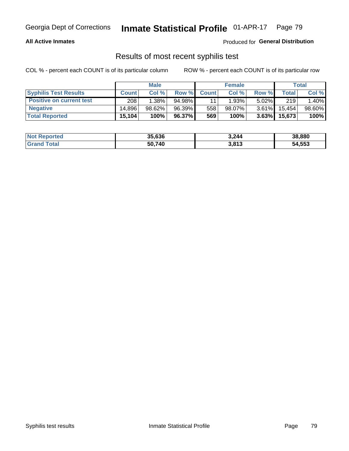### **All Active Inmates**

Produced for **General Distribution**

## Results of most recent syphilis test

|                                 | <b>Male</b>  |           |        | <b>Female</b> |           |          | Total   |        |
|---------------------------------|--------------|-----------|--------|---------------|-----------|----------|---------|--------|
| <b>Syphilis Test Results</b>    | <b>Count</b> | Col%      | Row %  | <b>Count</b>  | Col %     | Row %    | Total I | Col %  |
| <b>Positive on current test</b> | 208          | $1.38\%$  | 94.98% |               | 1.93%     | $5.02\%$ | 219     | 1.40%  |
| <b>Negative</b>                 | 14.896       | $98.62\%$ | 96.39% | 558           | $98.07\%$ | $3.61\%$ | 15,454  | 98.60% |
| <b>Total Reported</b>           | 15,104       | 100%      | 96.37% | 569           | 100%      | 3.63%    | 15,673  | 100%   |

| <b>Not Reported</b> | 35,636 | 3,244 | 38,880 |
|---------------------|--------|-------|--------|
| <b>Grand Total</b>  | 50.740 | 3,813 | 54,553 |